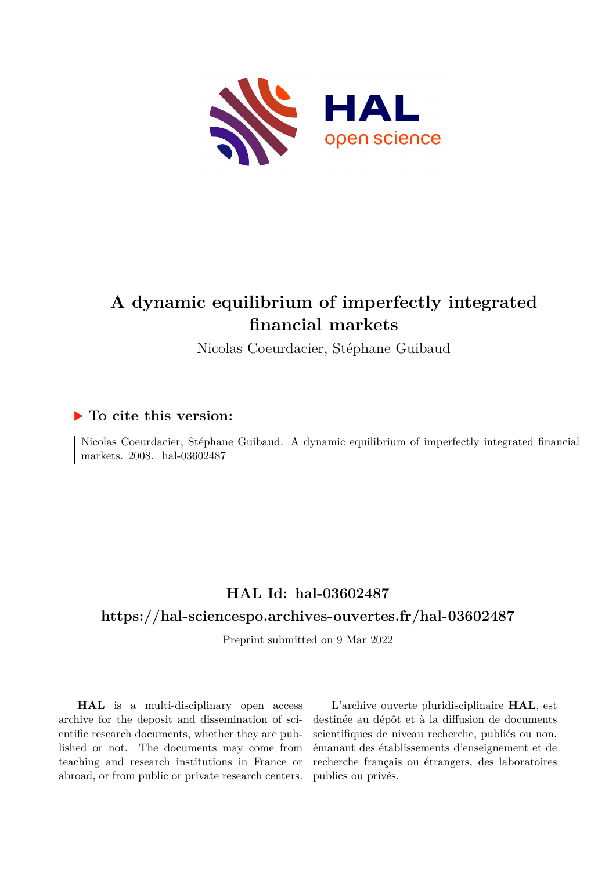

# **A dynamic equilibrium of imperfectly integrated financial markets**

Nicolas Coeurdacier, Stéphane Guibaud

# **To cite this version:**

Nicolas Coeurdacier, Stéphane Guibaud. A dynamic equilibrium of imperfectly integrated financial markets. 2008. hal-03602487

# **HAL Id: hal-03602487**

# **<https://hal-sciencespo.archives-ouvertes.fr/hal-03602487>**

Preprint submitted on 9 Mar 2022

**HAL** is a multi-disciplinary open access archive for the deposit and dissemination of scientific research documents, whether they are published or not. The documents may come from teaching and research institutions in France or abroad, or from public or private research centers.

L'archive ouverte pluridisciplinaire **HAL**, est destinée au dépôt et à la diffusion de documents scientifiques de niveau recherche, publiés ou non, émanant des établissements d'enseignement et de recherche français ou étrangers, des laboratoires publics ou privés.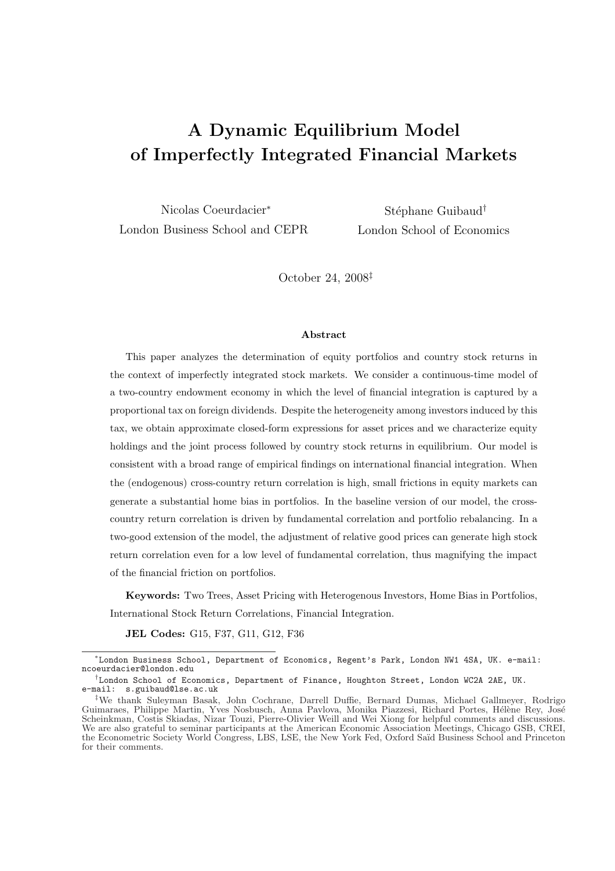# A Dynamic Equilibrium Model of Imperfectly Integrated Financial Markets

Nicolas Coeurdacier<sup>∗</sup> London Business School and CEPR

Stéphane Guibaud<sup>†</sup> London School of Economics

October 24, 2008‡

#### Abstract

This paper analyzes the determination of equity portfolios and country stock returns in the context of imperfectly integrated stock markets. We consider a continuous-time model of a two-country endowment economy in which the level of financial integration is captured by a proportional tax on foreign dividends. Despite the heterogeneity among investors induced by this tax, we obtain approximate closed-form expressions for asset prices and we characterize equity holdings and the joint process followed by country stock returns in equilibrium. Our model is consistent with a broad range of empirical findings on international financial integration. When the (endogenous) cross-country return correlation is high, small frictions in equity markets can generate a substantial home bias in portfolios. In the baseline version of our model, the crosscountry return correlation is driven by fundamental correlation and portfolio rebalancing. In a two-good extension of the model, the adjustment of relative good prices can generate high stock return correlation even for a low level of fundamental correlation, thus magnifying the impact of the financial friction on portfolios.

Keywords: Two Trees, Asset Pricing with Heterogenous Investors, Home Bias in Portfolios, International Stock Return Correlations, Financial Integration.

JEL Codes: G15, F37, G11, G12, F36

<sup>∗</sup> London Business School, Department of Economics, Regent's Park, London NW1 4SA, UK. e-mail: ncoeurdacier@london.edu

<sup>†</sup> London School of Economics, Department of Finance, Houghton Street, London WC2A 2AE, UK. e-mail: s.guibaud@lse.ac.uk

<sup>‡</sup>We thank Suleyman Basak, John Cochrane, Darrell Duffie, Bernard Dumas, Michael Gallmeyer, Rodrigo Guimaraes, Philippe Martin, Yves Nosbusch, Anna Pavlova, Monika Piazzesi, Richard Portes, Hélène Rey, José Scheinkman, Costis Skiadas, Nizar Touzi, Pierre-Olivier Weill and Wei Xiong for helpful comments and discussions. We are also grateful to seminar participants at the American Economic Association Meetings, Chicago GSB, CREI, the Econometric Society World Congress, LBS, LSE, the New York Fed, Oxford Saïd Business School and Princeton for their comments.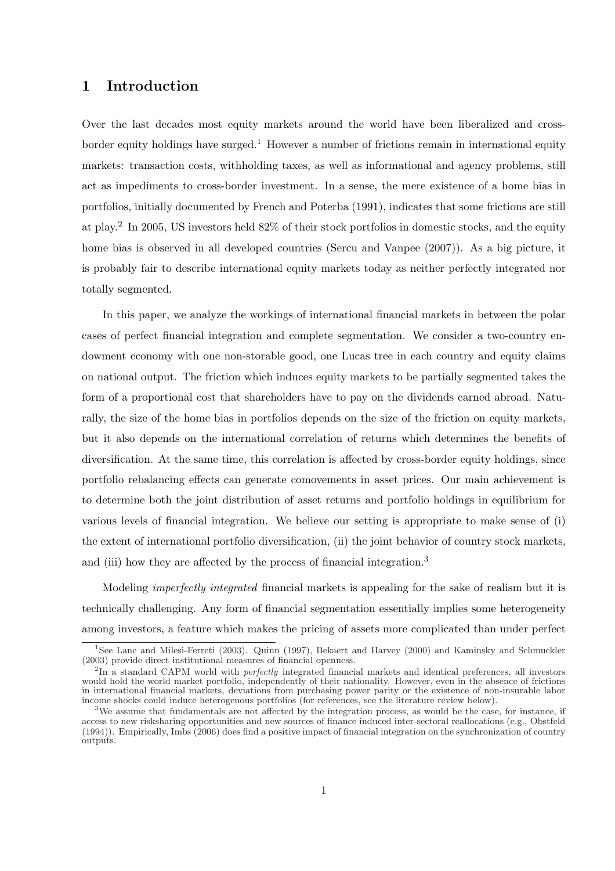# 1 Introduction

Over the last decades most equity markets around the world have been liberalized and crossborder equity holdings have surged.<sup>1</sup> However a number of frictions remain in international equity markets: transaction costs, withholding taxes, as well as informational and agency problems, still act as impediments to cross-border investment. In a sense, the mere existence of a home bias in portfolios, initially documented by French and Poterba (1991), indicates that some frictions are still at play.<sup>2</sup> In 2005, US investors held 82% of their stock portfolios in domestic stocks, and the equity home bias is observed in all developed countries (Sercu and Vanpee (2007)). As a big picture, it is probably fair to describe international equity markets today as neither perfectly integrated nor totally segmented.

In this paper, we analyze the workings of international financial markets in between the polar cases of perfect financial integration and complete segmentation. We consider a two-country endowment economy with one non-storable good, one Lucas tree in each country and equity claims on national output. The friction which induces equity markets to be partially segmented takes the form of a proportional cost that shareholders have to pay on the dividends earned abroad. Naturally, the size of the home bias in portfolios depends on the size of the friction on equity markets, but it also depends on the international correlation of returns which determines the benefits of diversification. At the same time, this correlation is affected by cross-border equity holdings, since portfolio rebalancing effects can generate comovements in asset prices. Our main achievement is to determine both the joint distribution of asset returns and portfolio holdings in equilibrium for various levels of financial integration. We believe our setting is appropriate to make sense of (i) the extent of international portfolio diversification, (ii) the joint behavior of country stock markets, and (iii) how they are affected by the process of financial integration.<sup>3</sup>

Modeling imperfectly integrated financial markets is appealing for the sake of realism but it is technically challenging. Any form of financial segmentation essentially implies some heterogeneity among investors, a feature which makes the pricing of assets more complicated than under perfect

<sup>&</sup>lt;sup>1</sup>See Lane and Milesi-Ferreti (2003). Quinn (1997), Bekaert and Harvey (2000) and Kaminsky and Schmuckler (2003) provide direct institutional measures of financial openness.

<sup>&</sup>lt;sup>2</sup>In a standard CAPM world with *perfectly* integrated financial markets and identical preferences, all investors would hold the world market portfolio, independently of their nationality. However, even in the absence of frictions in international financial markets, deviations from purchasing power parity or the existence of non-insurable labor income shocks could induce heterogenous portfolios (for references, see the literature review below).

<sup>3</sup>We assume that fundamentals are not affected by the integration process, as would be the case, for instance, if access to new risksharing opportunities and new sources of finance induced inter-sectoral reallocations (e.g., Obstfeld (1994)). Empirically, Imbs (2006) does find a positive impact of financial integration on the synchronization of country outputs.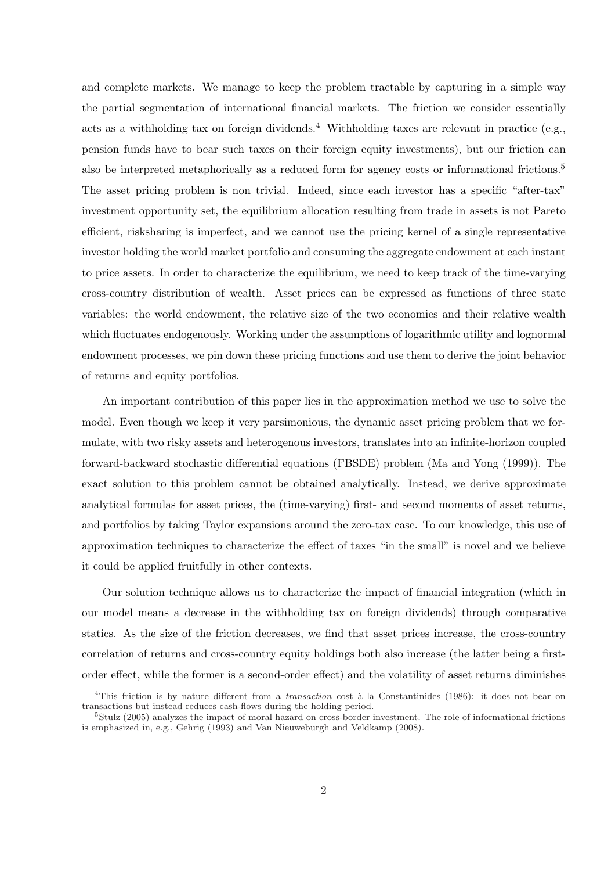and complete markets. We manage to keep the problem tractable by capturing in a simple way the partial segmentation of international financial markets. The friction we consider essentially acts as a withholding tax on foreign dividends.<sup>4</sup> Withholding taxes are relevant in practice (e.g., pension funds have to bear such taxes on their foreign equity investments), but our friction can also be interpreted metaphorically as a reduced form for agency costs or informational frictions.<sup>5</sup> The asset pricing problem is non trivial. Indeed, since each investor has a specific "after-tax" investment opportunity set, the equilibrium allocation resulting from trade in assets is not Pareto efficient, risksharing is imperfect, and we cannot use the pricing kernel of a single representative investor holding the world market portfolio and consuming the aggregate endowment at each instant to price assets. In order to characterize the equilibrium, we need to keep track of the time-varying cross-country distribution of wealth. Asset prices can be expressed as functions of three state variables: the world endowment, the relative size of the two economies and their relative wealth which fluctuates endogenously. Working under the assumptions of logarithmic utility and lognormal endowment processes, we pin down these pricing functions and use them to derive the joint behavior of returns and equity portfolios.

An important contribution of this paper lies in the approximation method we use to solve the model. Even though we keep it very parsimonious, the dynamic asset pricing problem that we formulate, with two risky assets and heterogenous investors, translates into an infinite-horizon coupled forward-backward stochastic differential equations (FBSDE) problem (Ma and Yong (1999)). The exact solution to this problem cannot be obtained analytically. Instead, we derive approximate analytical formulas for asset prices, the (time-varying) first- and second moments of asset returns, and portfolios by taking Taylor expansions around the zero-tax case. To our knowledge, this use of approximation techniques to characterize the effect of taxes "in the small" is novel and we believe it could be applied fruitfully in other contexts.

Our solution technique allows us to characterize the impact of financial integration (which in our model means a decrease in the withholding tax on foreign dividends) through comparative statics. As the size of the friction decreases, we find that asset prices increase, the cross-country correlation of returns and cross-country equity holdings both also increase (the latter being a firstorder effect, while the former is a second-order effect) and the volatility of asset returns diminishes

<sup>&</sup>lt;sup>4</sup>This friction is by nature different from a *transaction* cost à la Constantinides (1986): it does not bear on transactions but instead reduces cash-flows during the holding period.

<sup>5</sup>Stulz (2005) analyzes the impact of moral hazard on cross-border investment. The role of informational frictions is emphasized in, e.g., Gehrig (1993) and Van Nieuweburgh and Veldkamp (2008).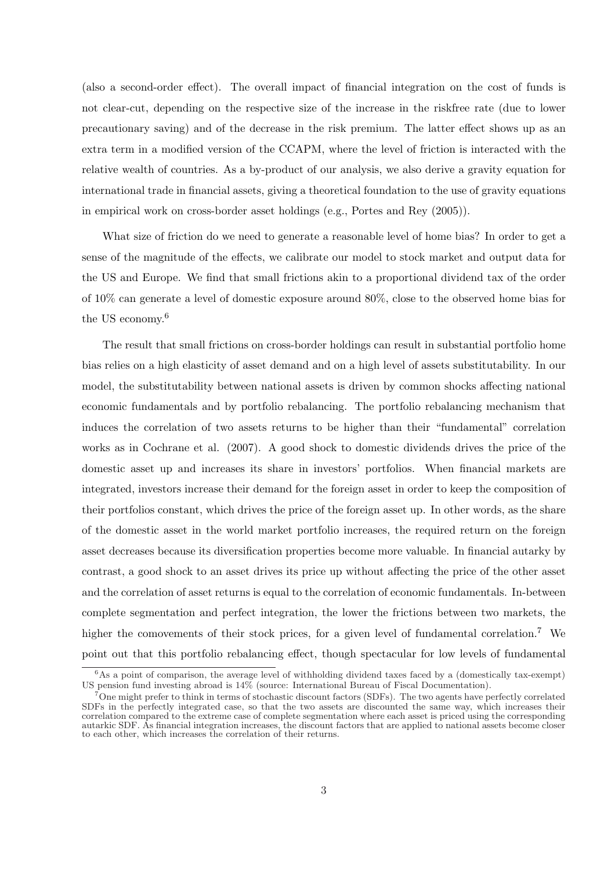(also a second-order effect). The overall impact of financial integration on the cost of funds is not clear-cut, depending on the respective size of the increase in the riskfree rate (due to lower precautionary saving) and of the decrease in the risk premium. The latter effect shows up as an extra term in a modified version of the CCAPM, where the level of friction is interacted with the relative wealth of countries. As a by-product of our analysis, we also derive a gravity equation for international trade in financial assets, giving a theoretical foundation to the use of gravity equations in empirical work on cross-border asset holdings (e.g., Portes and Rey (2005)).

What size of friction do we need to generate a reasonable level of home bias? In order to get a sense of the magnitude of the effects, we calibrate our model to stock market and output data for the US and Europe. We find that small frictions akin to a proportional dividend tax of the order of 10% can generate a level of domestic exposure around 80%, close to the observed home bias for the US economy.<sup>6</sup>

The result that small frictions on cross-border holdings can result in substantial portfolio home bias relies on a high elasticity of asset demand and on a high level of assets substitutability. In our model, the substitutability between national assets is driven by common shocks affecting national economic fundamentals and by portfolio rebalancing. The portfolio rebalancing mechanism that induces the correlation of two assets returns to be higher than their "fundamental" correlation works as in Cochrane et al. (2007). A good shock to domestic dividends drives the price of the domestic asset up and increases its share in investors' portfolios. When financial markets are integrated, investors increase their demand for the foreign asset in order to keep the composition of their portfolios constant, which drives the price of the foreign asset up. In other words, as the share of the domestic asset in the world market portfolio increases, the required return on the foreign asset decreases because its diversification properties become more valuable. In financial autarky by contrast, a good shock to an asset drives its price up without affecting the price of the other asset and the correlation of asset returns is equal to the correlation of economic fundamentals. In-between complete segmentation and perfect integration, the lower the frictions between two markets, the higher the comovements of their stock prices, for a given level of fundamental correlation.<sup>7</sup> We point out that this portfolio rebalancing effect, though spectacular for low levels of fundamental

<sup>&</sup>lt;sup>6</sup>As a point of comparison, the average level of withholding dividend taxes faced by a (domestically tax-exempt) US pension fund investing abroad is 14% (source: International Bureau of Fiscal Documentation).

<sup>7</sup>One might prefer to think in terms of stochastic discount factors (SDFs). The two agents have perfectly correlated SDFs in the perfectly integrated case, so that the two assets are discounted the same way, which increases their correlation compared to the extreme case of complete segmentation where each asset is priced using the corresponding autarkic SDF. As financial integration increases, the discount factors that are applied to national assets become closer to each other, which increases the correlation of their returns.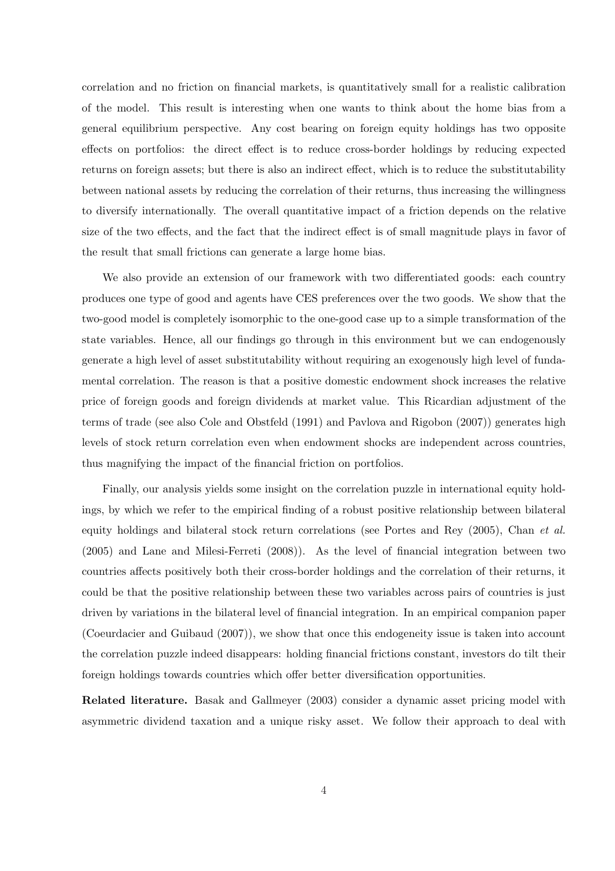correlation and no friction on financial markets, is quantitatively small for a realistic calibration of the model. This result is interesting when one wants to think about the home bias from a general equilibrium perspective. Any cost bearing on foreign equity holdings has two opposite effects on portfolios: the direct effect is to reduce cross-border holdings by reducing expected returns on foreign assets; but there is also an indirect effect, which is to reduce the substitutability between national assets by reducing the correlation of their returns, thus increasing the willingness to diversify internationally. The overall quantitative impact of a friction depends on the relative size of the two effects, and the fact that the indirect effect is of small magnitude plays in favor of the result that small frictions can generate a large home bias.

We also provide an extension of our framework with two differentiated goods: each country produces one type of good and agents have CES preferences over the two goods. We show that the two-good model is completely isomorphic to the one-good case up to a simple transformation of the state variables. Hence, all our findings go through in this environment but we can endogenously generate a high level of asset substitutability without requiring an exogenously high level of fundamental correlation. The reason is that a positive domestic endowment shock increases the relative price of foreign goods and foreign dividends at market value. This Ricardian adjustment of the terms of trade (see also Cole and Obstfeld (1991) and Pavlova and Rigobon (2007)) generates high levels of stock return correlation even when endowment shocks are independent across countries, thus magnifying the impact of the financial friction on portfolios.

Finally, our analysis yields some insight on the correlation puzzle in international equity holdings, by which we refer to the empirical finding of a robust positive relationship between bilateral equity holdings and bilateral stock return correlations (see Portes and Rey (2005), Chan et al. (2005) and Lane and Milesi-Ferreti (2008)). As the level of financial integration between two countries affects positively both their cross-border holdings and the correlation of their returns, it could be that the positive relationship between these two variables across pairs of countries is just driven by variations in the bilateral level of financial integration. In an empirical companion paper (Coeurdacier and Guibaud (2007)), we show that once this endogeneity issue is taken into account the correlation puzzle indeed disappears: holding financial frictions constant, investors do tilt their foreign holdings towards countries which offer better diversification opportunities.

Related literature. Basak and Gallmeyer (2003) consider a dynamic asset pricing model with asymmetric dividend taxation and a unique risky asset. We follow their approach to deal with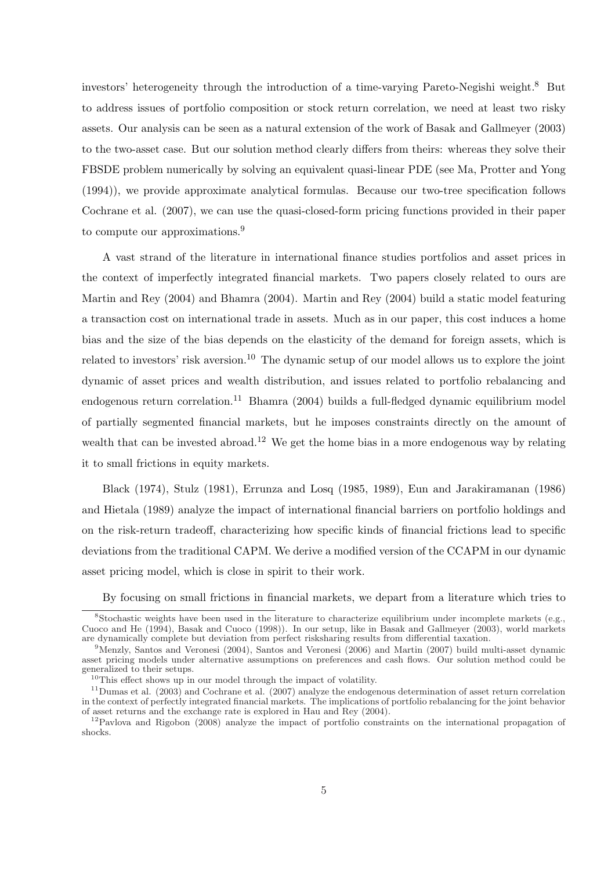investors' heterogeneity through the introduction of a time-varying Pareto-Negishi weight.<sup>8</sup> But to address issues of portfolio composition or stock return correlation, we need at least two risky assets. Our analysis can be seen as a natural extension of the work of Basak and Gallmeyer (2003) to the two-asset case. But our solution method clearly differs from theirs: whereas they solve their FBSDE problem numerically by solving an equivalent quasi-linear PDE (see Ma, Protter and Yong (1994)), we provide approximate analytical formulas. Because our two-tree specification follows Cochrane et al. (2007), we can use the quasi-closed-form pricing functions provided in their paper to compute our approximations.<sup>9</sup>

A vast strand of the literature in international finance studies portfolios and asset prices in the context of imperfectly integrated financial markets. Two papers closely related to ours are Martin and Rey (2004) and Bhamra (2004). Martin and Rey (2004) build a static model featuring a transaction cost on international trade in assets. Much as in our paper, this cost induces a home bias and the size of the bias depends on the elasticity of the demand for foreign assets, which is related to investors' risk aversion.<sup>10</sup> The dynamic setup of our model allows us to explore the joint dynamic of asset prices and wealth distribution, and issues related to portfolio rebalancing and endogenous return correlation.<sup>11</sup> Bhamra (2004) builds a full-fledged dynamic equilibrium model of partially segmented financial markets, but he imposes constraints directly on the amount of wealth that can be invested abroad.<sup>12</sup> We get the home bias in a more endogenous way by relating it to small frictions in equity markets.

Black (1974), Stulz (1981), Errunza and Losq (1985, 1989), Eun and Jarakiramanan (1986) and Hietala (1989) analyze the impact of international financial barriers on portfolio holdings and on the risk-return tradeoff, characterizing how specific kinds of financial frictions lead to specific deviations from the traditional CAPM. We derive a modified version of the CCAPM in our dynamic asset pricing model, which is close in spirit to their work.

By focusing on small frictions in financial markets, we depart from a literature which tries to

 $8$ Stochastic weights have been used in the literature to characterize equilibrium under incomplete markets (e.g., Cuoco and He (1994), Basak and Cuoco (1998)). In our setup, like in Basak and Gallmeyer (2003), world markets are dynamically complete but deviation from perfect risksharing results from differential taxation.

<sup>9</sup>Menzly, Santos and Veronesi (2004), Santos and Veronesi (2006) and Martin (2007) build multi-asset dynamic asset pricing models under alternative assumptions on preferences and cash flows. Our solution method could be generalized to their setups.

 $10$ This effect shows up in our model through the impact of volatility.

 $11$ Dumas et al. (2003) and Cochrane et al. (2007) analyze the endogenous determination of asset return correlation in the context of perfectly integrated financial markets. The implications of portfolio rebalancing for the joint behavior of asset returns and the exchange rate is explored in Hau and Rey (2004).

<sup>12</sup>Pavlova and Rigobon (2008) analyze the impact of portfolio constraints on the international propagation of shocks.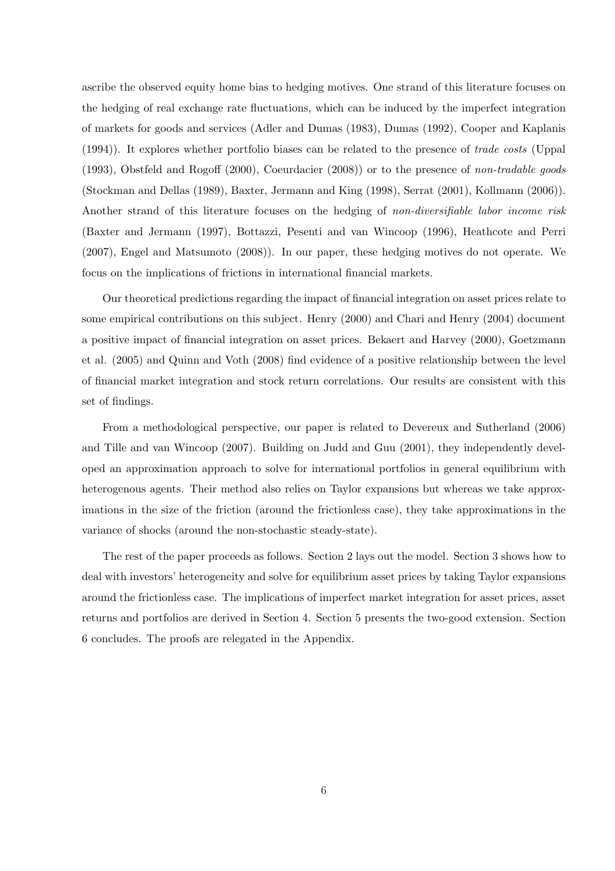ascribe the observed equity home bias to hedging motives. One strand of this literature focuses on the hedging of real exchange rate fluctuations, which can be induced by the imperfect integration of markets for goods and services (Adler and Dumas (1983), Dumas (1992), Cooper and Kaplanis (1994)). It explores whether portfolio biases can be related to the presence of trade costs (Uppal (1993), Obstfeld and Rogoff (2000), Coeurdacier (2008)) or to the presence of non-tradable goods (Stockman and Dellas (1989), Baxter, Jermann and King (1998), Serrat (2001), Kollmann (2006)). Another strand of this literature focuses on the hedging of non-diversifiable labor income risk (Baxter and Jermann (1997), Bottazzi, Pesenti and van Wincoop (1996), Heathcote and Perri (2007), Engel and Matsumoto (2008)). In our paper, these hedging motives do not operate. We focus on the implications of frictions in international financial markets.

Our theoretical predictions regarding the impact of financial integration on asset prices relate to some empirical contributions on this subject. Henry (2000) and Chari and Henry (2004) document a positive impact of financial integration on asset prices. Bekaert and Harvey (2000), Goetzmann et al. (2005) and Quinn and Voth (2008) find evidence of a positive relationship between the level of financial market integration and stock return correlations. Our results are consistent with this set of findings.

From a methodological perspective, our paper is related to Devereux and Sutherland (2006) and Tille and van Wincoop (2007). Building on Judd and Guu (2001), they independently developed an approximation approach to solve for international portfolios in general equilibrium with heterogenous agents. Their method also relies on Taylor expansions but whereas we take approximations in the size of the friction (around the frictionless case), they take approximations in the variance of shocks (around the non-stochastic steady-state).

The rest of the paper proceeds as follows. Section 2 lays out the model. Section 3 shows how to deal with investors' heterogeneity and solve for equilibrium asset prices by taking Taylor expansions around the frictionless case. The implications of imperfect market integration for asset prices, asset returns and portfolios are derived in Section 4. Section 5 presents the two-good extension. Section 6 concludes. The proofs are relegated in the Appendix.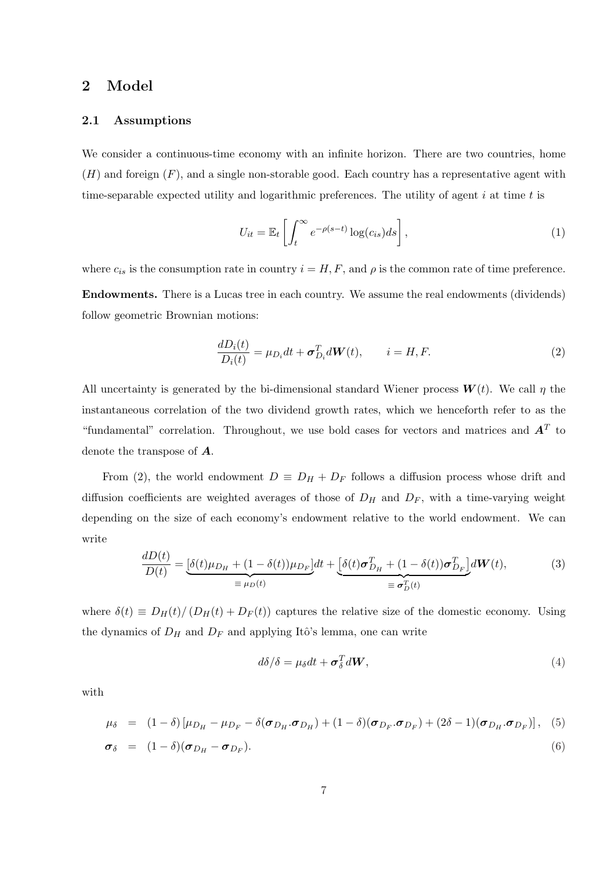# 2 Model

## 2.1 Assumptions

We consider a continuous-time economy with an infinite horizon. There are two countries, home  $(H)$  and foreign  $(F)$ , and a single non-storable good. Each country has a representative agent with time-separable expected utility and logarithmic preferences. The utility of agent  $i$  at time  $t$  is

$$
U_{it} = \mathbb{E}_t \left[ \int_t^{\infty} e^{-\rho(s-t)} \log(c_{is}) ds \right],
$$
\n(1)

where  $c_{is}$  is the consumption rate in country  $i = H, F$ , and  $\rho$  is the common rate of time preference. Endowments. There is a Lucas tree in each country. We assume the real endowments (dividends) follow geometric Brownian motions:

$$
\frac{dD_i(t)}{D_i(t)} = \mu_{D_i} dt + \sigma_{D_i}^T dW(t), \qquad i = H, F.
$$
\n(2)

All uncertainty is generated by the bi-dimensional standard Wiener process  $W(t)$ . We call  $\eta$  the instantaneous correlation of the two dividend growth rates, which we henceforth refer to as the "fundamental" correlation. Throughout, we use bold cases for vectors and matrices and  $\boldsymbol{A}^T$  to denote the transpose of A.

From (2), the world endowment  $D \equiv D_H + D_F$  follows a diffusion process whose drift and diffusion coefficients are weighted averages of those of  $D_H$  and  $D_F$ , with a time-varying weight depending on the size of each economy's endowment relative to the world endowment. We can write

$$
\frac{dD(t)}{D(t)} = \underbrace{\left[\delta(t)\mu_{D_H} + (1 - \delta(t))\mu_{D_F}\right]}_{\equiv \mu_D(t)} dt + \underbrace{\left[\delta(t)\sigma_{D_H}^T + (1 - \delta(t))\sigma_{D_F}^T\right]}_{\equiv \sigma_D^T(t)} d\mathbf{W}(t),\tag{3}
$$

where  $\delta(t) \equiv D_H(t)/(D_H(t) + D_F(t))$  captures the relative size of the domestic economy. Using the dynamics of  $D_H$  and  $D_F$  and applying Itô's lemma, one can write

$$
d\delta/\delta = \mu_{\delta} dt + \sigma_{\delta}^T dW, \qquad (4)
$$

with

$$
\mu_{\delta} = (1 - \delta) [\mu_{D_H} - \mu_{D_F} - \delta(\boldsymbol{\sigma}_{D_H}.\boldsymbol{\sigma}_{D_H}) + (1 - \delta)(\boldsymbol{\sigma}_{D_F}.\boldsymbol{\sigma}_{D_F}) + (2\delta - 1)(\boldsymbol{\sigma}_{D_H}.\boldsymbol{\sigma}_{D_F})], \quad (5)
$$

$$
\boldsymbol{\sigma}_{\delta} = (1 - \delta)(\boldsymbol{\sigma}_{D_H} - \boldsymbol{\sigma}_{D_F}). \tag{6}
$$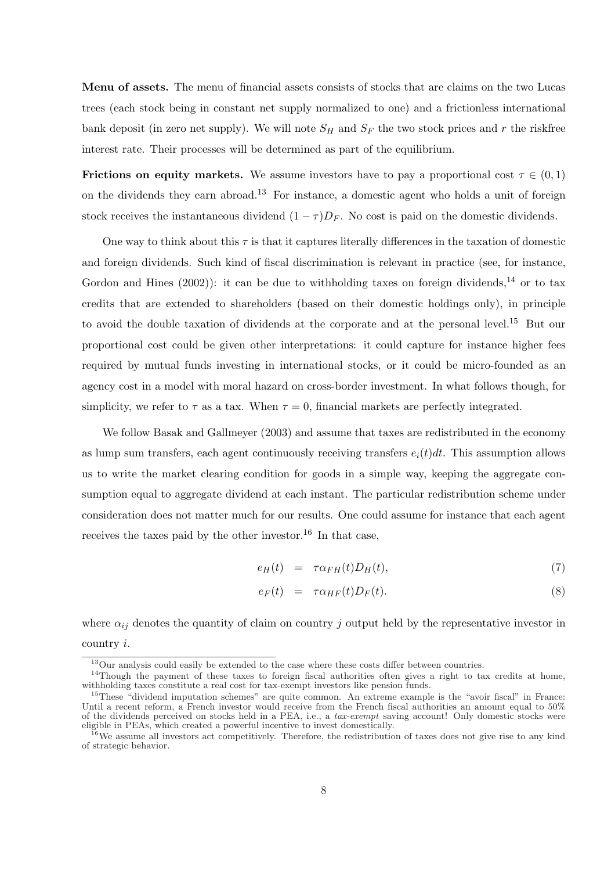Menu of assets. The menu of financial assets consists of stocks that are claims on the two Lucas trees (each stock being in constant net supply normalized to one) and a frictionless international bank deposit (in zero net supply). We will note  $S_H$  and  $S_F$  the two stock prices and r the riskfree interest rate. Their processes will be determined as part of the equilibrium.

Frictions on equity markets. We assume investors have to pay a proportional cost  $\tau \in (0,1)$ on the dividends they earn abroad.<sup>13</sup> For instance, a domestic agent who holds a unit of foreign stock receives the instantaneous dividend  $(1 - \tau)D_F$ . No cost is paid on the domestic dividends.

One way to think about this  $\tau$  is that it captures literally differences in the taxation of domestic and foreign dividends. Such kind of fiscal discrimination is relevant in practice (see, for instance, Gordon and Hines  $(2002)$ : it can be due to withholding taxes on foreign dividends,<sup>14</sup> or to tax credits that are extended to shareholders (based on their domestic holdings only), in principle to avoid the double taxation of dividends at the corporate and at the personal level.<sup>15</sup> But our proportional cost could be given other interpretations: it could capture for instance higher fees required by mutual funds investing in international stocks, or it could be micro-founded as an agency cost in a model with moral hazard on cross-border investment. In what follows though, for simplicity, we refer to  $\tau$  as a tax. When  $\tau = 0$ , financial markets are perfectly integrated.

We follow Basak and Gallmeyer (2003) and assume that taxes are redistributed in the economy as lump sum transfers, each agent continuously receiving transfers  $e_i(t)dt$ . This assumption allows us to write the market clearing condition for goods in a simple way, keeping the aggregate consumption equal to aggregate dividend at each instant. The particular redistribution scheme under consideration does not matter much for our results. One could assume for instance that each agent receives the taxes paid by the other investor.<sup>16</sup> In that case,

$$
e_H(t) = \tau \alpha_{FH}(t) D_H(t), \qquad (7)
$$

$$
e_F(t) = \tau \alpha_{HF}(t) D_F(t). \tag{8}
$$

where  $\alpha_{ij}$  denotes the quantity of claim on country j output held by the representative investor in country i.

<sup>13</sup>Our analysis could easily be extended to the case where these costs differ between countries.

<sup>&</sup>lt;sup>14</sup>Though the payment of these taxes to foreign fiscal authorities often gives a right to tax credits at home, withholding taxes constitute a real cost for tax-exempt investors like pension funds.

<sup>&</sup>lt;sup>15</sup>These "dividend imputation schemes" are quite common. An extreme example is the "avoir fiscal" in France: Until a recent reform, a French investor would receive from the French fiscal authorities an amount equal to  $50\%$ of the dividends perceived on stocks held in a PEA, i.e., a tax-exempt saving account! Only domestic stocks were eligible in PEAs, which created a powerful incentive to invest domestically.

<sup>&</sup>lt;sup>16</sup>We assume all investors act competitively. Therefore, the redistribution of taxes does not give rise to any kind of strategic behavior.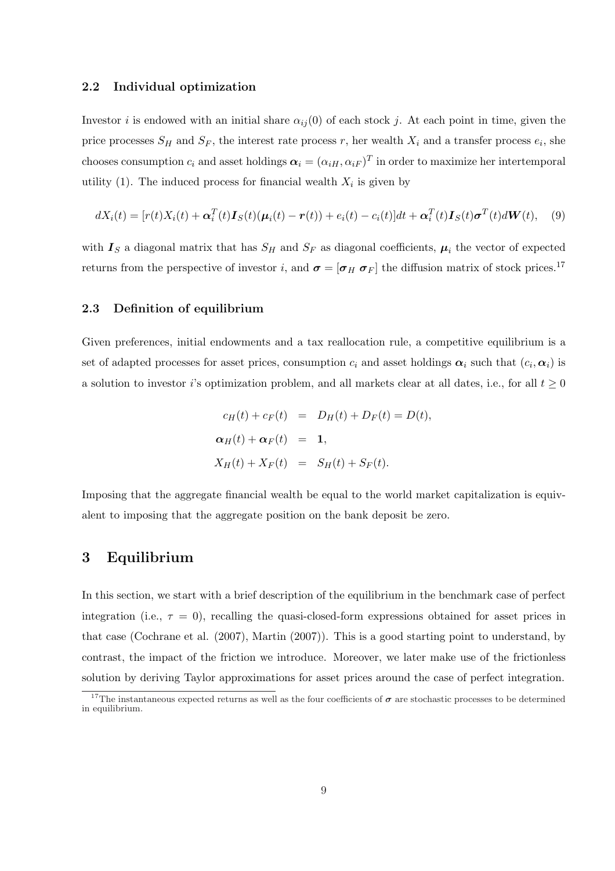#### 2.2 Individual optimization

Investor i is endowed with an initial share  $\alpha_{ij}(0)$  of each stock j. At each point in time, given the price processes  $S_H$  and  $S_F$ , the interest rate process r, her wealth  $X_i$  and a transfer process  $e_i$ , she chooses consumption  $c_i$  and asset holdings  $\boldsymbol{\alpha}_i = (\alpha_{iH}, \alpha_{iF})^T$  in order to maximize her intertemporal utility (1). The induced process for financial wealth  $X_i$  is given by

$$
dX_i(t) = [r(t)X_i(t) + \alpha_i^T(t)\mathbf{I}_S(t)(\boldsymbol{\mu}_i(t) - \boldsymbol{r}(t)) + e_i(t) - c_i(t)]dt + \alpha_i^T(t)\mathbf{I}_S(t)\boldsymbol{\sigma}^T(t)d\boldsymbol{W}(t), \quad (9)
$$

with  $I_S$  a diagonal matrix that has  $S_H$  and  $S_F$  as diagonal coefficients,  $\mu_i$  the vector of expected returns from the perspective of investor i, and  $\sigma = [\sigma_H \ \sigma_F]$  the diffusion matrix of stock prices.<sup>17</sup>

### 2.3 Definition of equilibrium

Given preferences, initial endowments and a tax reallocation rule, a competitive equilibrium is a set of adapted processes for asset prices, consumption  $c_i$  and asset holdings  $\alpha_i$  such that  $(c_i, \alpha_i)$  is a solution to investor i's optimization problem, and all markets clear at all dates, i.e., for all  $t \geq 0$ 

$$
c_H(t) + c_F(t) = D_H(t) + D_F(t) = D(t),
$$
  
\n
$$
\alpha_H(t) + \alpha_F(t) = 1,
$$
  
\n
$$
X_H(t) + X_F(t) = S_H(t) + S_F(t).
$$

Imposing that the aggregate financial wealth be equal to the world market capitalization is equivalent to imposing that the aggregate position on the bank deposit be zero.

# 3 Equilibrium

In this section, we start with a brief description of the equilibrium in the benchmark case of perfect integration (i.e.,  $\tau = 0$ ), recalling the quasi-closed-form expressions obtained for asset prices in that case (Cochrane et al. (2007), Martin (2007)). This is a good starting point to understand, by contrast, the impact of the friction we introduce. Moreover, we later make use of the frictionless solution by deriving Taylor approximations for asset prices around the case of perfect integration.

<sup>&</sup>lt;sup>17</sup>The instantaneous expected returns as well as the four coefficients of  $\sigma$  are stochastic processes to be determined in equilibrium.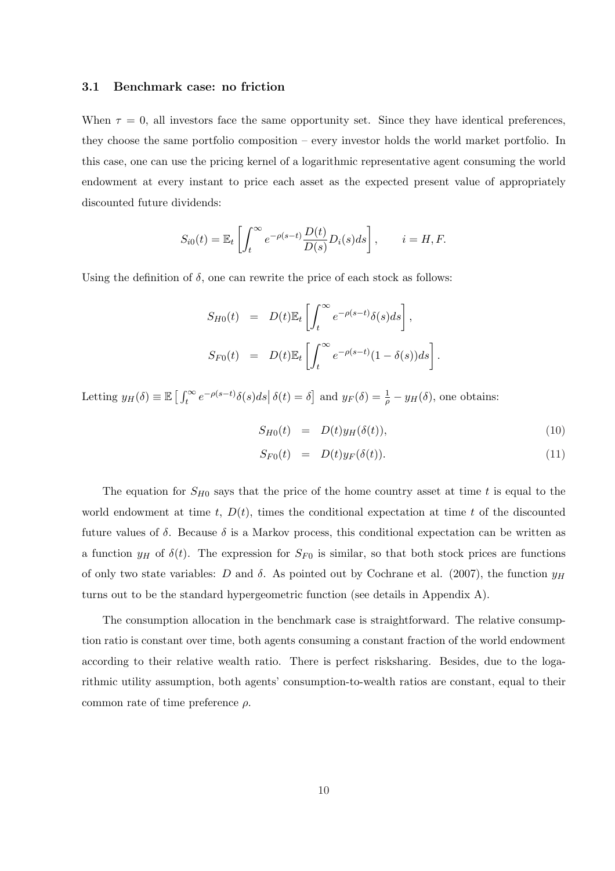#### 3.1 Benchmark case: no friction

When  $\tau = 0$ , all investors face the same opportunity set. Since they have identical preferences, they choose the same portfolio composition – every investor holds the world market portfolio. In this case, one can use the pricing kernel of a logarithmic representative agent consuming the world endowment at every instant to price each asset as the expected present value of appropriately discounted future dividends:

$$
S_{i0}(t) = \mathbb{E}_t \left[ \int_t^{\infty} e^{-\rho(s-t)} \frac{D(t)}{D(s)} D_i(s) ds \right], \qquad i = H, F.
$$

Using the definition of  $\delta$ , one can rewrite the price of each stock as follows:

$$
S_{H0}(t) = D(t)\mathbb{E}_t \left[ \int_t^{\infty} e^{-\rho(s-t)} \delta(s) ds \right],
$$
  
\n
$$
S_{F0}(t) = D(t)\mathbb{E}_t \left[ \int_t^{\infty} e^{-\rho(s-t)} (1 - \delta(s)) ds \right].
$$

Letting  $y_H(\delta) \equiv \mathbb{E} \left[ \int_t^{\infty}$  $\int_t^\infty e^{-\rho(s-t)}\delta(s)ds$  $\delta(t) = \delta$  and  $y_F(\delta) = \frac{1}{\rho} - y_H(\delta)$ , one obtains:

$$
S_{H0}(t) = D(t)y_H(\delta(t)), \qquad (10)
$$

$$
S_{F0}(t) = D(t)y_F(\delta(t)). \qquad (11)
$$

The equation for  $S_{H0}$  says that the price of the home country asset at time t is equal to the world endowment at time  $t$ ,  $D(t)$ , times the conditional expectation at time t of the discounted future values of  $\delta$ . Because  $\delta$  is a Markov process, this conditional expectation can be written as a function  $y_H$  of  $\delta(t)$ . The expression for  $S_{F0}$  is similar, so that both stock prices are functions of only two state variables: D and  $\delta$ . As pointed out by Cochrane et al. (2007), the function  $y_H$ turns out to be the standard hypergeometric function (see details in Appendix A).

The consumption allocation in the benchmark case is straightforward. The relative consumption ratio is constant over time, both agents consuming a constant fraction of the world endowment according to their relative wealth ratio. There is perfect risksharing. Besides, due to the logarithmic utility assumption, both agents' consumption-to-wealth ratios are constant, equal to their common rate of time preference  $\rho$ .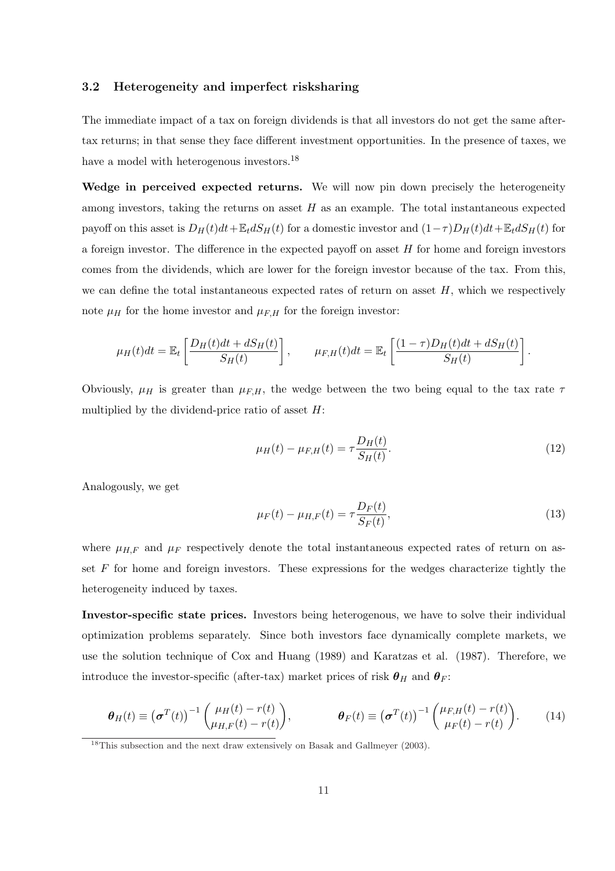### 3.2 Heterogeneity and imperfect risksharing

The immediate impact of a tax on foreign dividends is that all investors do not get the same aftertax returns; in that sense they face different investment opportunities. In the presence of taxes, we have a model with heterogenous investors.<sup>18</sup>

Wedge in perceived expected returns. We will now pin down precisely the heterogeneity among investors, taking the returns on asset  $H$  as an example. The total instantaneous expected payoff on this asset is  $D_H(t)dt + \mathbb{E}_t dS_H(t)$  for a domestic investor and  $(1-\tau)D_H(t)dt + \mathbb{E}_t dS_H(t)$  for a foreign investor. The difference in the expected payoff on asset  $H$  for home and foreign investors comes from the dividends, which are lower for the foreign investor because of the tax. From this, we can define the total instantaneous expected rates of return on asset  $H$ , which we respectively note  $\mu_H$  for the home investor and  $\mu_{F,H}$  for the foreign investor:

$$
\mu_H(t)dt = \mathbb{E}_t \left[ \frac{D_H(t)dt + dS_H(t)}{S_H(t)} \right], \qquad \mu_{F,H}(t)dt = \mathbb{E}_t \left[ \frac{(1-\tau)D_H(t)dt + dS_H(t)}{S_H(t)} \right].
$$

Obviously,  $\mu$ <sub>H</sub> is greater than  $\mu$ <sub>F,H</sub>, the wedge between the two being equal to the tax rate  $\tau$ multiplied by the dividend-price ratio of asset  $H$ :

$$
\mu_H(t) - \mu_{F,H}(t) = \tau \frac{D_H(t)}{S_H(t)}.
$$
\n(12)

Analogously, we get

$$
\mu_F(t) - \mu_{H,F}(t) = \tau \frac{D_F(t)}{S_F(t)},
$$
\n(13)

where  $\mu_{H,F}$  and  $\mu_F$  respectively denote the total instantaneous expected rates of return on asset  $F$  for home and foreign investors. These expressions for the wedges characterize tightly the heterogeneity induced by taxes.

Investor-specific state prices. Investors being heterogenous, we have to solve their individual optimization problems separately. Since both investors face dynamically complete markets, we use the solution technique of Cox and Huang (1989) and Karatzas et al. (1987). Therefore, we introduce the investor-specific (after-tax) market prices of risk  $\theta_H$  and  $\theta_F$ :

$$
\boldsymbol{\theta}_{H}(t) \equiv (\boldsymbol{\sigma}^{T}(t))^{-1} \begin{pmatrix} \mu_{H}(t) - r(t) \\ \mu_{H,F}(t) - r(t) \end{pmatrix}, \qquad \boldsymbol{\theta}_{F}(t) \equiv (\boldsymbol{\sigma}^{T}(t))^{-1} \begin{pmatrix} \mu_{F,H}(t) - r(t) \\ \mu_{F}(t) - r(t) \end{pmatrix}.
$$
 (14)

<sup>&</sup>lt;sup>18</sup>This subsection and the next draw extensively on Basak and Gallmeyer (2003).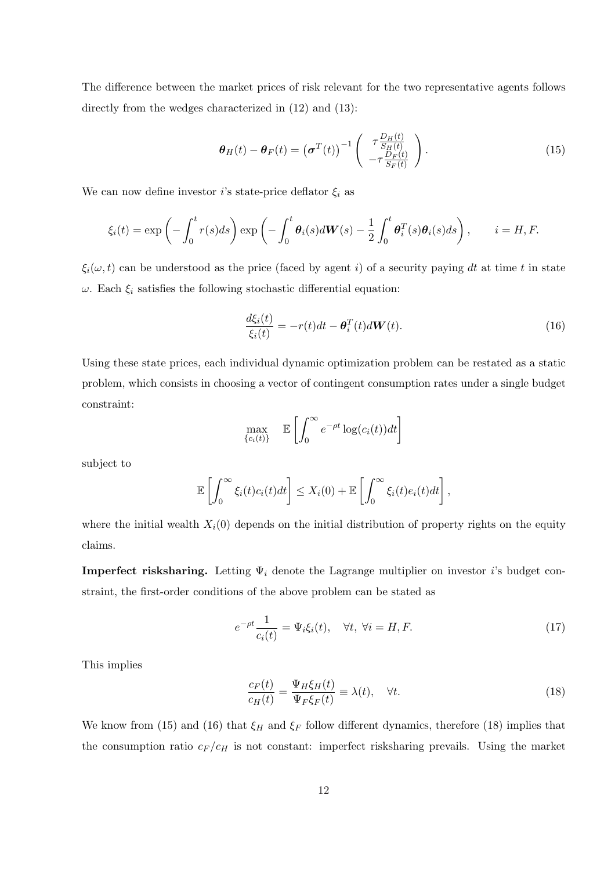The difference between the market prices of risk relevant for the two representative agents follows directly from the wedges characterized in  $(12)$  and  $(13)$ :

$$
\boldsymbol{\theta}_{H}(t) - \boldsymbol{\theta}_{F}(t) = (\boldsymbol{\sigma}^{T}(t))^{-1} \begin{pmatrix} \tau \frac{D_{H}(t)}{S_{H}(t)} \\ -\tau \frac{D_{F}(t)}{S_{F}(t)} \end{pmatrix}.
$$
\n(15)

We can now define investor *i*'s state-price deflator  $\xi_i$  as

$$
\xi_i(t) = \exp\left(-\int_0^t r(s)ds\right) \exp\left(-\int_0^t \theta_i(s)d\mathbf{W}(s) - \frac{1}{2}\int_0^t \theta_i^T(s)\theta_i(s)ds\right), \qquad i = H, F.
$$

 $\xi_i(\omega, t)$  can be understood as the price (faced by agent i) of a security paying dt at time t in state  $\omega$ . Each  $\xi_i$  satisfies the following stochastic differential equation:

$$
\frac{d\xi_i(t)}{\xi_i(t)} = -r(t)dt - \boldsymbol{\theta}_i^T(t)d\boldsymbol{W}(t). \tag{16}
$$

Using these state prices, each individual dynamic optimization problem can be restated as a static problem, which consists in choosing a vector of contingent consumption rates under a single budget constraint:

$$
\max_{\{c_i(t)\}} \quad \mathbb{E}\left[\int_0^\infty e^{-\rho t} \log(c_i(t))dt\right]
$$

subject to

$$
\mathbb{E}\left[\int_0^\infty \xi_i(t)c_i(t)dt\right] \leq X_i(0) + \mathbb{E}\left[\int_0^\infty \xi_i(t)e_i(t)dt\right],
$$

where the initial wealth  $X_i(0)$  depends on the initial distribution of property rights on the equity claims.

**Imperfect risksharing.** Letting  $\Psi_i$  denote the Lagrange multiplier on investor *i*'s budget constraint, the first-order conditions of the above problem can be stated as

$$
e^{-\rho t} \frac{1}{c_i(t)} = \Psi_i \xi_i(t), \quad \forall t, \ \forall i = H, F.
$$
 (17)

This implies

$$
\frac{c_F(t)}{c_H(t)} = \frac{\Psi_H \xi_H(t)}{\Psi_F \xi_F(t)} \equiv \lambda(t), \quad \forall t.
$$
\n(18)

We know from (15) and (16) that  $\xi_H$  and  $\xi_F$  follow different dynamics, therefore (18) implies that the consumption ratio  $c_F/c_H$  is not constant: imperfect risksharing prevails. Using the market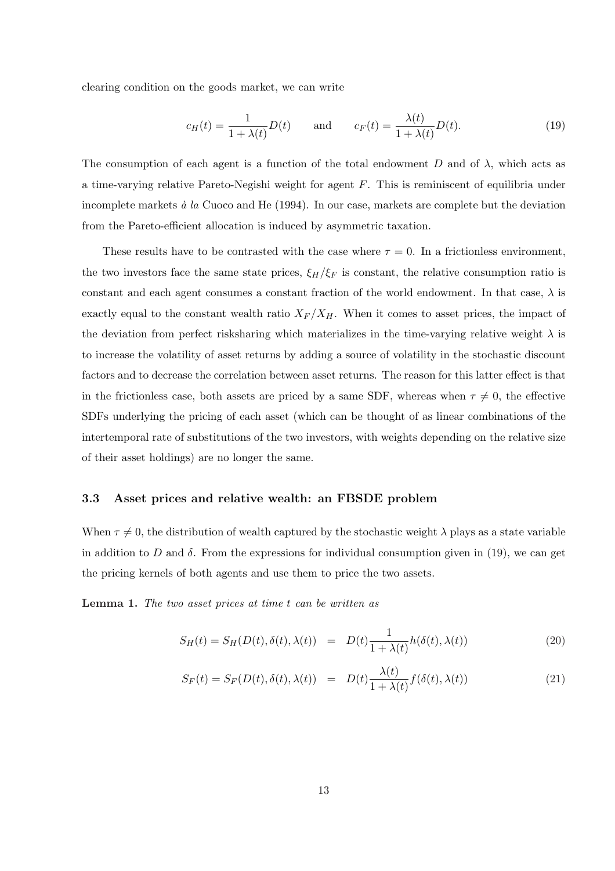clearing condition on the goods market, we can write

$$
c_H(t) = \frac{1}{1 + \lambda(t)} D(t) \quad \text{and} \quad c_F(t) = \frac{\lambda(t)}{1 + \lambda(t)} D(t). \tag{19}
$$

The consumption of each agent is a function of the total endowment D and of  $\lambda$ , which acts as a time-varying relative Pareto-Negishi weight for agent F. This is reminiscent of equilibria under incomplete markets  $\dot{a}$  la Cuoco and He (1994). In our case, markets are complete but the deviation from the Pareto-efficient allocation is induced by asymmetric taxation.

These results have to be contrasted with the case where  $\tau = 0$ . In a frictionless environment, the two investors face the same state prices,  $\xi_H/\xi_F$  is constant, the relative consumption ratio is constant and each agent consumes a constant fraction of the world endowment. In that case,  $\lambda$  is exactly equal to the constant wealth ratio  $X_F / X_H$ . When it comes to asset prices, the impact of the deviation from perfect risksharing which materializes in the time-varying relative weight  $\lambda$  is to increase the volatility of asset returns by adding a source of volatility in the stochastic discount factors and to decrease the correlation between asset returns. The reason for this latter effect is that in the frictionless case, both assets are priced by a same SDF, whereas when  $\tau \neq 0$ , the effective SDFs underlying the pricing of each asset (which can be thought of as linear combinations of the intertemporal rate of substitutions of the two investors, with weights depending on the relative size of their asset holdings) are no longer the same.

### 3.3 Asset prices and relative wealth: an FBSDE problem

When  $\tau \neq 0$ , the distribution of wealth captured by the stochastic weight  $\lambda$  plays as a state variable in addition to D and  $\delta$ . From the expressions for individual consumption given in (19), we can get the pricing kernels of both agents and use them to price the two assets.

Lemma 1. The two asset prices at time t can be written as

$$
S_H(t) = S_H(D(t), \delta(t), \lambda(t)) = D(t) \frac{1}{1 + \lambda(t)} h(\delta(t), \lambda(t))
$$
\n(20)

$$
S_F(t) = S_F(D(t), \delta(t), \lambda(t)) = D(t) \frac{\lambda(t)}{1 + \lambda(t)} f(\delta(t), \lambda(t))
$$
\n(21)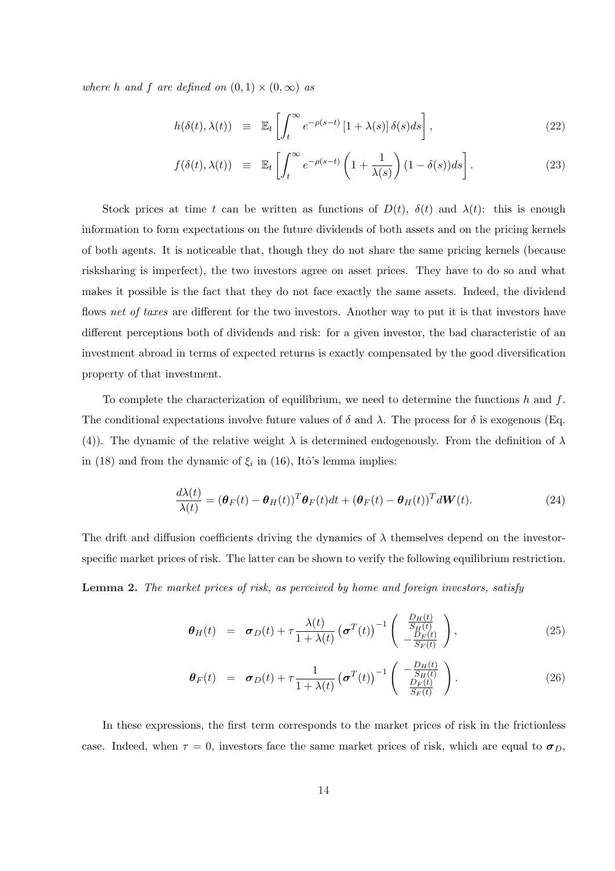where h and f are defined on  $(0, 1) \times (0, \infty)$  as

$$
h(\delta(t), \lambda(t)) \equiv \mathbb{E}_t \left[ \int_t^{\infty} e^{-\rho(s-t)} \left[ 1 + \lambda(s) \right] \delta(s) ds \right], \tag{22}
$$

$$
f(\delta(t), \lambda(t)) \equiv \mathbb{E}_t \left[ \int_t^{\infty} e^{-\rho(s-t)} \left( 1 + \frac{1}{\lambda(s)} \right) (1 - \delta(s)) ds \right]. \tag{23}
$$

Stock prices at time t can be written as functions of  $D(t)$ ,  $\delta(t)$  and  $\lambda(t)$ : this is enough information to form expectations on the future dividends of both assets and on the pricing kernels of both agents. It is noticeable that, though they do not share the same pricing kernels (because risksharing is imperfect), the two investors agree on asset prices. They have to do so and what makes it possible is the fact that they do not face exactly the same assets. Indeed, the dividend flows net of taxes are different for the two investors. Another way to put it is that investors have different perceptions both of dividends and risk: for a given investor, the bad characteristic of an investment abroad in terms of expected returns is exactly compensated by the good diversification property of that investment.

To complete the characterization of equilibrium, we need to determine the functions h and f. The conditional expectations involve future values of  $\delta$  and  $\lambda$ . The process for  $\delta$  is exogenous (Eq. (4)). The dynamic of the relative weight  $\lambda$  is determined endogenously. From the definition of  $\lambda$ in (18) and from the dynamic of  $\xi_i$  in (16), Itô's lemma implies:

$$
\frac{d\lambda(t)}{\lambda(t)} = (\boldsymbol{\theta}_F(t) - \boldsymbol{\theta}_H(t))^T \boldsymbol{\theta}_F(t) dt + (\boldsymbol{\theta}_F(t) - \boldsymbol{\theta}_H(t))^T d\mathbf{W}(t).
$$
\n(24)

The drift and diffusion coefficients driving the dynamics of  $\lambda$  themselves depend on the investorspecific market prices of risk. The latter can be shown to verify the following equilibrium restriction.

Lemma 2. The market prices of risk, as perceived by home and foreign investors, satisfy

$$
\boldsymbol{\theta}_{H}(t) = \boldsymbol{\sigma}_{D}(t) + \tau \frac{\lambda(t)}{1 + \lambda(t)} \left(\boldsymbol{\sigma}^{T}(t)\right)^{-1} \begin{pmatrix} \frac{D_{H}(t)}{S_{H}(t)} \\ -\frac{D_{F}(t)}{S_{F}(t)} \end{pmatrix}, \qquad (25)
$$

$$
\boldsymbol{\theta}_F(t) = \boldsymbol{\sigma}_D(t) + \tau \frac{1}{1 + \lambda(t)} \left( \boldsymbol{\sigma}^T(t) \right)^{-1} \begin{pmatrix} -\frac{D_H(t)}{S_H(t)}\\ \frac{D_F(t)}{S_F(t)} \end{pmatrix} . \tag{26}
$$

In these expressions, the first term corresponds to the market prices of risk in the frictionless case. Indeed, when  $\tau = 0$ , investors face the same market prices of risk, which are equal to  $\sigma_D$ ,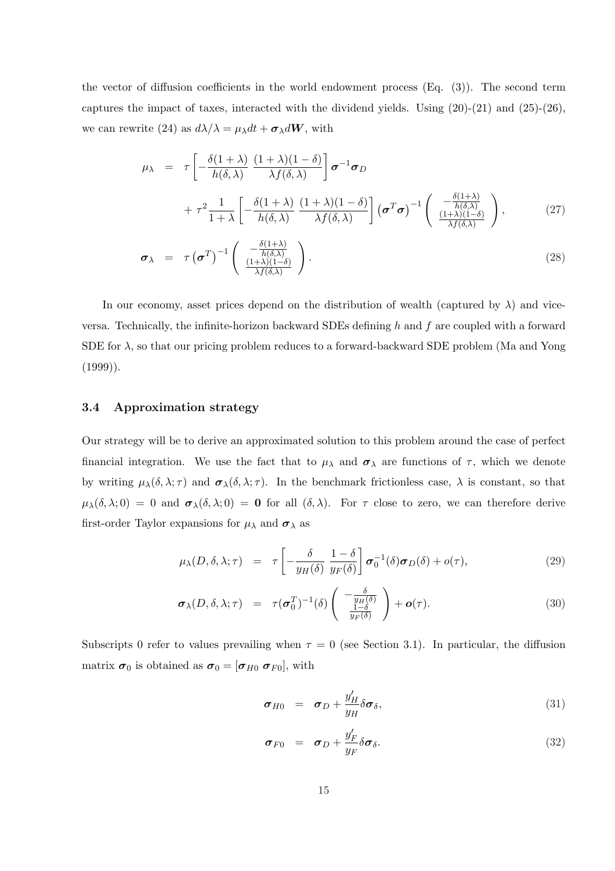the vector of diffusion coefficients in the world endowment process  $(Eq. (3))$ . The second term captures the impact of taxes, interacted with the dividend yields. Using  $(20)-(21)$  and  $(25)-(26)$ , we can rewrite (24) as  $d\lambda/\lambda = \mu_{\lambda} dt + \sigma_{\lambda} dW$ , with

$$
\mu_{\lambda} = \tau \left[ -\frac{\delta(1+\lambda)}{h(\delta,\lambda)} \frac{(1+\lambda)(1-\delta)}{\lambda f(\delta,\lambda)} \right] \sigma^{-1} \sigma_D
$$
  
+ 
$$
\tau^2 \frac{1}{1+\lambda} \left[ -\frac{\delta(1+\lambda)}{h(\delta,\lambda)} \frac{(1+\lambda)(1-\delta)}{\lambda f(\delta,\lambda)} \right] (\sigma^T \sigma)^{-1} \left( \frac{-\frac{\delta(1+\lambda)}{h(\delta,\lambda)}}{\frac{(1+\lambda)(1-\delta)}{\lambda f(\delta,\lambda)}} \right), \tag{27}
$$
  

$$
\sigma_{\lambda} = \tau (\sigma^T)^{-1} \left( \frac{-\frac{\delta(1+\lambda)}{h(\delta,\lambda)}}{\frac{(1+\lambda)(1-\delta)}{\lambda f(\delta,\lambda)}} \right).
$$

In our economy, asset prices depend on the distribution of wealth (captured by  $\lambda$ ) and viceversa. Technically, the infinite-horizon backward SDEs defining h and f are coupled with a forward SDE for  $\lambda$ , so that our pricing problem reduces to a forward-backward SDE problem (Ma and Yong (1999)).

### 3.4 Approximation strategy

Our strategy will be to derive an approximated solution to this problem around the case of perfect financial integration. We use the fact that to  $\mu_{\lambda}$  and  $\sigma_{\lambda}$  are functions of  $\tau$ , which we denote by writing  $\mu_{\lambda}(\delta, \lambda; \tau)$  and  $\sigma_{\lambda}(\delta, \lambda; \tau)$ . In the benchmark frictionless case,  $\lambda$  is constant, so that  $\mu_{\lambda}(\delta, \lambda; 0) = 0$  and  $\sigma_{\lambda}(\delta, \lambda; 0) = 0$  for all  $(\delta, \lambda)$ . For  $\tau$  close to zero, we can therefore derive first-order Taylor expansions for  $\mu_{\lambda}$  and  $\sigma_{\lambda}$  as

$$
\mu_{\lambda}(D,\delta,\lambda;\tau) = \tau \left[ -\frac{\delta}{y_H(\delta)} \frac{1-\delta}{y_F(\delta)} \right] \sigma_0^{-1}(\delta) \sigma_D(\delta) + o(\tau), \tag{29}
$$

$$
\boldsymbol{\sigma}_{\lambda}(D,\delta,\lambda;\tau) = \tau(\boldsymbol{\sigma}_{0}^{T})^{-1}(\delta) \left( \begin{array}{c} -\frac{\delta}{y_{H}(\delta)} \\ \frac{1-\delta}{y_{F}(\delta)} \end{array} \right) + \boldsymbol{o}(\tau). \tag{30}
$$

Subscripts 0 refer to values prevailing when  $\tau = 0$  (see Section 3.1). In particular, the diffusion matrix  $\sigma_0$  is obtained as  $\sigma_0 = [\sigma_{H0} \; \sigma_{F0}],$  with

$$
\boldsymbol{\sigma}_{H0} = \boldsymbol{\sigma}_D + \frac{y'_H}{y_H} \delta \boldsymbol{\sigma}_\delta, \tag{31}
$$

$$
\boldsymbol{\sigma}_{F0} = \boldsymbol{\sigma}_D + \frac{y'_F}{y_F} \delta \boldsymbol{\sigma}_{\delta}.
$$
\n(32)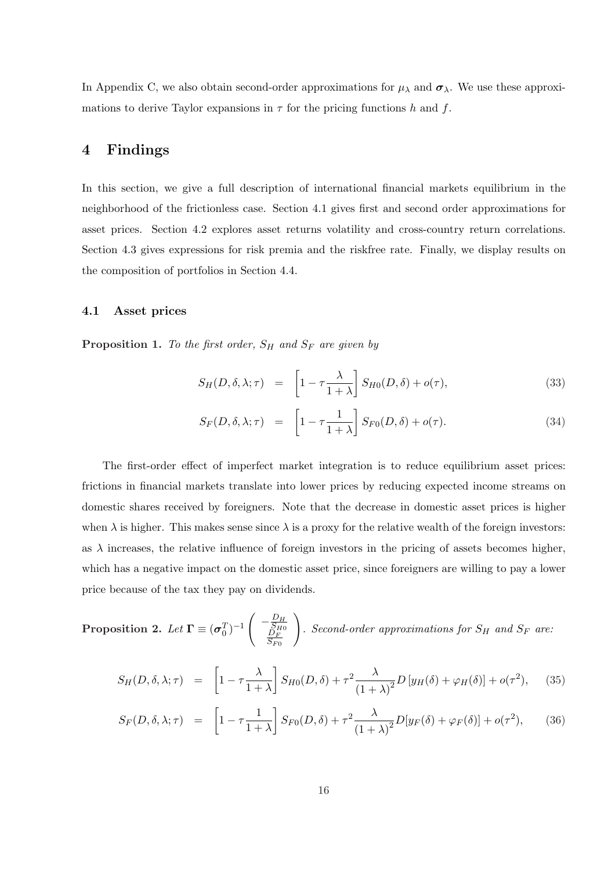In Appendix C, we also obtain second-order approximations for  $\mu_{\lambda}$  and  $\sigma_{\lambda}$ . We use these approximations to derive Taylor expansions in  $\tau$  for the pricing functions h and f.

# 4 Findings

In this section, we give a full description of international financial markets equilibrium in the neighborhood of the frictionless case. Section 4.1 gives first and second order approximations for asset prices. Section 4.2 explores asset returns volatility and cross-country return correlations. Section 4.3 gives expressions for risk premia and the riskfree rate. Finally, we display results on the composition of portfolios in Section 4.4.

## 4.1 Asset prices

**Proposition 1.** To the first order,  $S_H$  and  $S_F$  are given by

$$
S_H(D,\delta,\lambda;\tau) = \left[1 - \tau \frac{\lambda}{1+\lambda}\right] S_{H0}(D,\delta) + o(\tau), \tag{33}
$$

$$
S_F(D, \delta, \lambda; \tau) = \left[1 - \tau \frac{1}{1 + \lambda}\right] S_{F0}(D, \delta) + o(\tau). \tag{34}
$$

The first-order effect of imperfect market integration is to reduce equilibrium asset prices: frictions in financial markets translate into lower prices by reducing expected income streams on domestic shares received by foreigners. Note that the decrease in domestic asset prices is higher when  $\lambda$  is higher. This makes sense since  $\lambda$  is a proxy for the relative wealth of the foreign investors: as  $\lambda$  increases, the relative influence of foreign investors in the pricing of assets becomes higher, which has a negative impact on the domestic asset price, since foreigners are willing to pay a lower price because of the tax they pay on dividends.

**Proposition 2.** Let 
$$
\mathbf{\Gamma} \equiv (\sigma_0^T)^{-1} \begin{pmatrix} -\frac{D_H}{S_{F0}} \\ \frac{D_F}{S_{F0}} \end{pmatrix}
$$
. Second-order approximations for  $S_H$  and  $S_F$  are:

$$
S_H(D, \delta, \lambda; \tau) = \left[1 - \tau \frac{\lambda}{1 + \lambda}\right] S_{H0}(D, \delta) + \tau^2 \frac{\lambda}{(1 + \lambda)^2} D\left[y_H(\delta) + \varphi_H(\delta)\right] + o(\tau^2), \quad (35)
$$

$$
S_F(D,\delta,\lambda;\tau) = \left[1 - \tau \frac{1}{1+\lambda}\right] S_{F0}(D,\delta) + \tau^2 \frac{\lambda}{(1+\lambda)^2} D[y_F(\delta) + \varphi_F(\delta)] + o(\tau^2),\tag{36}
$$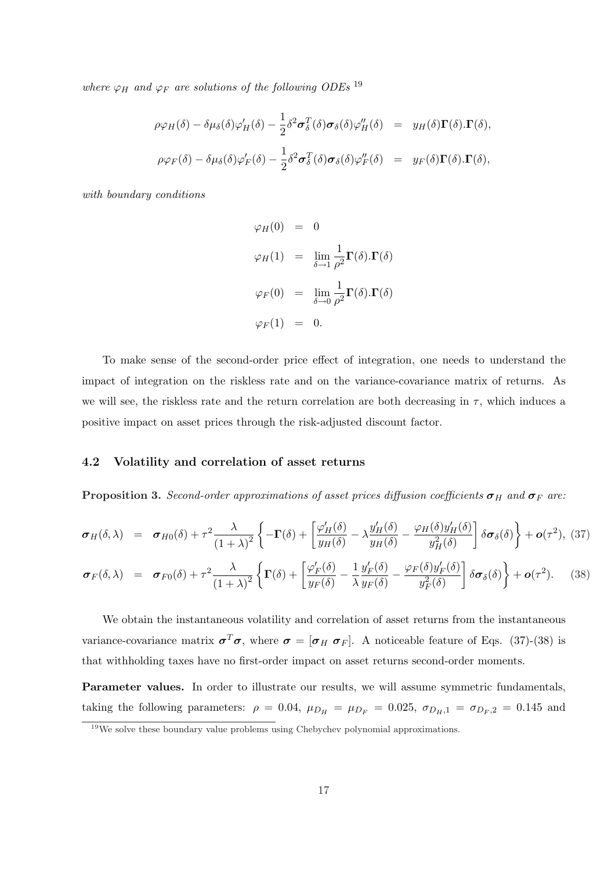where  $\varphi_H$  and  $\varphi_F$  are solutions of the following ODEs <sup>19</sup>

$$
\rho \varphi_H(\delta) - \delta \mu_{\delta}(\delta) \varphi'_H(\delta) - \frac{1}{2} \delta^2 \sigma_{\delta}^T(\delta) \sigma_{\delta}(\delta) \varphi''_H(\delta) = y_H(\delta) \Gamma(\delta) . \Gamma(\delta),
$$
  

$$
\rho \varphi_F(\delta) - \delta \mu_{\delta}(\delta) \varphi'_F(\delta) - \frac{1}{2} \delta^2 \sigma_{\delta}^T(\delta) \sigma_{\delta}(\delta) \varphi''_F(\delta) = y_F(\delta) \Gamma(\delta) . \Gamma(\delta),
$$

with boundary conditions

$$
\varphi_H(0) = 0
$$
  
\n
$$
\varphi_H(1) = \lim_{\delta \to 1} \frac{1}{\rho^2} \mathbf{\Gamma}(\delta) . \mathbf{\Gamma}(\delta)
$$
  
\n
$$
\varphi_F(0) = \lim_{\delta \to 0} \frac{1}{\rho^2} \mathbf{\Gamma}(\delta) . \mathbf{\Gamma}(\delta)
$$
  
\n
$$
\varphi_F(1) = 0.
$$

To make sense of the second-order price effect of integration, one needs to understand the impact of integration on the riskless rate and on the variance-covariance matrix of returns. As we will see, the riskless rate and the return correlation are both decreasing in  $\tau$ , which induces a positive impact on asset prices through the risk-adjusted discount factor.

## 4.2 Volatility and correlation of asset returns

**Proposition 3.** Second-order approximations of asset prices diffusion coefficients  $\sigma_H$  and  $\sigma_F$  are:

$$
\boldsymbol{\sigma}_{H}(\delta,\lambda) = \boldsymbol{\sigma}_{H0}(\delta) + \tau^{2} \frac{\lambda}{(1+\lambda)^{2}} \left\{-\Gamma(\delta) + \left[\frac{\varphi_{H}'(\delta)}{y_{H}(\delta)} - \lambda \frac{y_{H}'(\delta)}{y_{H}(\delta)} - \frac{\varphi_{H}(\delta)y_{H}'(\delta)}{y_{H}^{2}(\delta)}\right] \delta \boldsymbol{\sigma}_{\delta}(\delta)\right\} + \boldsymbol{o}(\tau^{2}),
$$
(37)

$$
\boldsymbol{\sigma}_{F}(\delta,\lambda) = \boldsymbol{\sigma}_{F0}(\delta) + \tau^2 \frac{\lambda}{(1+\lambda)^2} \left\{ \boldsymbol{\Gamma}(\delta) + \left[ \frac{\varphi'_{F}(\delta)}{y_{F}(\delta)} - \frac{1}{\lambda} \frac{y'_{F}(\delta)}{y_{F}(\delta)} - \frac{\varphi_{F}(\delta)y'_{F}(\delta)}{y_{F}^{2}(\delta)} \right] \delta \boldsymbol{\sigma}_{\delta}(\delta) \right\} + \boldsymbol{o}(\tau^2). \tag{38}
$$

We obtain the instantaneous volatility and correlation of asset returns from the instantaneous variance-covariance matrix  $\sigma^T \sigma$ , where  $\sigma = [\sigma_H \ \sigma_F]$ . A noticeable feature of Eqs. (37)-(38) is that withholding taxes have no first-order impact on asset returns second-order moments.

Parameter values. In order to illustrate our results, we will assume symmetric fundamentals, taking the following parameters:  $\rho = 0.04$ ,  $\mu_{D_H} = \mu_{D_F} = 0.025$ ,  $\sigma_{D_H,1} = \sigma_{D_F,2} = 0.145$  and

<sup>&</sup>lt;sup>19</sup>We solve these boundary value problems using Chebychev polynomial approximations.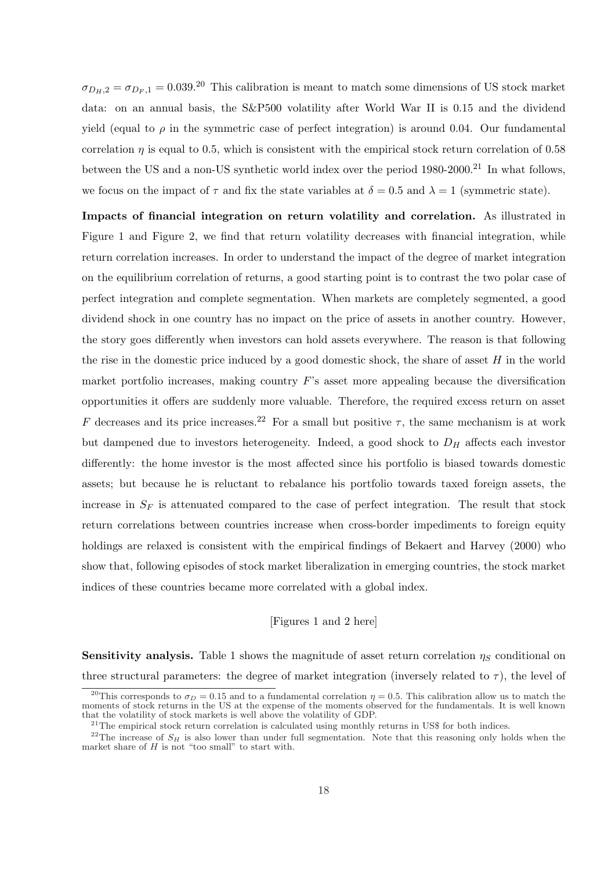$\sigma_{D_H,2} = \sigma_{D_F,1} = 0.039$ .<sup>20</sup> This calibration is meant to match some dimensions of US stock market data: on an annual basis, the S&P500 volatility after World War II is 0.15 and the dividend yield (equal to  $\rho$  in the symmetric case of perfect integration) is around 0.04. Our fundamental correlation  $\eta$  is equal to 0.5, which is consistent with the empirical stock return correlation of 0.58 between the US and a non-US synthetic world index over the period 1980-2000.<sup>21</sup> In what follows, we focus on the impact of  $\tau$  and fix the state variables at  $\delta = 0.5$  and  $\lambda = 1$  (symmetric state).

Impacts of financial integration on return volatility and correlation. As illustrated in Figure 1 and Figure 2, we find that return volatility decreases with financial integration, while return correlation increases. In order to understand the impact of the degree of market integration on the equilibrium correlation of returns, a good starting point is to contrast the two polar case of perfect integration and complete segmentation. When markets are completely segmented, a good dividend shock in one country has no impact on the price of assets in another country. However, the story goes differently when investors can hold assets everywhere. The reason is that following the rise in the domestic price induced by a good domestic shock, the share of asset  $H$  in the world market portfolio increases, making country  $F$ 's asset more appealing because the diversification opportunities it offers are suddenly more valuable. Therefore, the required excess return on asset F decreases and its price increases.<sup>22</sup> For a small but positive  $\tau$ , the same mechanism is at work but dampened due to investors heterogeneity. Indeed, a good shock to  $D_H$  affects each investor differently: the home investor is the most affected since his portfolio is biased towards domestic assets; but because he is reluctant to rebalance his portfolio towards taxed foreign assets, the increase in  $S_F$  is attenuated compared to the case of perfect integration. The result that stock return correlations between countries increase when cross-border impediments to foreign equity holdings are relaxed is consistent with the empirical findings of Bekaert and Harvey (2000) who show that, following episodes of stock market liberalization in emerging countries, the stock market indices of these countries became more correlated with a global index.

## [Figures 1 and 2 here]

**Sensitivity analysis.** Table 1 shows the magnitude of asset return correlation  $\eta_s$  conditional on three structural parameters: the degree of market integration (inversely related to  $\tau$ ), the level of

<sup>&</sup>lt;sup>20</sup>This corresponds to  $\sigma_D = 0.15$  and to a fundamental correlation  $\eta = 0.5$ . This calibration allow us to match the moments of stock returns in the US at the expense of the moments observed for the fundamentals. It is well known that the volatility of stock markets is well above the volatility of GDP.

 $^{21}$ The empirical stock return correlation is calculated using monthly returns in US\$ for both indices.

<sup>&</sup>lt;sup>22</sup>The increase of  $S_H$  is also lower than under full segmentation. Note that this reasoning only holds when the market share of  $H$  is not "too small" to start with.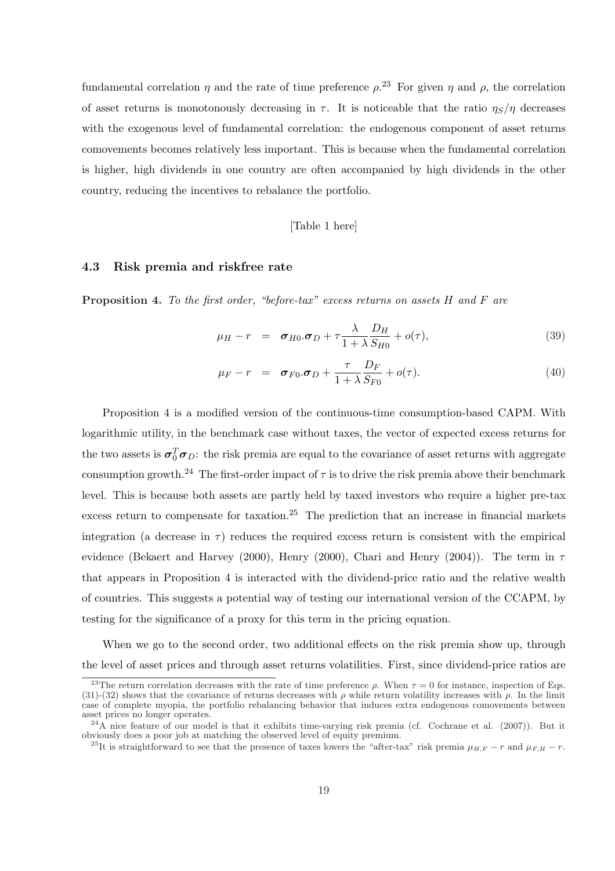fundamental correlation  $\eta$  and the rate of time preference  $\rho$ <sup>23</sup>. For given  $\eta$  and  $\rho$ , the correlation of asset returns is monotonously decreasing in  $\tau$ . It is noticeable that the ratio  $\eta_s/\eta$  decreases with the exogenous level of fundamental correlation: the endogenous component of asset returns comovements becomes relatively less important. This is because when the fundamental correlation is higher, high dividends in one country are often accompanied by high dividends in the other country, reducing the incentives to rebalance the portfolio.

## [Table 1 here]

## 4.3 Risk premia and riskfree rate

**Proposition 4.** To the first order, "before-tax" excess returns on assets  $H$  and  $F$  are

$$
\mu_H - r = \sigma_{H0}.\sigma_D + \tau \frac{\lambda}{1 + \lambda} \frac{D_H}{S_{H0}} + o(\tau), \tag{39}
$$

$$
\mu_F - r = \sigma_{F0}.\sigma_D + \frac{\tau}{1 + \lambda} \frac{D_F}{S_{F0}} + o(\tau). \tag{40}
$$

Proposition 4 is a modified version of the continuous-time consumption-based CAPM. With logarithmic utility, in the benchmark case without taxes, the vector of expected excess returns for the two assets is  $\sigma_0^T \sigma_D$ : the risk premia are equal to the covariance of asset returns with aggregate consumption growth.<sup>24</sup> The first-order impact of  $\tau$  is to drive the risk premia above their benchmark level. This is because both assets are partly held by taxed investors who require a higher pre-tax excess return to compensate for taxation.<sup>25</sup> The prediction that an increase in financial markets integration (a decrease in  $\tau$ ) reduces the required excess return is consistent with the empirical evidence (Bekaert and Harvey (2000), Henry (2000), Chari and Henry (2004)). The term in  $\tau$ that appears in Proposition 4 is interacted with the dividend-price ratio and the relative wealth of countries. This suggests a potential way of testing our international version of the CCAPM, by testing for the significance of a proxy for this term in the pricing equation.

When we go to the second order, two additional effects on the risk premia show up, through the level of asset prices and through asset returns volatilities. First, since dividend-price ratios are

<sup>&</sup>lt;sup>23</sup>The return correlation decreases with the rate of time preference  $\rho$ . When  $\tau = 0$  for instance, inspection of Eqs. (31)-(32) shows that the covariance of returns decreases with  $\rho$  while return volatility increases with  $\rho$ . In the limit case of complete myopia, the portfolio rebalancing behavior that induces extra endogenous comovements between asset prices no longer operates.

 $^{24}$ A nice feature of our model is that it exhibits time-varying risk premia (cf. Cochrane et al. (2007)). But it obviously does a poor job at matching the observed level of equity premium.

<sup>&</sup>lt;sup>25</sup>It is straightforward to see that the presence of taxes lowers the "after-tax" risk premia  $\mu_{H,F} - r$  and  $\mu_{F,H} - r$ .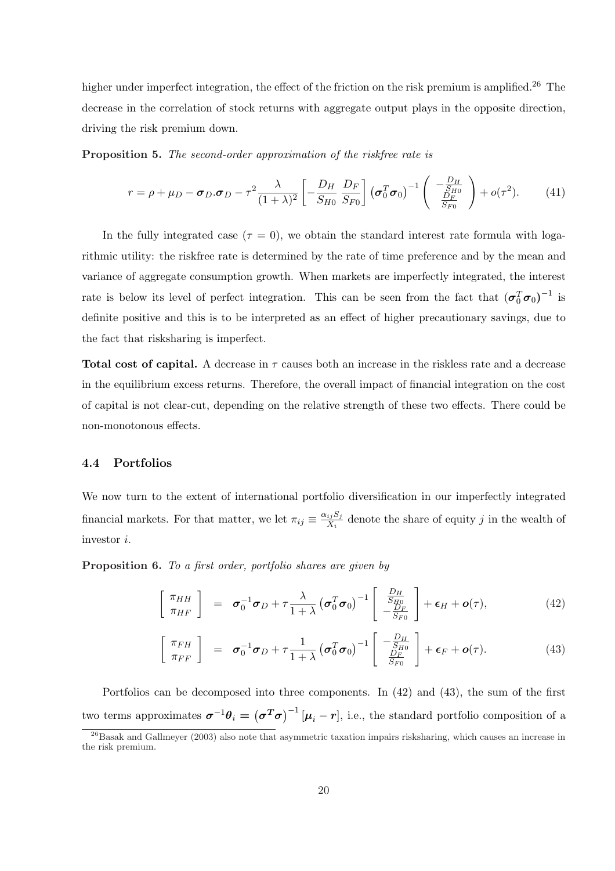higher under imperfect integration, the effect of the friction on the risk premium is amplified.<sup>26</sup> The decrease in the correlation of stock returns with aggregate output plays in the opposite direction, driving the risk premium down.

Proposition 5. The second-order approximation of the riskfree rate is

$$
r = \rho + \mu_D - \sigma_D \cdot \sigma_D - \tau^2 \frac{\lambda}{(1+\lambda)^2} \left[ -\frac{D_H}{S_{H0}} \frac{D_F}{S_{F0}} \right] \left( \sigma_0^T \sigma_0 \right)^{-1} \left( \begin{array}{c} -\frac{D_H}{S_{H0}}\\ \frac{D_F}{S_{F0}} \end{array} \right) + o(\tau^2). \tag{41}
$$

In the fully integrated case  $(\tau = 0)$ , we obtain the standard interest rate formula with logarithmic utility: the riskfree rate is determined by the rate of time preference and by the mean and variance of aggregate consumption growth. When markets are imperfectly integrated, the interest rate is below its level of perfect integration. This can be seen from the fact that  $(\sigma_0^T \sigma_0)^{-1}$  is definite positive and this is to be interpreted as an effect of higher precautionary savings, due to the fact that risksharing is imperfect.

Total cost of capital. A decrease in  $\tau$  causes both an increase in the riskless rate and a decrease in the equilibrium excess returns. Therefore, the overall impact of financial integration on the cost of capital is not clear-cut, depending on the relative strength of these two effects. There could be non-monotonous effects.

## 4.4 Portfolios

We now turn to the extent of international portfolio diversification in our imperfectly integrated financial markets. For that matter, we let  $\pi_{ij} \equiv \frac{\alpha_{ij} S_j}{X_i}$  $\frac{i j S_j}{X_i}$  denote the share of equity j in the wealth of investor i.

Proposition 6. To a first order, portfolio shares are given by

$$
\begin{bmatrix}\n\pi_{HH} \\
\pi_{HF}\n\end{bmatrix} = \boldsymbol{\sigma}_0^{-1} \boldsymbol{\sigma}_D + \tau \frac{\lambda}{1+\lambda} \left(\boldsymbol{\sigma}_0^T \boldsymbol{\sigma}_0\right)^{-1} \begin{bmatrix}\n\frac{D_H}{S_{H0}} \\
-\frac{D_F}{S_{F0}}\n\end{bmatrix} + \boldsymbol{\epsilon}_H + \boldsymbol{o}(\tau),
$$
\n(42)

$$
\begin{bmatrix}\n\pi_{FH} \\
\pi_{FF}\n\end{bmatrix} = \boldsymbol{\sigma}_0^{-1} \boldsymbol{\sigma}_D + \tau \frac{1}{1+\lambda} \left( \boldsymbol{\sigma}_0^T \boldsymbol{\sigma}_0 \right)^{-1} \begin{bmatrix}\n-\frac{D_H}{S_{H0}} \\
\frac{D_F}{S_{F0}}\n\end{bmatrix} + \boldsymbol{\epsilon}_F + \boldsymbol{o}(\tau). \tag{43}
$$

Portfolios can be decomposed into three components. In (42) and (43), the sum of the first two terms approximates  $\sigma^{-1}\theta_i =$  (  $\sigma^T\sigma)^{-1}$  $[\mu_i - r]$ , i.e., the standard portfolio composition of a

 $^{26}$ Basak and Gallmeyer (2003) also note that asymmetric taxation impairs risksharing, which causes an increase in the risk premium.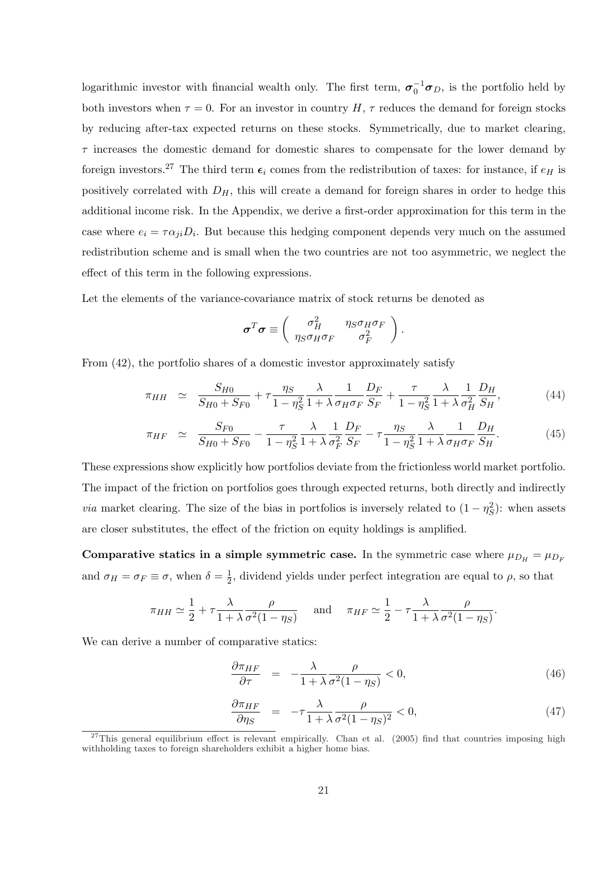logarithmic investor with financial wealth only. The first term,  $\sigma_0^{-1}\sigma_D$ , is the portfolio held by both investors when  $\tau = 0$ . For an investor in country H,  $\tau$  reduces the demand for foreign stocks by reducing after-tax expected returns on these stocks. Symmetrically, due to market clearing,  $\tau$  increases the domestic demand for domestic shares to compensate for the lower demand by foreign investors.<sup>27</sup> The third term  $\epsilon_i$  comes from the redistribution of taxes: for instance, if  $e_H$  is positively correlated with  $D_H$ , this will create a demand for foreign shares in order to hedge this additional income risk. In the Appendix, we derive a first-order approximation for this term in the case where  $e_i = \tau \alpha_{ji} D_i$ . But because this hedging component depends very much on the assumed redistribution scheme and is small when the two countries are not too asymmetric, we neglect the effect of this term in the following expressions.

Let the elements of the variance-covariance matrix of stock returns be denoted as

$$
\boldsymbol{\sigma}^T \boldsymbol{\sigma} \equiv \begin{pmatrix} \sigma_H^2 & \eta_S \sigma_H \sigma_F \\ \eta_S \sigma_H \sigma_F & \sigma_F^2 \end{pmatrix}.
$$

From (42), the portfolio shares of a domestic investor approximately satisfy

$$
\pi_{HH} \simeq \frac{S_{H0}}{S_{H0} + S_{F0}} + \tau \frac{\eta_S}{1 - \eta_S^2} \frac{\lambda}{1 + \lambda} \frac{1}{\sigma_H \sigma_F} \frac{D_F}{S_F} + \frac{\tau}{1 - \eta_S^2} \frac{\lambda}{1 + \lambda} \frac{1}{\sigma_H^2} \frac{D_H}{S_H},\tag{44}
$$

$$
\pi_{HF} \simeq \frac{S_{F0}}{S_{H0} + S_{F0}} - \frac{\tau}{1 - \eta_S^2} \frac{\lambda}{1 + \lambda} \frac{1}{\sigma_F^2} \frac{D_F}{S_F} - \tau \frac{\eta_S}{1 - \eta_S^2} \frac{\lambda}{1 + \lambda} \frac{1}{\sigma_H \sigma_F} \frac{D_H}{S_H}.
$$
(45)

These expressions show explicitly how portfolios deviate from the frictionless world market portfolio. The impact of the friction on portfolios goes through expected returns, both directly and indirectly *via* market clearing. The size of the bias in portfolios is inversely related to  $(1 - \eta_S^2)$ : when assets are closer substitutes, the effect of the friction on equity holdings is amplified.

Comparative statics in a simple symmetric case. In the symmetric case where  $\mu_{D_H} = \mu_{D_F}$ and  $\sigma_H = \sigma_F \equiv \sigma$ , when  $\delta = \frac{1}{2}$  $\frac{1}{2}$ , dividend yields under perfect integration are equal to  $\rho$ , so that

$$
\pi_{HH} \simeq \frac{1}{2} + \tau \frac{\lambda}{1 + \lambda} \frac{\rho}{\sigma^2 (1 - \eta_S)} \quad \text{and} \quad \pi_{HF} \simeq \frac{1}{2} - \tau \frac{\lambda}{1 + \lambda} \frac{\rho}{\sigma^2 (1 - \eta_S)}.
$$

We can derive a number of comparative statics:

$$
\frac{\partial \pi_{HF}}{\partial \tau} = -\frac{\lambda}{1 + \lambda} \frac{\rho}{\sigma^2 (1 - \eta_S)} < 0,\tag{46}
$$

$$
\frac{\partial \pi_{HF}}{\partial \eta_S} = -\tau \frac{\lambda}{1 + \lambda} \frac{\rho}{\sigma^2 (1 - \eta_S)^2} < 0,\tag{47}
$$

 $^{27}$ This general equilibrium effect is relevant empirically. Chan et al. (2005) find that countries imposing high withholding taxes to foreign shareholders exhibit a higher home bias.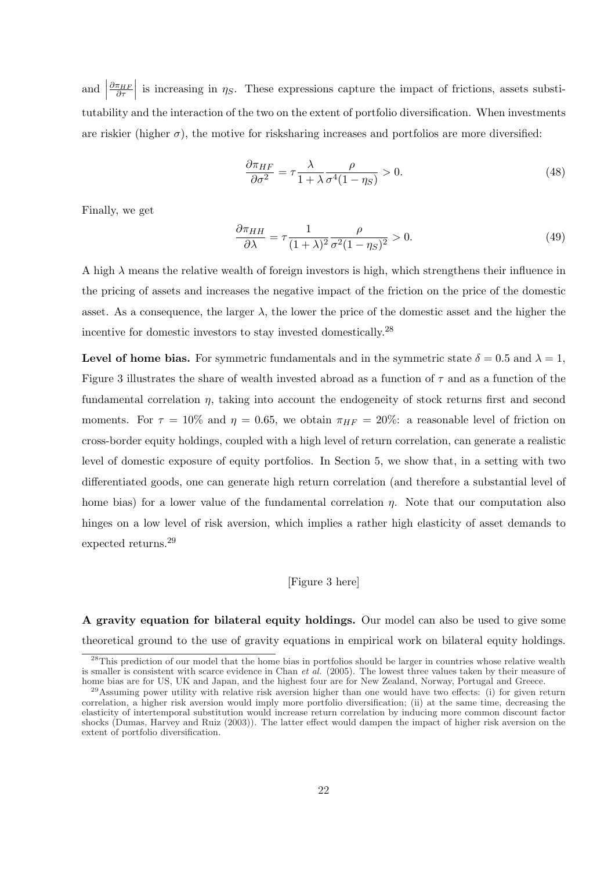and  $\left| \frac{\partial \pi_{HF}}{\partial \tau}\right|$  $\vert$  is increasing in  $\eta_s$ . These expressions capture the impact of frictions, assets substitutability and the interaction of the two on the extent of portfolio diversification. When investments are riskier (higher  $\sigma$ ), the motive for risksharing increases and portfolios are more diversified:

$$
\frac{\partial \pi_{HF}}{\partial \sigma^2} = \tau \frac{\lambda}{1 + \lambda} \frac{\rho}{\sigma^4 (1 - \eta_S)} > 0. \tag{48}
$$

Finally, we get

$$
\frac{\partial \pi_{HH}}{\partial \lambda} = \tau \frac{1}{(1+\lambda)^2} \frac{\rho}{\sigma^2 (1-\eta_S)^2} > 0.
$$
 (49)

A high  $\lambda$  means the relative wealth of foreign investors is high, which strengthens their influence in the pricing of assets and increases the negative impact of the friction on the price of the domestic asset. As a consequence, the larger  $\lambda$ , the lower the price of the domestic asset and the higher the incentive for domestic investors to stay invested domestically.<sup>28</sup>

Level of home bias. For symmetric fundamentals and in the symmetric state  $\delta = 0.5$  and  $\lambda = 1$ , Figure 3 illustrates the share of wealth invested abroad as a function of  $\tau$  and as a function of the fundamental correlation  $\eta$ , taking into account the endogeneity of stock returns first and second moments. For  $\tau = 10\%$  and  $\eta = 0.65$ , we obtain  $\pi_{HF} = 20\%$ : a reasonable level of friction on cross-border equity holdings, coupled with a high level of return correlation, can generate a realistic level of domestic exposure of equity portfolios. In Section 5, we show that, in a setting with two differentiated goods, one can generate high return correlation (and therefore a substantial level of home bias) for a lower value of the fundamental correlation  $\eta$ . Note that our computation also hinges on a low level of risk aversion, which implies a rather high elasticity of asset demands to expected returns.<sup>29</sup>

#### [Figure 3 here]

A gravity equation for bilateral equity holdings. Our model can also be used to give some theoretical ground to the use of gravity equations in empirical work on bilateral equity holdings.

 $^{28}$ This prediction of our model that the home bias in portfolios should be larger in countries whose relative wealth is smaller is consistent with scarce evidence in Chan et al. (2005). The lowest three values taken by their measure of home bias are for US, UK and Japan, and the highest four are for New Zealand, Norway, Portugal and Greece.

 $^{29}$ Assuming power utility with relative risk aversion higher than one would have two effects: (i) for given return correlation, a higher risk aversion would imply more portfolio diversification; (ii) at the same time, decreasing the elasticity of intertemporal substitution would increase return correlation by inducing more common discount factor shocks (Dumas, Harvey and Ruiz (2003)). The latter effect would dampen the impact of higher risk aversion on the extent of portfolio diversification.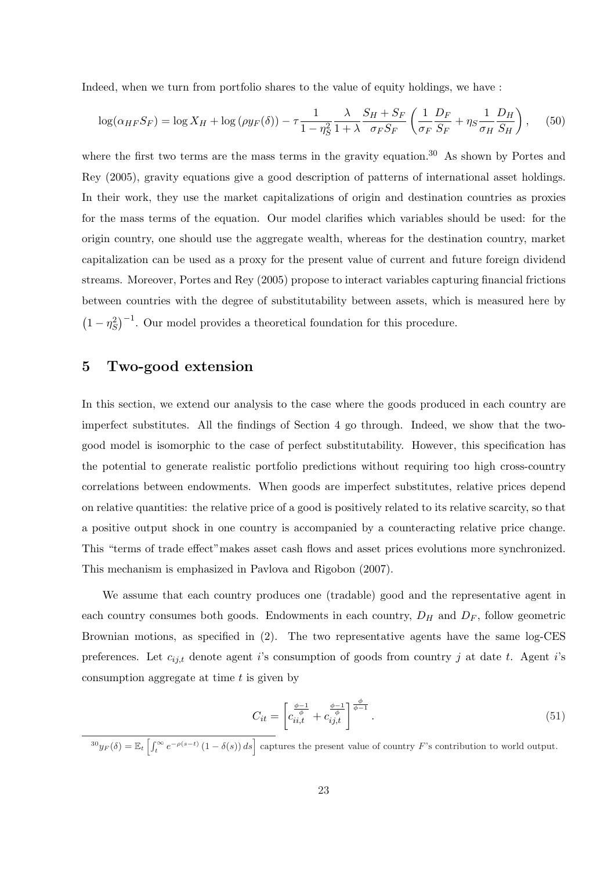Indeed, when we turn from portfolio shares to the value of equity holdings, we have :

$$
\log(\alpha_{HF} S_F) = \log X_H + \log(\rho y_F(\delta)) - \tau \frac{1}{1 - \eta_S^2} \frac{\lambda}{1 + \lambda} \frac{S_H + S_F}{\sigma_F S_F} \left(\frac{1}{\sigma_F} \frac{D_F}{S_F} + \eta_S \frac{1}{\sigma_H} \frac{D_H}{S_H}\right), \quad (50)
$$

where the first two terms are the mass terms in the gravity equation.<sup>30</sup> As shown by Portes and Rey (2005), gravity equations give a good description of patterns of international asset holdings. In their work, they use the market capitalizations of origin and destination countries as proxies for the mass terms of the equation. Our model clarifies which variables should be used: for the origin country, one should use the aggregate wealth, whereas for the destination country, market capitalization can be used as a proxy for the present value of current and future foreign dividend streams. Moreover, Portes and Rey (2005) propose to interact variables capturing financial frictions between countries with the degree of substitutability between assets, which is measured here by ¡  $1 - \eta_S^2$  $\int$ <sup>−1</sup>. Our model provides a theoretical foundation for this procedure.

# 5 Two-good extension

In this section, we extend our analysis to the case where the goods produced in each country are imperfect substitutes. All the findings of Section 4 go through. Indeed, we show that the twogood model is isomorphic to the case of perfect substitutability. However, this specification has the potential to generate realistic portfolio predictions without requiring too high cross-country correlations between endowments. When goods are imperfect substitutes, relative prices depend on relative quantities: the relative price of a good is positively related to its relative scarcity, so that a positive output shock in one country is accompanied by a counteracting relative price change. This "terms of trade effect"makes asset cash flows and asset prices evolutions more synchronized. This mechanism is emphasized in Pavlova and Rigobon (2007).

We assume that each country produces one (tradable) good and the representative agent in each country consumes both goods. Endowments in each country,  $D_H$  and  $D_F$ , follow geometric Brownian motions, as specified in (2). The two representative agents have the same log-CES preferences. Let  $c_{ij,t}$  denote agent i's consumption of goods from country j at date t. Agent i's consumption aggregate at time  $t$  is given by

$$
C_{it} = \left[c_{ii,t}^{\frac{\phi-1}{\phi}} + c_{ij,t}^{\frac{\phi-1}{\phi}}\right]^{\frac{\phi}{\phi-1}}.
$$
\n(51)

 $\frac{30}{30}y_F(\delta) = \mathbb{E}_t \left[ \int_t^{\infty} e^{-\rho(s-t)} (1 - \delta(s)) ds \right]$  captures the present value of country F's contribution to world output.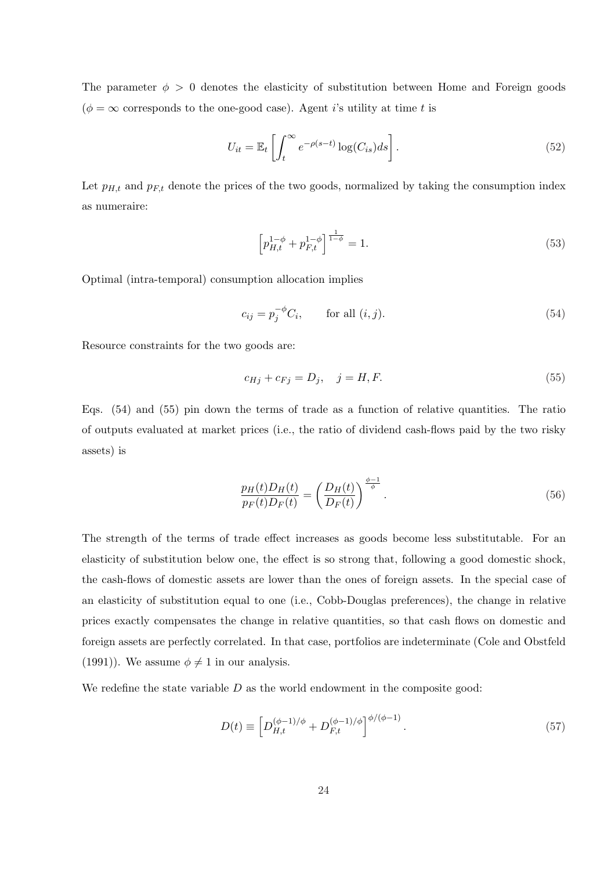The parameter  $\phi > 0$  denotes the elasticity of substitution between Home and Foreign goods  $(\phi = \infty$  corresponds to the one-good case). Agent *i*'s utility at time *t* is

$$
U_{it} = \mathbb{E}_t \left[ \int_t^{\infty} e^{-\rho(s-t)} \log(C_{is}) ds \right]. \tag{52}
$$

Let  $p_{H,t}$  and  $p_{F,t}$  denote the prices of the two goods, normalized by taking the consumption index as numeraire:

$$
\left[p_{H,t}^{1-\phi} + p_{F,t}^{1-\phi}\right]^{\frac{1}{1-\phi}} = 1.
$$
\n(53)

Optimal (intra-temporal) consumption allocation implies

$$
c_{ij} = p_j^{-\phi} C_i, \qquad \text{for all } (i, j). \tag{54}
$$

Resource constraints for the two goods are:

$$
c_{Hj} + c_{Fj} = D_j, \quad j = H, F. \tag{55}
$$

Eqs. (54) and (55) pin down the terms of trade as a function of relative quantities. The ratio of outputs evaluated at market prices (i.e., the ratio of dividend cash-flows paid by the two risky assets) is

$$
\frac{p_H(t)D_H(t)}{p_F(t)D_F(t)} = \left(\frac{D_H(t)}{D_F(t)}\right)^{\frac{\phi-1}{\phi}}.\tag{56}
$$

The strength of the terms of trade effect increases as goods become less substitutable. For an elasticity of substitution below one, the effect is so strong that, following a good domestic shock, the cash-flows of domestic assets are lower than the ones of foreign assets. In the special case of an elasticity of substitution equal to one (i.e., Cobb-Douglas preferences), the change in relative prices exactly compensates the change in relative quantities, so that cash flows on domestic and foreign assets are perfectly correlated. In that case, portfolios are indeterminate (Cole and Obstfeld (1991)). We assume  $\phi \neq 1$  in our analysis.

We redefine the state variable  $D$  as the world endowment in the composite good:

$$
D(t) \equiv \left[ D_{H,t}^{(\phi-1)/\phi} + D_{F,t}^{(\phi-1)/\phi} \right]^{\phi/(\phi-1)}.
$$
\n(57)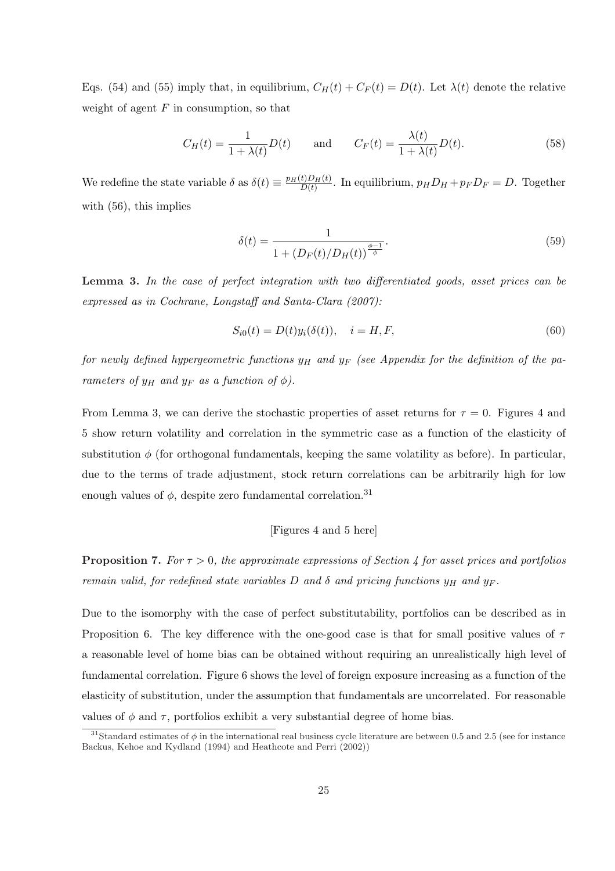Eqs. (54) and (55) imply that, in equilibrium,  $C_H(t) + C_F(t) = D(t)$ . Let  $\lambda(t)$  denote the relative weight of agent  $F$  in consumption, so that

$$
C_H(t) = \frac{1}{1 + \lambda(t)} D(t) \quad \text{and} \quad C_F(t) = \frac{\lambda(t)}{1 + \lambda(t)} D(t). \tag{58}
$$

We redefine the state variable  $\delta$  as  $\delta(t) \equiv \frac{p_H(t)D_H(t)}{D(t)}$  $\frac{D_{H}(t)}{D(t)}$ . In equilibrium,  $p_{H}D_{H} + p_{F}D_{F} = D$ . Together with (56), this implies

$$
\delta(t) = \frac{1}{1 + (D_F(t)/D_H(t))^{\frac{\phi - 1}{\phi}}}.
$$
\n(59)

Lemma 3. In the case of perfect integration with two differentiated goods, asset prices can be expressed as in Cochrane, Longstaff and Santa-Clara (2007):

$$
S_{i0}(t) = D(t)y_i(\delta(t)), \quad i = H, F,
$$
\n
$$
(60)
$$

for newly defined hypergeometric functions  $y_H$  and  $y_F$  (see Appendix for the definition of the parameters of  $y_H$  and  $y_F$  as a function of  $\phi$ ).

From Lemma 3, we can derive the stochastic properties of asset returns for  $\tau = 0$ . Figures 4 and 5 show return volatility and correlation in the symmetric case as a function of the elasticity of substitution  $\phi$  (for orthogonal fundamentals, keeping the same volatility as before). In particular, due to the terms of trade adjustment, stock return correlations can be arbitrarily high for low enough values of  $\phi$ , despite zero fundamental correlation.<sup>31</sup>

## [Figures 4 and 5 here]

**Proposition 7.** For  $\tau > 0$ , the approximate expressions of Section 4 for asset prices and portfolios remain valid, for redefined state variables D and  $\delta$  and pricing functions  $y_H$  and  $y_F$ .

Due to the isomorphy with the case of perfect substitutability, portfolios can be described as in Proposition 6. The key difference with the one-good case is that for small positive values of  $\tau$ a reasonable level of home bias can be obtained without requiring an unrealistically high level of fundamental correlation. Figure 6 shows the level of foreign exposure increasing as a function of the elasticity of substitution, under the assumption that fundamentals are uncorrelated. For reasonable values of  $\phi$  and  $\tau$ , portfolios exhibit a very substantial degree of home bias.

<sup>&</sup>lt;sup>31</sup>Standard estimates of  $\phi$  in the international real business cycle literature are between 0.5 and 2.5 (see for instance Backus, Kehoe and Kydland (1994) and Heathcote and Perri (2002))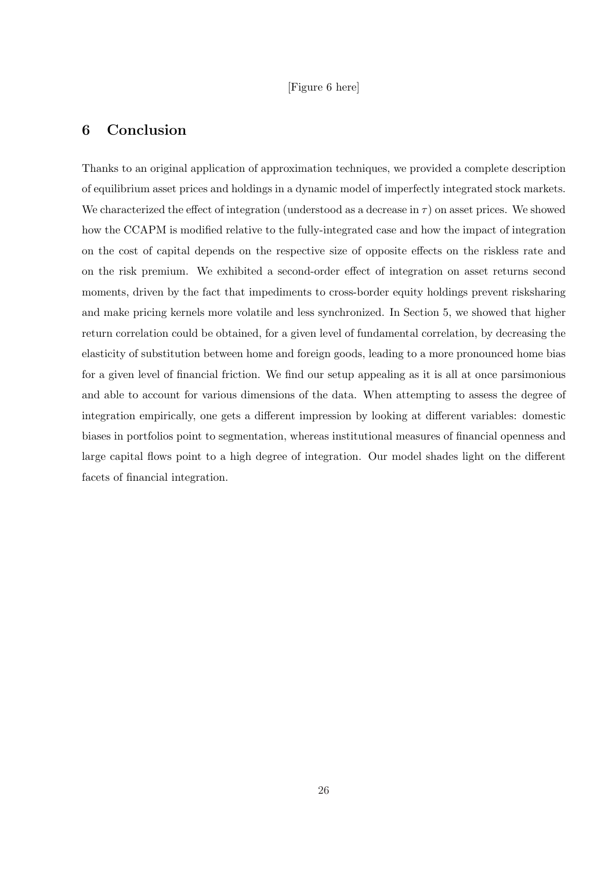## [Figure 6 here]

# 6 Conclusion

Thanks to an original application of approximation techniques, we provided a complete description of equilibrium asset prices and holdings in a dynamic model of imperfectly integrated stock markets. We characterized the effect of integration (understood as a decrease in  $\tau$ ) on asset prices. We showed how the CCAPM is modified relative to the fully-integrated case and how the impact of integration on the cost of capital depends on the respective size of opposite effects on the riskless rate and on the risk premium. We exhibited a second-order effect of integration on asset returns second moments, driven by the fact that impediments to cross-border equity holdings prevent risksharing and make pricing kernels more volatile and less synchronized. In Section 5, we showed that higher return correlation could be obtained, for a given level of fundamental correlation, by decreasing the elasticity of substitution between home and foreign goods, leading to a more pronounced home bias for a given level of financial friction. We find our setup appealing as it is all at once parsimonious and able to account for various dimensions of the data. When attempting to assess the degree of integration empirically, one gets a different impression by looking at different variables: domestic biases in portfolios point to segmentation, whereas institutional measures of financial openness and large capital flows point to a high degree of integration. Our model shades light on the different facets of financial integration.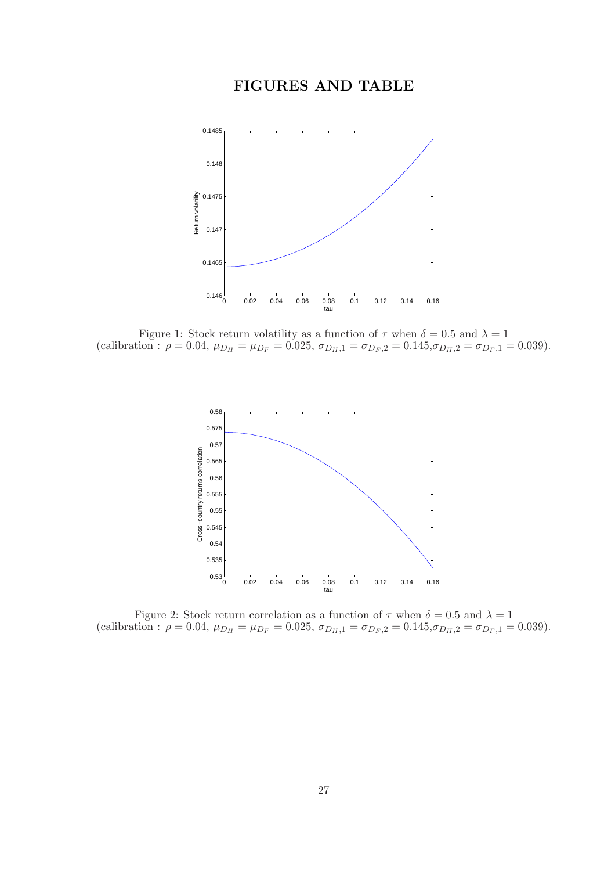# FIGURES AND TABLE



Figure 1: Stock return volatility as a function of  $\tau$  when  $\delta = 0.5$  and  $\lambda = 1$ (calibration :  $\rho = 0.04$ ,  $\mu_{D_H} = \mu_{D_F} = 0.025$ ,  $\sigma_{D_H,1} = \sigma_{D_F,2} = 0.145$ ,  $\sigma_{D_H,2} = \sigma_{D_F,1} = 0.039$ ).



Figure 2: Stock return correlation as a function of  $\tau$  when  $\delta = 0.5$  and  $\lambda = 1$ (calibration :  $\rho = 0.04$ ,  $\mu_{D_H} = \mu_{D_F} = 0.025$ ,  $\sigma_{D_H,1} = \sigma_{D_F,2} = 0.145$ ,  $\sigma_{D_H,2} = \sigma_{D_F,1} = 0.039$ ).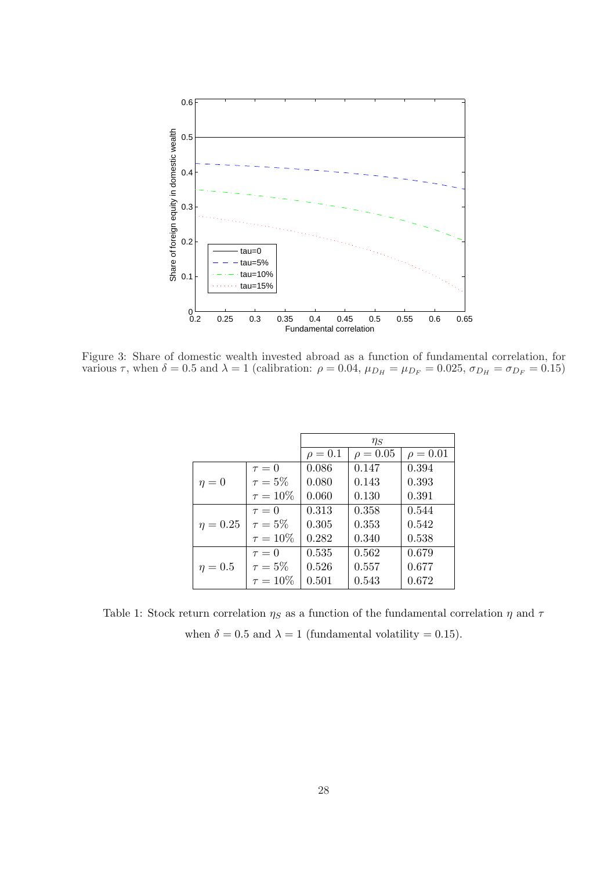

Figure 3: Share of domestic wealth invested abroad as a function of fundamental correlation, for various  $\tau$ , when  $\delta = 0.5$  and  $\lambda = 1$  (calibration:  $\rho = 0.04$ ,  $\mu_{D_H} = \mu_{D_F} = 0.025$ ,  $\sigma_{D_H} = \sigma_{D_F} = 0.15$ )

|               |               | $\eta_S$     |               |               |
|---------------|---------------|--------------|---------------|---------------|
|               |               | $\rho = 0.1$ | $\rho = 0.05$ | $\rho = 0.01$ |
|               | $\tau = 0$    | 0.086        | 0.147         | 0.394         |
| $\eta=0$      | $\tau=5\%$    | 0.080        | 0.143         | 0.393         |
|               | $\tau = 10\%$ | 0.060        | 0.130         | 0.391         |
|               | $\tau=0$      | 0.313        | 0.358         | 0.544         |
| $\eta = 0.25$ | $\tau=5\%$    | 0.305        | 0.353         | 0.542         |
|               | $\tau = 10\%$ | 0.282        | 0.340         | 0.538         |
|               | $\tau=0$      | 0.535        | 0.562         | 0.679         |
| $\eta=0.5$    | $\tau=5\%$    | 0.526        | 0.557         | 0.677         |
|               | $\tau = 10\%$ | 0.501        | 0.543         | 0.672         |

Table 1: Stock return correlation  $\eta_S$  as a function of the fundamental correlation  $\eta$  and  $\tau$ when  $\delta = 0.5$  and  $\lambda = 1$  (fundamental volatility = 0.15).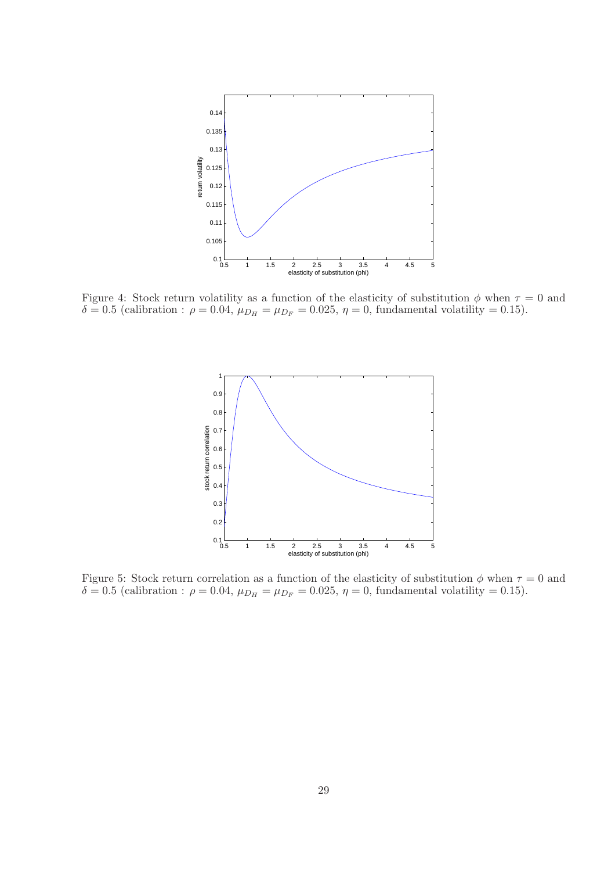

Figure 4: Stock return volatility as a function of the elasticity of substitution  $\phi$  when  $\tau = 0$  and  $\delta = 0.5$  (calibration :  $\rho = 0.04$ ,  $\mu_{D_H} = \mu_{D_F} = 0.025$ ,  $\eta = 0$ , fundamental volatility = 0.15).



Figure 5: Stock return correlation as a function of the elasticity of substitution  $\phi$  when  $\tau = 0$  and  $δ = 0.5$  (calibration :  $ρ = 0.04$ ,  $μ_{D<sub>H</sub>} = μ_{D<sub>F</sub>} = 0.025$ ,  $η = 0$ , fundamental volatility = 0.15).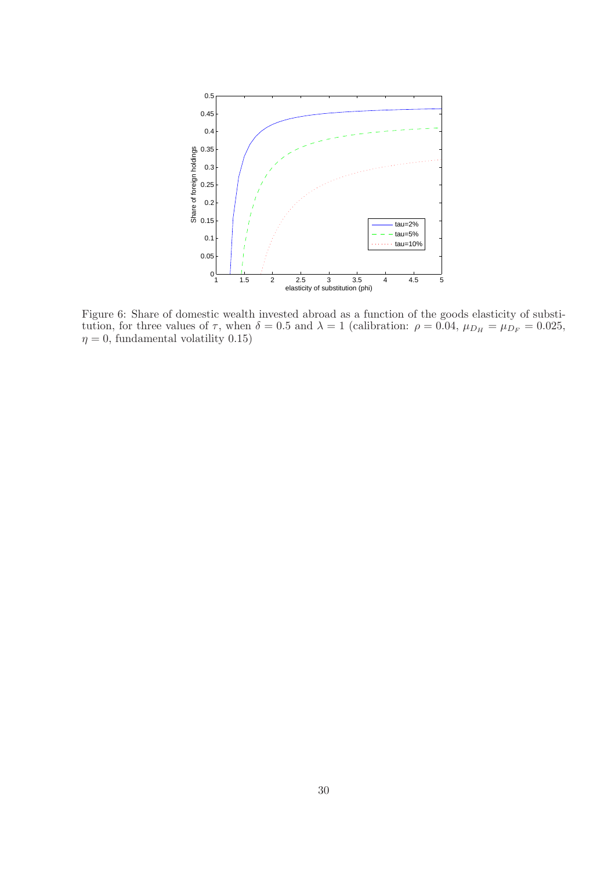

Figure 6: Share of domestic wealth invested abroad as a function of the goods elasticity of substitution, for three values of  $\tau$ , when  $\delta = 0.5$  and  $\lambda = 1$  (calibration:  $\rho = 0.04$ ,  $\mu_{D_H} = \mu_{D_F} = 0.025$ ,  $\eta = 0$ , fundamental volatility 0.15)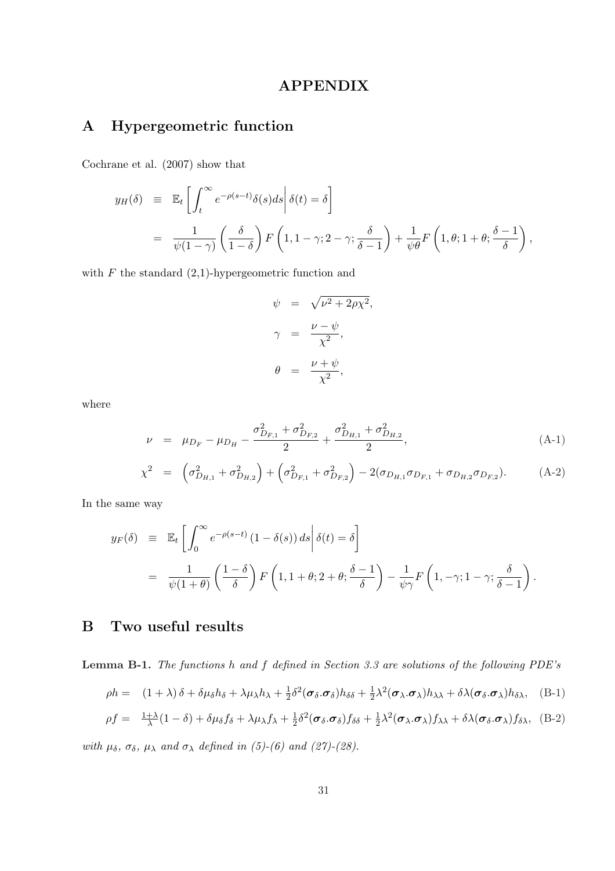# APPENDIX

# A Hypergeometric function

Cochrane et al. (2007) show that

$$
y_H(\delta) \equiv \mathbb{E}_t \left[ \int_t^{\infty} e^{-\rho(s-t)} \delta(s) ds \middle| \delta(t) = \delta \right]
$$
  
= 
$$
\frac{1}{\psi(1-\gamma)} \left( \frac{\delta}{1-\delta} \right) F\left(1, 1-\gamma; 2-\gamma; \frac{\delta}{\delta-1} \right) + \frac{1}{\psi \theta} F\left(1, \theta; 1+\theta; \frac{\delta-1}{\delta} \right),
$$

with  $F$  the standard  $(2,1)$ -hypergeometric function and

$$
\psi = \sqrt{\nu^2 + 2\rho \chi^2},
$$
  

$$
\gamma = \frac{\nu - \psi}{\chi^2},
$$
  

$$
\theta = \frac{\nu + \psi}{\chi^2},
$$

where

$$
\nu = \mu_{D_F} - \mu_{D_H} - \frac{\sigma_{D_{F,1}}^2 + \sigma_{D_{F,2}}^2}{2} + \frac{\sigma_{D_{H,1}}^2 + \sigma_{D_{H,2}}^2}{2},
$$
\n(A-1)\n
$$
\chi^2 = \left(\sigma_{D_{H,1}}^2 + \sigma_{D_{H,2}}^2\right) + \left(\sigma_{D_{F,1}}^2 + \sigma_{D_{F,2}}^2\right) - 2(\sigma_{D_{H,1}}\sigma_{D_{F,1}} + \sigma_{D_{H,2}}\sigma_{D_{F,2}}).
$$
\n(A-2)

In the same way

$$
y_F(\delta) \equiv \mathbb{E}_t \left[ \int_0^\infty e^{-\rho(s-t)} (1 - \delta(s)) ds \middle| \delta(t) = \delta \right]
$$
  
= 
$$
\frac{1}{\psi(1+\theta)} \left( \frac{1-\delta}{\delta} \right) F\left(1, 1+\theta; 2+\theta; \frac{\delta-1}{\delta} \right) - \frac{1}{\psi \gamma} F\left(1, -\gamma; 1-\gamma; \frac{\delta}{\delta-1} \right).
$$

# B Two useful results

Lemma B-1. The functions h and f defined in Section 3.3 are solutions of the following PDE's

$$
\rho h = (1 + \lambda)\delta + \delta \mu_{\delta} h_{\delta} + \lambda \mu_{\lambda} h_{\lambda} + \frac{1}{2} \delta^2 (\sigma_{\delta} \cdot \sigma_{\delta}) h_{\delta \delta} + \frac{1}{2} \lambda^2 (\sigma_{\lambda} \cdot \sigma_{\lambda}) h_{\lambda \lambda} + \delta \lambda (\sigma_{\delta} \cdot \sigma_{\lambda}) h_{\delta \lambda}, \quad (B-1)
$$

$$
\rho f = \frac{1+\lambda}{\lambda}(1-\delta) + \delta\mu_{\delta}f_{\delta} + \lambda\mu_{\lambda}f_{\lambda} + \frac{1}{2}\delta^{2}(\boldsymbol{\sigma}_{\delta}.\boldsymbol{\sigma}_{\delta})f_{\delta\delta} + \frac{1}{2}\lambda^{2}(\boldsymbol{\sigma}_{\lambda}.\boldsymbol{\sigma}_{\lambda})f_{\lambda\lambda} + \delta\lambda(\boldsymbol{\sigma}_{\delta}.\boldsymbol{\sigma}_{\lambda})f_{\delta\lambda}, \quad (B-2)
$$

with  $\mu_{\delta}$ ,  $\sigma_{\delta}$ ,  $\mu_{\lambda}$  and  $\sigma_{\lambda}$  defined in (5)-(6) and (27)-(28).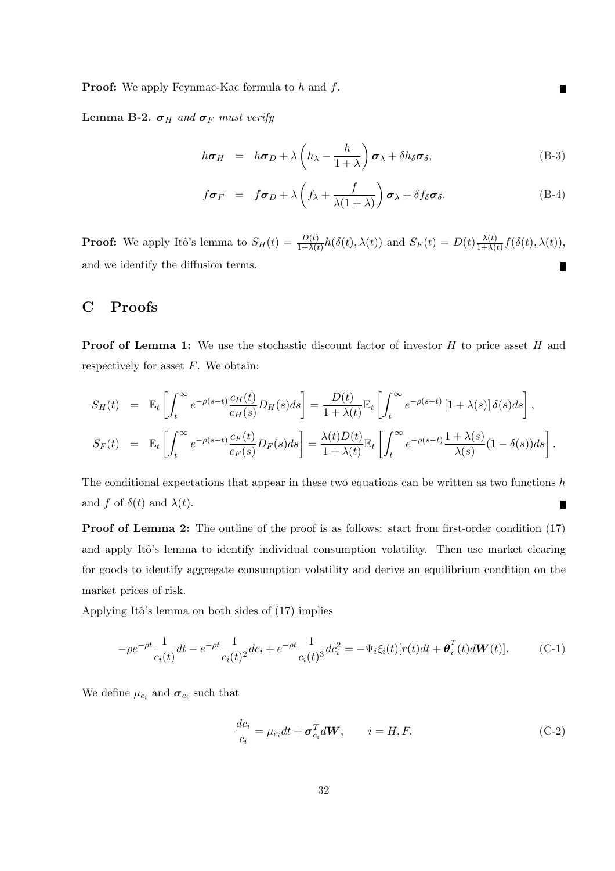**Proof:** We apply Feynmac-Kac formula to h and f.

Lemma B-2.  $\sigma_H$  and  $\sigma_F$  must verify

$$
h\boldsymbol{\sigma}_H = h\boldsymbol{\sigma}_D + \lambda \left(h_{\lambda} - \frac{h}{1+\lambda}\right)\boldsymbol{\sigma}_{\lambda} + \delta h_{\delta}\boldsymbol{\sigma}_{\delta}, \tag{B-3}
$$

$$
f\boldsymbol{\sigma}_F = f\boldsymbol{\sigma}_D + \lambda \left( f_{\lambda} + \frac{f}{\lambda(1+\lambda)} \right) \boldsymbol{\sigma}_{\lambda} + \delta f_{\delta} \boldsymbol{\sigma}_{\delta}.
$$
 (B-4)

**Proof:** We apply Itô's lemma to  $S_H(t) = \frac{D(t)}{1+\lambda(t)}h(\delta(t),\lambda(t))$  and  $S_F(t) = D(t)\frac{\lambda(t)}{1+\lambda(t)}$  $\frac{\lambda(t)}{1+\lambda(t)}f(\delta(t),\lambda(t)),$ and we identify the diffusion terms. П

# C Proofs

**Proof of Lemma 1:** We use the stochastic discount factor of investor  $H$  to price asset  $H$  and respectively for asset  $F$ . We obtain:

$$
S_H(t) = \mathbb{E}_t \left[ \int_t^{\infty} e^{-\rho(s-t)} \frac{c_H(t)}{c_H(s)} D_H(s) ds \right] = \frac{D(t)}{1 + \lambda(t)} \mathbb{E}_t \left[ \int_t^{\infty} e^{-\rho(s-t)} \left[ 1 + \lambda(s) \right] \delta(s) ds \right],
$$
  
\n
$$
S_F(t) = \mathbb{E}_t \left[ \int_t^{\infty} e^{-\rho(s-t)} \frac{c_F(t)}{c_F(s)} D_F(s) ds \right] = \frac{\lambda(t) D(t)}{1 + \lambda(t)} \mathbb{E}_t \left[ \int_t^{\infty} e^{-\rho(s-t)} \frac{1 + \lambda(s)}{\lambda(s)} (1 - \delta(s)) ds \right].
$$

The conditional expectations that appear in these two equations can be written as two functions  $h$ and f of  $\delta(t)$  and  $\lambda(t)$ . П

Proof of Lemma 2: The outline of the proof is as follows: start from first-order condition (17) and apply Itô's lemma to identify individual consumption volatility. Then use market clearing for goods to identify aggregate consumption volatility and derive an equilibrium condition on the market prices of risk.

Applying Itô's lemma on both sides of  $(17)$  implies

$$
-\rho e^{-\rho t} \frac{1}{c_i(t)} dt - e^{-\rho t} \frac{1}{c_i(t)^2} dc_i + e^{-\rho t} \frac{1}{c_i(t)^3} dc_i^2 = -\Psi_i \xi_i(t) [r(t)dt + \boldsymbol{\theta}_i^T(t) d\boldsymbol{W}(t)]. \tag{C-1}
$$

We define  $\mu_{c_i}$  and  $\sigma_{c_i}$  such that

$$
\frac{dc_i}{c_i} = \mu_{c_i} dt + \sigma_{c_i}^T dW, \qquad i = H, F.
$$
\n(C-2)

П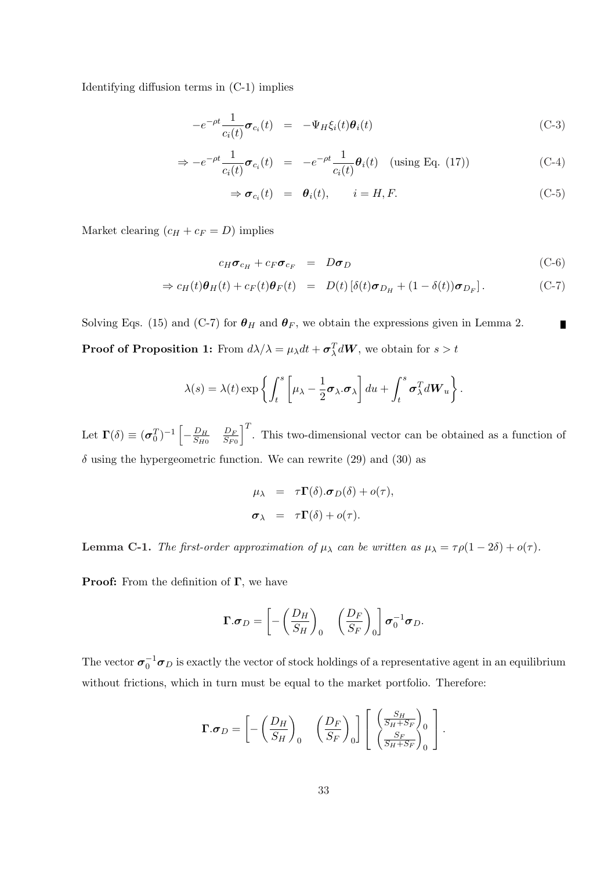Identifying diffusion terms in (C-1) implies

$$
-e^{-\rho t}\frac{1}{c_i(t)}\boldsymbol{\sigma}_{c_i}(t) = -\Psi_H \xi_i(t)\boldsymbol{\theta}_i(t)
$$
\n(C-3)

$$
\Rightarrow -e^{-\rho t} \frac{1}{c_i(t)} \sigma_{c_i}(t) = -e^{-\rho t} \frac{1}{c_i(t)} \theta_i(t) \quad \text{(using Eq. (17))} \tag{C-4}
$$

$$
\Rightarrow \boldsymbol{\sigma}_{c_i}(t) = \boldsymbol{\theta}_i(t), \qquad i = H, F. \tag{C-5}
$$

Market clearing  $(c_H + c_F = D)$  implies

$$
c_H \sigma_{c_H} + c_F \sigma_{c_F} = D \sigma_D \tag{C-6}
$$

$$
\Rightarrow c_H(t)\boldsymbol{\theta}_H(t) + c_F(t)\boldsymbol{\theta}_F(t) = D(t)[\delta(t)\boldsymbol{\sigma}_{D_H} + (1-\delta(t))\boldsymbol{\sigma}_{D_F}].
$$
 (C-7)

Solving Eqs. (15) and (C-7) for  $\theta_H$  and  $\theta_F$ , we obtain the expressions given in Lemma 2.  $\blacksquare$ **Proof of Proposition 1:** From  $d\lambda/\lambda = \mu_{\lambda}dt + \sigma_{\lambda}^{T}dW$ , we obtain for  $s > t$ 

$$
\lambda(s) = \lambda(t) \exp \left\{ \int_t^s \left[ \mu_\lambda - \frac{1}{2} \boldsymbol{\sigma}_\lambda \cdot \boldsymbol{\sigma}_\lambda \right] du + \int_t^s \boldsymbol{\sigma}_\lambda^T dW_u \right\}.
$$

Let  $\Gamma(\delta) \equiv (\sigma_0^T)^{-1}$  $-\frac{D_H}{S_{H}R}$  $\overline{S_{H0}}$  $D_{F}$  $\overline{S_{F0}}$  $\overline{I}$ . This two-dimensional vector can be obtained as a function of  $\delta$  using the hypergeometric function. We can rewrite (29) and (30) as

$$
\mu_{\lambda} = \tau \mathbf{\Gamma}(\delta) . \sigma_D(\delta) + o(\tau),
$$
  

$$
\sigma_{\lambda} = \tau \mathbf{\Gamma}(\delta) + o(\tau).
$$

**Lemma C-1.** The first-order approximation of  $\mu_{\lambda}$  can be written as  $\mu_{\lambda} = \tau \rho (1 - 2\delta) + o(\tau)$ .

**Proof:** From the definition of  $\Gamma$ , we have

$$
\boldsymbol{\Gamma}.\boldsymbol{\sigma}_D = \left[ -\left(\frac{D_H}{S_H}\right)_0 \quad \left(\frac{D_F}{S_F}\right)_0 \right] \boldsymbol{\sigma}_0^{-1} \boldsymbol{\sigma}_D.
$$

The vector  $\sigma_0^{-1}\sigma_D$  is exactly the vector of stock holdings of a representative agent in an equilibrium without frictions, which in turn must be equal to the market portfolio. Therefore:

$$
\mathbf{\Gamma}.\boldsymbol{\sigma}_D = \left[ -\left(\frac{D_H}{S_H}\right)_0 \quad \left(\frac{D_F}{S_F}\right)_0 \right] \left[ \begin{array}{c} \left(\frac{S_H}{S_H + S_F}\right)_0\\ \left(\frac{S_F}{S_H + S_F}\right)_0 \end{array} \right].
$$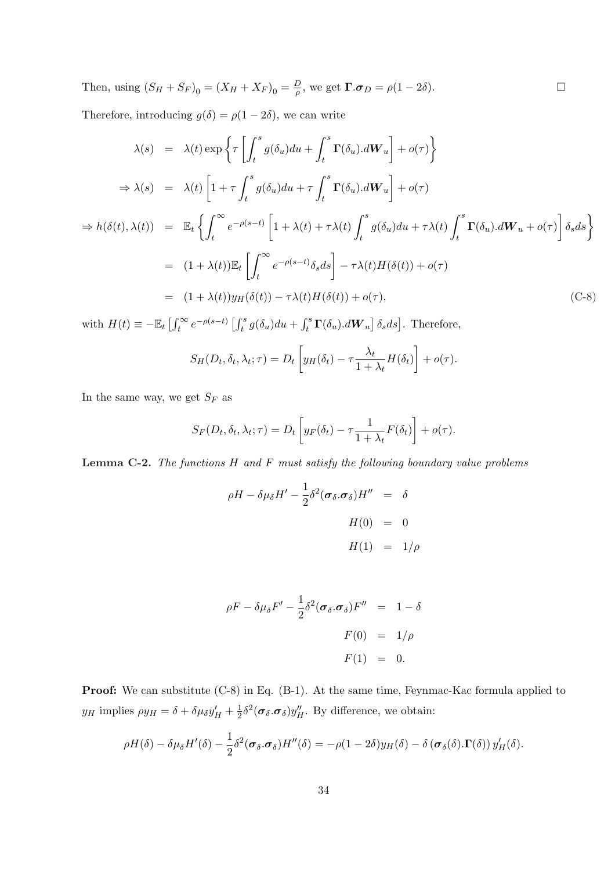Then, using 
$$
(S_H + S_F)_0 = (X_H + X_F)_0 = \frac{D}{\rho}
$$
, we get  $\Gamma \cdot \sigma_D = \rho(1 - 2\delta)$ .

Therefore, introducing  $g(\delta) = \rho(1 - 2\delta)$ , we can write

$$
\lambda(s) = \lambda(t) \exp \left\{ \tau \left[ \int_t^s g(\delta_u) du + \int_t^s \mathbf{\Gamma}(\delta_u) . d\mathbf{W}_u \right] + o(\tau) \right\}
$$
  
\n
$$
\Rightarrow \lambda(s) = \lambda(t) \left[ 1 + \tau \int_t^s g(\delta_u) du + \tau \int_t^s \mathbf{\Gamma}(\delta_u) . d\mathbf{W}_u \right] + o(\tau)
$$
  
\n
$$
\Rightarrow h(\delta(t), \lambda(t)) = \mathbb{E}_t \left\{ \int_t^\infty e^{-\rho(s-t)} \left[ 1 + \lambda(t) + \tau \lambda(t) \int_t^s g(\delta_u) du + \tau \lambda(t) \int_t^s \mathbf{\Gamma}(\delta_u) . d\mathbf{W}_u + o(\tau) \right] \delta_s ds \right\}
$$
  
\n
$$
= (1 + \lambda(t)) \mathbb{E}_t \left[ \int_t^\infty e^{-\rho(s-t)} \delta_s ds \right] - \tau \lambda(t) H(\delta(t)) + o(\tau)
$$
  
\n
$$
= (1 + \lambda(t)) y_H(\delta(t)) - \tau \lambda(t) H(\delta(t)) + o(\tau), \qquad (C-8)
$$

with  $H(t) \equiv -\mathbb{E}_t \left[ \int_t^{\infty}$  $\int_t^\infty e^{-\rho(s-t)} \left[ \int_t^s \right]$  $\int_t^s g(\delta_u)du + \int_t^s$  $\int_t^s \boldsymbol{\Gamma}(\delta_u) . d\boldsymbol{W}_u$  $\delta_s ds$ . Therefore, ·  $\overline{a}$ 

$$
S_H(D_t, \delta_t, \lambda_t; \tau) = D_t \left[ y_H(\delta_t) - \tau \frac{\lambda_t}{1 + \lambda_t} H(\delta_t) \right] + o(\tau).
$$

In the same way, we get  ${\cal S}_F$  as

$$
S_F(D_t, \delta_t, \lambda_t; \tau) = D_t \left[ y_F(\delta_t) - \tau \frac{1}{1 + \lambda_t} F(\delta_t) \right] + o(\tau).
$$

**Lemma C-2.** The functions  $H$  and  $F$  must satisfy the following boundary value problems

$$
\rho H - \delta \mu_{\delta} H' - \frac{1}{2} \delta^2 (\sigma_{\delta} . \sigma_{\delta}) H'' = \delta
$$
  

$$
H(0) = 0
$$
  

$$
H(1) = 1/\rho
$$

$$
\rho F - \delta \mu_{\delta} F' - \frac{1}{2} \delta^2 (\sigma_{\delta} . \sigma_{\delta}) F'' = 1 - \delta
$$
  

$$
F(0) = 1/\rho
$$
  

$$
F(1) = 0.
$$

Proof: We can substitute (C-8) in Eq. (B-1). At the same time, Feynmac-Kac formula applied to  $y_H$  implies  $\rho y_H = \delta + \delta \mu_\delta y_H' + \frac{1}{2}$  $\frac{1}{2}\delta^2(\sigma_{\delta}.\sigma_{\delta})y''_H$ . By difference, we obtain:

$$
\rho H(\delta) - \delta \mu_{\delta} H'(\delta) - \frac{1}{2} \delta^2 (\sigma_{\delta} \cdot \sigma_{\delta}) H''(\delta) = -\rho (1 - 2\delta) y_H(\delta) - \delta (\sigma_{\delta}(\delta) \cdot \Gamma(\delta)) y'_H(\delta).
$$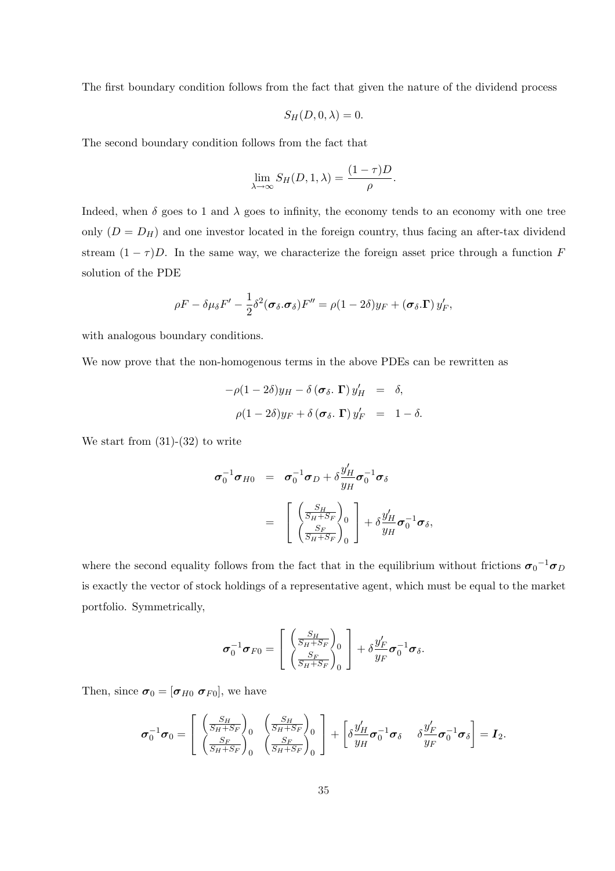The first boundary condition follows from the fact that given the nature of the dividend process

$$
S_H(D,0,\lambda) = 0.
$$

The second boundary condition follows from the fact that

$$
\lim_{\lambda \to \infty} S_H(D, 1, \lambda) = \frac{(1 - \tau)D}{\rho}.
$$

Indeed, when  $\delta$  goes to 1 and  $\lambda$  goes to infinity, the economy tends to an economy with one tree only  $(D = D_H)$  and one investor located in the foreign country, thus facing an after-tax dividend stream  $(1 - \tau)D$ . In the same way, we characterize the foreign asset price through a function F solution of the PDE

$$
\rho F - \delta \mu_{\delta} F' - \frac{1}{2} \delta^2 (\sigma_{\delta} . \sigma_{\delta}) F'' = \rho (1 - 2 \delta) y_F + (\sigma_{\delta} . \mathbf{\Gamma}) y'_F,
$$

with analogous boundary conditions.

We now prove that the non-homogenous terms in the above PDEs can be rewritten as

$$
-\rho(1-2\delta)y_H - \delta(\boldsymbol{\sigma}_{\delta}.\boldsymbol{\Gamma})y'_H = \delta,
$$
  

$$
\rho(1-2\delta)y_F + \delta(\boldsymbol{\sigma}_{\delta}.\boldsymbol{\Gamma})y'_F = 1-\delta.
$$

We start from  $(31)-(32)$  to write

$$
\sigma_0^{-1} \sigma_{H0} = \sigma_0^{-1} \sigma_D + \delta \frac{y'_H}{y_H} \sigma_0^{-1} \sigma_\delta
$$
  

$$
= \begin{bmatrix} \left(\frac{S_H}{S_H + S_F}\right)_0\\ \left(\frac{S_F}{S_H + S_F}\right)_0 \end{bmatrix} + \delta \frac{y'_H}{y_H} \sigma_0^{-1} \sigma_\delta,
$$

where the second equality follows from the fact that in the equilibrium without frictions  $\sigma_0^{-1}\sigma_D$ is exactly the vector of stock holdings of a representative agent, which must be equal to the market portfolio. Symmetrically,

$$
\boldsymbol{\sigma}_0^{-1}\boldsymbol{\sigma}_{F0} = \left[ \begin{array}{c} \left(\frac{S_H}{S_H+S_F}\right)_0\\ \left(\frac{S_F}{S_H+S_F}\right)_0 \end{array} \right] + \delta \frac{y_F'}{y_F} \boldsymbol{\sigma}_0^{-1} \boldsymbol{\sigma}_{\delta}.
$$

Then, since  $\boldsymbol{\sigma}_0 = [\boldsymbol{\sigma}_{H0} \ \boldsymbol{\sigma}_{F0}],$  we have

$$
\boldsymbol{\sigma}_0^{-1}\boldsymbol{\sigma}_0 = \begin{bmatrix} \left(\frac{S_H}{S_H + S_F}\right)_0 & \left(\frac{S_H}{S_H + S_F}\right)_0\\ \left(\frac{S_F}{S_H + S_F}\right)_0 & \left(\frac{S_F}{S_H + S_F}\right)_0 \end{bmatrix} + \begin{bmatrix} \delta \frac{y'_H}{y_H} \boldsymbol{\sigma}_0^{-1} \boldsymbol{\sigma}_\delta & \delta \frac{y'_F}{y_F} \boldsymbol{\sigma}_0^{-1} \boldsymbol{\sigma}_\delta \end{bmatrix} = \boldsymbol{I}_2.
$$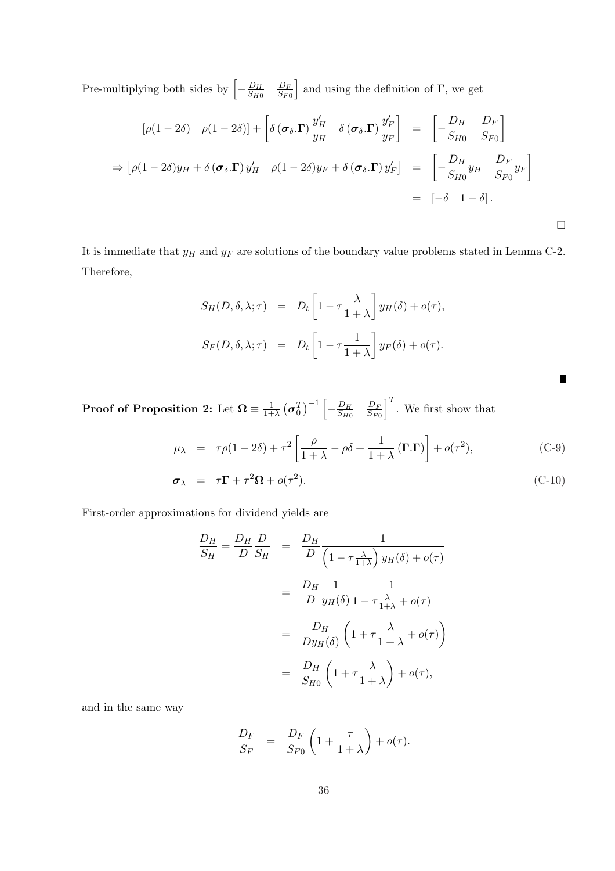Pre-multiplying both sides by  $\left[-\frac{D_H}{2\mu}\right]$  $\overline{S_{H0}}$  $D_F$  $\overline{S_{F0}}$ i and using the definition of  $\Gamma$ , we get

$$
[\rho(1-2\delta) \quad \rho(1-2\delta)] + \left[\delta(\boldsymbol{\sigma}_{\delta}.\mathbf{\Gamma})\frac{y'_H}{y_H} \quad \delta(\boldsymbol{\sigma}_{\delta}.\mathbf{\Gamma})\frac{y'_F}{y_F}\right] = \left[-\frac{D_H}{S_{H0}} \quad \frac{D_F}{S_{F0}}\right]
$$
  
\n
$$
\Rightarrow \left[\rho(1-2\delta)y_H + \delta(\boldsymbol{\sigma}_{\delta}.\mathbf{\Gamma})y'_H \quad \rho(1-2\delta)y_F + \delta(\boldsymbol{\sigma}_{\delta}.\mathbf{\Gamma})y'_F\right] = \left[-\frac{D_H}{S_{H0}}y_H \quad \frac{D_F}{S_{F0}}y_F\right]
$$
  
\n
$$
= \left[-\delta \quad 1-\delta\right].
$$

It is immediate that  $y_H$  and  $y_F$  are solutions of the boundary value problems stated in Lemma C-2. Therefore,

$$
S_H(D, \delta, \lambda; \tau) = D_t \left[ 1 - \tau \frac{\lambda}{1 + \lambda} \right] y_H(\delta) + o(\tau),
$$
  

$$
S_F(D, \delta, \lambda; \tau) = D_t \left[ 1 - \tau \frac{1}{1 + \lambda} \right] y_F(\delta) + o(\tau).
$$

 $\Box$ 

Proof of Proposition 2: Let  $\Omega \equiv \frac{1}{1+\epsilon}$  $1+\lambda$ ¡  $\pmb{\sigma}^T_0$  $\sqrt{-1}$  |  $-\frac{D_H}{S_{H}R}$  $\overline{S_{H0}}$  $D_F$  $\overline{S_{F0}}$  $\overline{I}$ . We first show that

$$
\mu_{\lambda} = \tau \rho (1 - 2\delta) + \tau^2 \left[ \frac{\rho}{1 + \lambda} - \rho \delta + \frac{1}{1 + \lambda} (\Gamma . \Gamma) \right] + o(\tau^2), \tag{C-9}
$$

$$
\boldsymbol{\sigma}_{\lambda} = \tau \mathbf{\Gamma} + \tau^2 \boldsymbol{\Omega} + o(\tau^2). \tag{C-10}
$$

First-order approximations for dividend yields are

$$
\frac{D_H}{S_H} = \frac{D_H}{D} \frac{D}{S_H} = \frac{D_H}{D} \frac{1}{\left(1 - \tau \frac{\lambda}{1 + \lambda}\right) y_H(\delta) + o(\tau)}
$$

$$
= \frac{D_H}{D} \frac{1}{y_H(\delta)} \frac{1}{1 - \tau \frac{\lambda}{1 + \lambda} + o(\tau)}
$$

$$
= \frac{D_H}{D y_H(\delta)} \left(1 + \tau \frac{\lambda}{1 + \lambda} + o(\tau)\right)
$$

$$
= \frac{D_H}{S_{H0}} \left(1 + \tau \frac{\lambda}{1 + \lambda}\right) + o(\tau),
$$

and in the same way

$$
\frac{D_F}{S_F} = \frac{D_F}{S_{F0}} \left( 1 + \frac{\tau}{1 + \lambda} \right) + o(\tau).
$$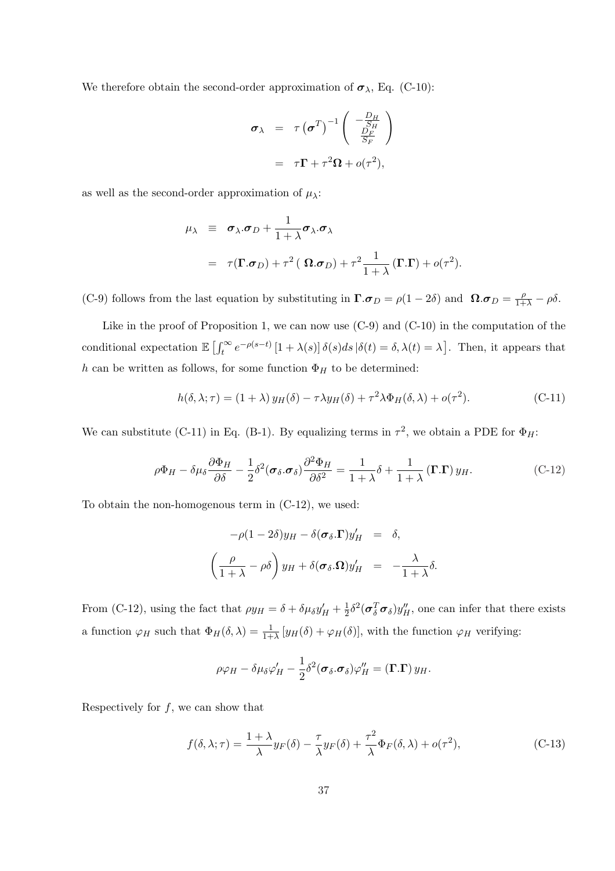We therefore obtain the second-order approximation of  $\sigma_{\lambda}$ , Eq. (C-10):

$$
\sigma_{\lambda} = \tau (\sigma^T)^{-1} \begin{pmatrix} -\frac{D_H}{SH} \\ \frac{D_F}{S_F} \end{pmatrix}
$$

$$
= \tau \Gamma + \tau^2 \Omega + o(\tau^2),
$$

as well as the second-order approximation of  $\mu_{\lambda}$ :

$$
\mu_{\lambda} \equiv \sigma_{\lambda}.\sigma_D + \frac{1}{1+\lambda} \sigma_{\lambda}.\sigma_{\lambda}
$$
  
=  $\tau(\mathbf{\Gamma}.\sigma_D) + \tau^2 (\mathbf{\Omega}.\sigma_D) + \tau^2 \frac{1}{1+\lambda} (\mathbf{\Gamma}.\mathbf{\Gamma}) + o(\tau^2).$ 

(C-9) follows from the last equation by substituting in  $\Gamma.\boldsymbol{\sigma}_D = \rho(1-2\delta)$  and  $\Omega.\boldsymbol{\sigma}_D = \frac{\rho}{1+\lambda} - \rho\delta$ .

Like in the proof of Proposition 1, we can now use (C-9) and (C-10) in the computation of the conditional expectation  $\mathbb{E} \left[ \int_t^{\infty}$  $\int_t^{\infty} e^{-\rho(s-t)} [1 + \lambda(s)] \delta(s) ds | \delta(t) = \delta, \lambda(t) = \lambda$ ¤ . Then, it appears that h can be written as follows, for some function  $\Phi_H$  to be determined:

$$
h(\delta, \lambda; \tau) = (1 + \lambda) y_H(\delta) - \tau \lambda y_H(\delta) + \tau^2 \lambda \Phi_H(\delta, \lambda) + o(\tau^2). \tag{C-11}
$$

We can substitute (C-11) in Eq. (B-1). By equalizing terms in  $\tau^2$ , we obtain a PDE for  $\Phi_H$ :

$$
\rho \Phi_H - \delta \mu_\delta \frac{\partial \Phi_H}{\partial \delta} - \frac{1}{2} \delta^2 (\sigma_\delta \cdot \sigma_\delta) \frac{\partial^2 \Phi_H}{\partial \delta^2} = \frac{1}{1+\lambda} \delta + \frac{1}{1+\lambda} (\mathbf{\Gamma}.\mathbf{\Gamma}) y_H.
$$
 (C-12)

To obtain the non-homogenous term in (C-12), we used:

$$
-\rho(1-2\delta)y_H - \delta(\boldsymbol{\sigma}_{\delta}.\boldsymbol{\Gamma})y'_H = \delta,
$$
  

$$
\left(\frac{\rho}{1+\lambda} - \rho\delta\right)y_H + \delta(\boldsymbol{\sigma}_{\delta}.\boldsymbol{\Omega})y'_H = -\frac{\lambda}{1+\lambda}\delta.
$$

From (C-12), using the fact that  $\rho y_H = \delta + \delta \mu_{\delta} y'_H + \frac{1}{2}$  $\frac{1}{2}\delta^2(\sigma_\delta^T\sigma_\delta)y_H''$ , one can infer that there exists a function  $\varphi_H$  such that  $\Phi_H(\delta,\lambda) = \frac{1}{1+\lambda} \left[ y_H(\delta) + \varphi_H(\delta) \right]$ , with the function  $\varphi_H$  verifying:

$$
\rho \varphi_H - \delta \mu_\delta \varphi'_H - \frac{1}{2} \delta^2 (\boldsymbol{\sigma}_\delta \boldsymbol{\sigma}_\delta) \varphi''_H = (\boldsymbol{\Gamma} . \boldsymbol{\Gamma}) y_H.
$$

Respectively for  $f$ , we can show that

$$
f(\delta, \lambda; \tau) = \frac{1 + \lambda}{\lambda} y_F(\delta) - \frac{\tau}{\lambda} y_F(\delta) + \frac{\tau^2}{\lambda} \Phi_F(\delta, \lambda) + o(\tau^2), \tag{C-13}
$$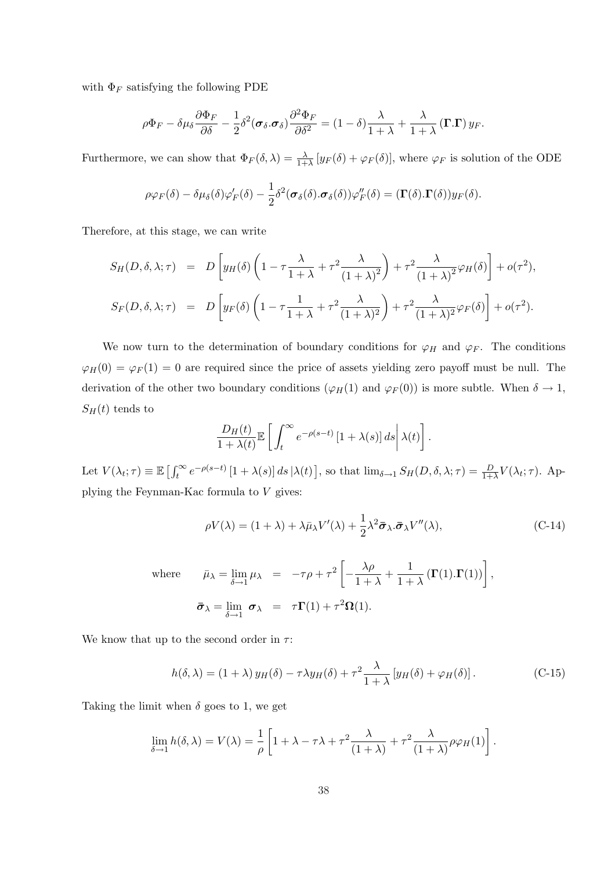with  $\Phi_F$  satisfying the following PDE

$$
\rho\Phi_F - \delta\mu_\delta \frac{\partial \Phi_F}{\partial \delta} - \frac{1}{2}\delta^2(\boldsymbol{\sigma}_\delta \cdot \boldsymbol{\sigma}_\delta) \frac{\partial^2 \Phi_F}{\partial \delta^2} = (1-\delta)\frac{\lambda}{1+\lambda} + \frac{\lambda}{1+\lambda}(\boldsymbol{\Gamma}.\boldsymbol{\Gamma})y_F.
$$

Furthermore, we can show that  $\Phi_F(\delta, \lambda) = \frac{\lambda}{1+\lambda} [y_F(\delta) + \varphi_F(\delta)]$ , where  $\varphi_F$  is solution of the ODE

$$
\rho \varphi_F(\delta) - \delta \mu_{\delta}(\delta) \varphi'_F(\delta) - \frac{1}{2} \delta^2(\boldsymbol{\sigma}_{\delta}(\delta). \boldsymbol{\sigma}_{\delta}(\delta)) \varphi''_F(\delta) = (\boldsymbol{\Gamma}(\delta). \boldsymbol{\Gamma}(\delta)) y_F(\delta).
$$

Therefore, at this stage, we can write

$$
S_H(D, \delta, \lambda; \tau) = D \left[ y_H(\delta) \left( 1 - \tau \frac{\lambda}{1 + \lambda} + \tau^2 \frac{\lambda}{(1 + \lambda)^2} \right) + \tau^2 \frac{\lambda}{(1 + \lambda)^2} \varphi_H(\delta) \right] + o(\tau^2),
$$
  

$$
S_F(D, \delta, \lambda; \tau) = D \left[ y_F(\delta) \left( 1 - \tau \frac{1}{1 + \lambda} + \tau^2 \frac{\lambda}{(1 + \lambda)^2} \right) + \tau^2 \frac{\lambda}{(1 + \lambda)^2} \varphi_F(\delta) \right] + o(\tau^2).
$$

We now turn to the determination of boundary conditions for  $\varphi_H$  and  $\varphi_F$ . The conditions  $\varphi_H(0) = \varphi_F(1) = 0$  are required since the price of assets yielding zero payoff must be null. The derivation of the other two boundary conditions ( $\varphi_H(1)$  and  $\varphi_F(0)$ ) is more subtle. When  $\delta \to 1$ ,  $S_H(t)$  tends to

$$
\frac{D_H(t)}{1+\lambda(t)}\mathbb{E}\left[\left.\int_t^\infty e^{-\rho(s-t)}\left[1+\lambda(s)\right]ds\right|\lambda(t)\right].
$$

Let  $V(\lambda_t; \tau) \equiv \mathbb{E} \left[ \int_t^{\infty}$  $\int_t^{\infty} e^{-\rho(s-t)} [1 + \lambda(s)] ds |\lambda(t)|$ ], so that  $\lim_{\delta \to 1} S_H(D, \delta, \lambda; \tau) = \frac{D}{1+\lambda} V(\lambda_t; \tau)$ . Applying the Feynman-Kac formula to V gives:

$$
\rho V(\lambda) = (1 + \lambda) + \lambda \bar{\mu}_{\lambda} V'(\lambda) + \frac{1}{2} \lambda^2 \bar{\sigma}_{\lambda} \bar{\sigma}_{\lambda} V''(\lambda), \tag{C-14}
$$

where 
$$
\bar{\mu}_{\lambda} = \lim_{\delta \to 1} \mu_{\lambda} = -\tau \rho + \tau^2 \left[ -\frac{\lambda \rho}{1 + \lambda} + \frac{1}{1 + \lambda} (\mathbf{\Gamma}(1). \mathbf{\Gamma}(1)) \right],
$$
  
\n
$$
\bar{\sigma}_{\lambda} = \lim_{\delta \to 1} \sigma_{\lambda} = \tau \mathbf{\Gamma}(1) + \tau^2 \Omega(1).
$$

We know that up to the second order in  $\tau$ :

$$
h(\delta,\lambda) = (1+\lambda) y_H(\delta) - \tau \lambda y_H(\delta) + \tau^2 \frac{\lambda}{1+\lambda} \left[ y_H(\delta) + \varphi_H(\delta) \right]. \tag{C-15}
$$

Taking the limit when  $\delta$  goes to 1, we get

$$
\lim_{\delta \to 1} h(\delta, \lambda) = V(\lambda) = \frac{1}{\rho} \left[ 1 + \lambda - \tau \lambda + \tau^2 \frac{\lambda}{(1 + \lambda)} + \tau^2 \frac{\lambda}{(1 + \lambda)} \rho \varphi_H(1) \right].
$$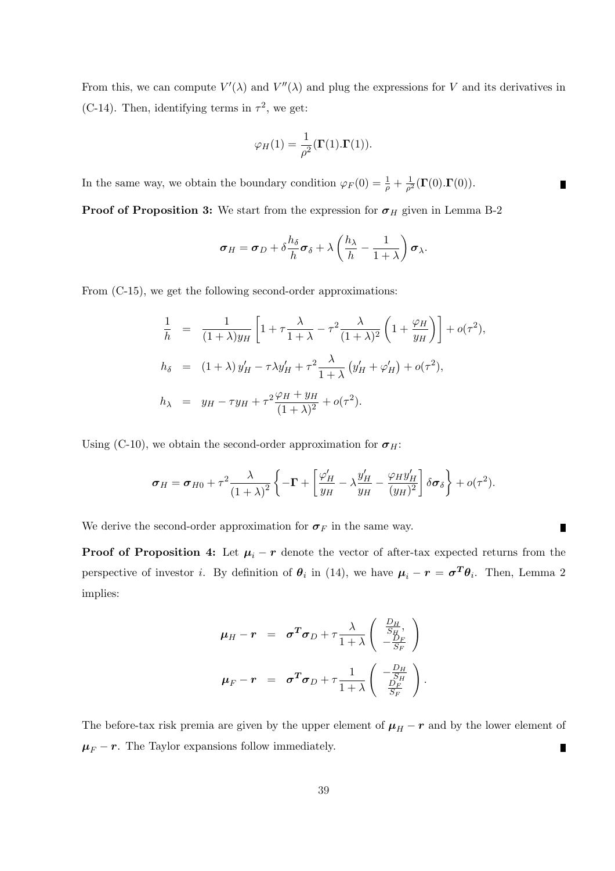From this, we can compute  $V'(\lambda)$  and  $V''(\lambda)$  and plug the expressions for V and its derivatives in (C-14). Then, identifying terms in  $\tau^2$ , we get:

$$
\varphi_H(1) = \frac{1}{\rho^2}(\mathbf{\Gamma}(1).\mathbf{\Gamma}(1)).
$$

In the same way, we obtain the boundary condition  $\varphi_F(0) = \frac{1}{\rho} + \frac{1}{\rho^2}$  $\frac{1}{\rho^2}(\boldsymbol{\Gamma}(0).\boldsymbol{\Gamma}(0)).$ 

**Proof of Proposition 3:** We start from the expression for  $\sigma_H$  given in Lemma B-2

$$
\boldsymbol{\sigma}_H = \boldsymbol{\sigma}_D + \delta \frac{h_\delta}{h} \boldsymbol{\sigma}_\delta + \lambda \left(\frac{h_\lambda}{h} - \frac{1}{1+\lambda}\right) \boldsymbol{\sigma}_\lambda.
$$

From  $(C-15)$ , we get the following second-order approximations:

$$
\frac{1}{h} = \frac{1}{(1+\lambda)y_H} \left[ 1 + \tau \frac{\lambda}{1+\lambda} - \tau^2 \frac{\lambda}{(1+\lambda)^2} \left( 1 + \frac{\varphi_H}{y_H} \right) \right] + o(\tau^2),
$$
\n
$$
h_{\delta} = (1+\lambda) y_H' - \tau \lambda y_H' + \tau^2 \frac{\lambda}{1+\lambda} \left( y_H' + \varphi_H' \right) + o(\tau^2),
$$
\n
$$
h_{\lambda} = y_H - \tau y_H + \tau^2 \frac{\varphi_H + y_H}{(1+\lambda)^2} + o(\tau^2).
$$

Using (C-10), we obtain the second-order approximation for  $\sigma_H$ :

$$
\boldsymbol{\sigma}_H = \boldsymbol{\sigma}_{H0} + \tau^2 \frac{\lambda}{(1+\lambda)^2} \left\{-\boldsymbol{\Gamma} + \left[\frac{\varphi'_H}{y_H} - \lambda \frac{y'_H}{y_H} - \frac{\varphi_H y'_H}{(y_H)^2}\right] \delta \boldsymbol{\sigma}_{\delta}\right\} + o(\tau^2).
$$

We derive the second-order approximation for  $\sigma_F$  in the same way.

**Proof of Proposition 4:** Let  $\mu_i - r$  denote the vector of after-tax expected returns from the perspective of investor *i*. By definition of  $\theta_i$  in (14), we have  $\mu_i - r = \sigma^T \theta_i$ . Then, Lemma 2 implies:

$$
\mu_H - r = \sigma^T \sigma_D + \tau \frac{\lambda}{1 + \lambda} \begin{pmatrix} \frac{D_H}{S_H}, \\ -\frac{D_F}{S_F} \end{pmatrix}
$$
  

$$
\mu_F - r = \sigma^T \sigma_D + \tau \frac{1}{1 + \lambda} \begin{pmatrix} -\frac{D_H}{S_H} \\ \frac{D_F}{S_F} \end{pmatrix}.
$$

The before-tax risk premia are given by the upper element of  $\mu_H - r$  and by the lower element of  $\mu_F$  – r. The Taylor expansions follow immediately. Г

 $\blacksquare$ 

 $\blacksquare$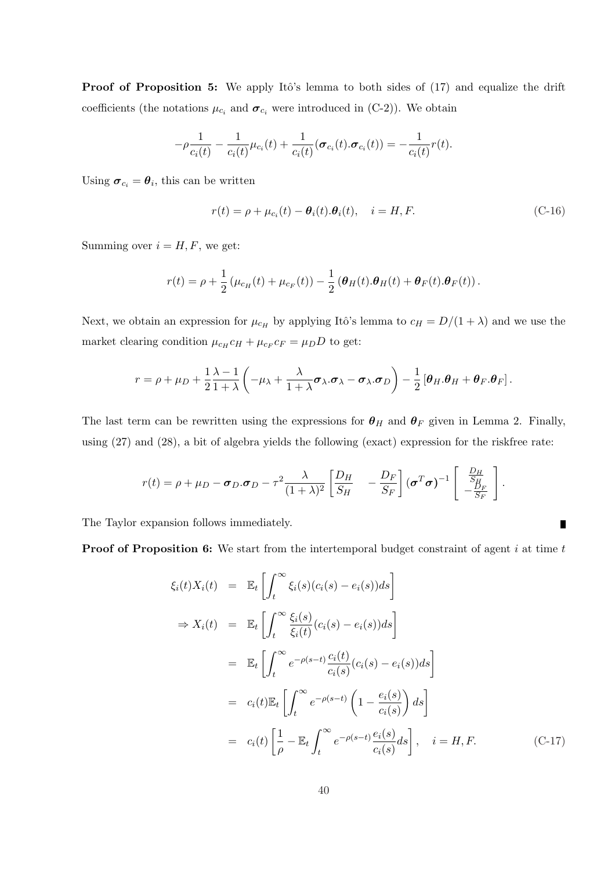Proof of Proposition 5: We apply Itô's lemma to both sides of (17) and equalize the drift coefficients (the notations  $\mu_{c_i}$  and  $\sigma_{c_i}$  were introduced in (C-2)). We obtain

$$
-\rho \frac{1}{c_i(t)} - \frac{1}{c_i(t)} \mu_{c_i}(t) + \frac{1}{c_i(t)} (\boldsymbol{\sigma}_{c_i}(t).\boldsymbol{\sigma}_{c_i}(t)) = -\frac{1}{c_i(t)} r(t).
$$

Using  $\boldsymbol{\sigma}_{c_i} = \boldsymbol{\theta}_i$ , this can be written

$$
r(t) = \rho + \mu_{c_i}(t) - \theta_i(t).\theta_i(t), \quad i = H, F.
$$
\n(C-16)

Summing over  $i = H, F$ , we get:

$$
r(t) = \rho + \frac{1}{2} \left( \mu_{c_H}(t) + \mu_{c_F}(t) \right) - \frac{1}{2} \left( \boldsymbol{\theta}_H(t) . \boldsymbol{\theta}_H(t) + \boldsymbol{\theta}_F(t) . \boldsymbol{\theta}_F(t) \right).
$$

Next, we obtain an expression for  $\mu_{c_H}$  by applying Itô's lemma to  $c_H = D/(1 + \lambda)$  and we use the market clearing condition  $\mu_{c_H} c_H + \mu_{c_F} c_F = \mu_D D$  to get:

$$
r = \rho + \mu_D + \frac{1}{2} \frac{\lambda - 1}{1 + \lambda} \left( -\mu_\lambda + \frac{\lambda}{1 + \lambda} \boldsymbol{\sigma}_\lambda \cdot \boldsymbol{\sigma}_\lambda - \boldsymbol{\sigma}_\lambda \cdot \boldsymbol{\sigma}_D \right) - \frac{1}{2} \left[ \boldsymbol{\theta}_H \cdot \boldsymbol{\theta}_H + \boldsymbol{\theta}_F \cdot \boldsymbol{\theta}_F \right].
$$

The last term can be rewritten using the expressions for  $\theta_H$  and  $\theta_F$  given in Lemma 2. Finally, using (27) and (28), a bit of algebra yields the following (exact) expression for the riskfree rate:

$$
r(t) = \rho + \mu_D - \sigma_D \cdot \sigma_D - \tau^2 \frac{\lambda}{(1+\lambda)^2} \left[ \frac{D_H}{S_H} - \frac{D_F}{S_F} \right] (\sigma^T \sigma)^{-1} \left[ \begin{array}{c} \frac{D_H}{S_H} \\ -\frac{D_F}{S_F} \end{array} \right].
$$

The Taylor expansion follows immediately.

**Proof of Proposition 6:** We start from the intertemporal budget constraint of agent  $i$  at time  $t$ 

$$
\xi_i(t)X_i(t) = \mathbb{E}_t \left[ \int_t^{\infty} \xi_i(s)(c_i(s) - e_i(s))ds \right]
$$
  
\n
$$
\Rightarrow X_i(t) = \mathbb{E}_t \left[ \int_t^{\infty} \frac{\xi_i(s)}{\xi_i(t)} (c_i(s) - e_i(s))ds \right]
$$
  
\n
$$
= \mathbb{E}_t \left[ \int_t^{\infty} e^{-\rho(s-t)} \frac{c_i(t)}{c_i(s)} (c_i(s) - e_i(s))ds \right]
$$
  
\n
$$
= c_i(t) \mathbb{E}_t \left[ \int_t^{\infty} e^{-\rho(s-t)} \left( 1 - \frac{e_i(s)}{c_i(s)} \right) ds \right]
$$
  
\n
$$
= c_i(t) \left[ \frac{1}{\rho} - \mathbb{E}_t \int_t^{\infty} e^{-\rho(s-t)} \frac{e_i(s)}{c_i(s)} ds \right], \quad i = H, F.
$$
 (C-17)

 $\blacksquare$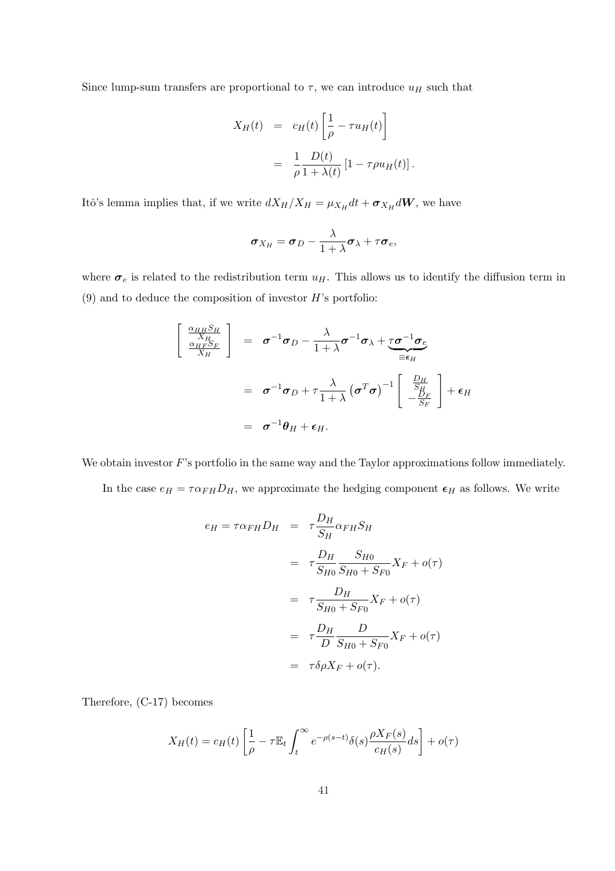Since lump-sum transfers are proportional to  $\tau$ , we can introduce  $u_H$  such that

$$
X_H(t) = c_H(t) \left[ \frac{1}{\rho} - \tau u_H(t) \right]
$$
  
= 
$$
\frac{1}{\rho} \frac{D(t)}{1 + \lambda(t)} [1 - \tau \rho u_H(t)].
$$

Itô's lemma implies that, if we write  $dX_H/X_H = \mu_{X_H} dt + \sigma_{X_H} dW$ , we have

$$
\boldsymbol{\sigma}_{X_H} = \boldsymbol{\sigma}_D - \frac{\lambda}{1+\lambda} \boldsymbol{\sigma}_\lambda + \tau \boldsymbol{\sigma}_e,
$$

where  $\sigma_e$  is related to the redistribution term  $u_H$ . This allows us to identify the diffusion term in  $(9)$  and to deduce the composition of investor H's portfolio:

$$
\begin{bmatrix}\n\frac{\alpha_{HH}S_H}{X_H} \\
\frac{\alpha_{HF}S_F}{X_H}\n\end{bmatrix} = \sigma^{-1}\sigma_D - \frac{\lambda}{1+\lambda}\sigma^{-1}\sigma_{\lambda} + \underbrace{\tau\sigma^{-1}\sigma_{e}}_{\equiv \epsilon_H}
$$
\n
$$
= \sigma^{-1}\sigma_D + \tau\frac{\lambda}{1+\lambda}(\sigma^T\sigma)^{-1}\begin{bmatrix} \frac{D_H}{S_H} \\ -\frac{D_F}{S_F} \end{bmatrix} + \epsilon_H
$$
\n
$$
= \sigma^{-1}\theta_H + \epsilon_H.
$$

We obtain investor  $F$ 's portfolio in the same way and the Taylor approximations follow immediately.

In the case  $e_H = \tau \alpha_{FH} D_H$ , we approximate the hedging component  $\epsilon_H$  as follows. We write

$$
e_H = \tau \alpha_{FH} D_H = \tau \frac{D_H}{S_H} \alpha_{FH} S_H
$$
  

$$
= \tau \frac{D_H}{S_{H0}} \frac{S_{H0}}{S_{H0} + S_{F0}} X_F + o(\tau)
$$
  

$$
= \tau \frac{D_H}{S_{H0} + S_{F0}} X_F + o(\tau)
$$
  

$$
= \tau \frac{D_H}{D} \frac{D}{S_{H0} + S_{F0}} X_F + o(\tau)
$$
  

$$
= \tau \delta \rho X_F + o(\tau).
$$

Therefore, (C-17) becomes

$$
X_H(t) = c_H(t) \left[ \frac{1}{\rho} - \tau \mathbb{E}_t \int_t^{\infty} e^{-\rho(s-t)} \delta(s) \frac{\rho X_F(s)}{c_H(s)} ds \right] + o(\tau)
$$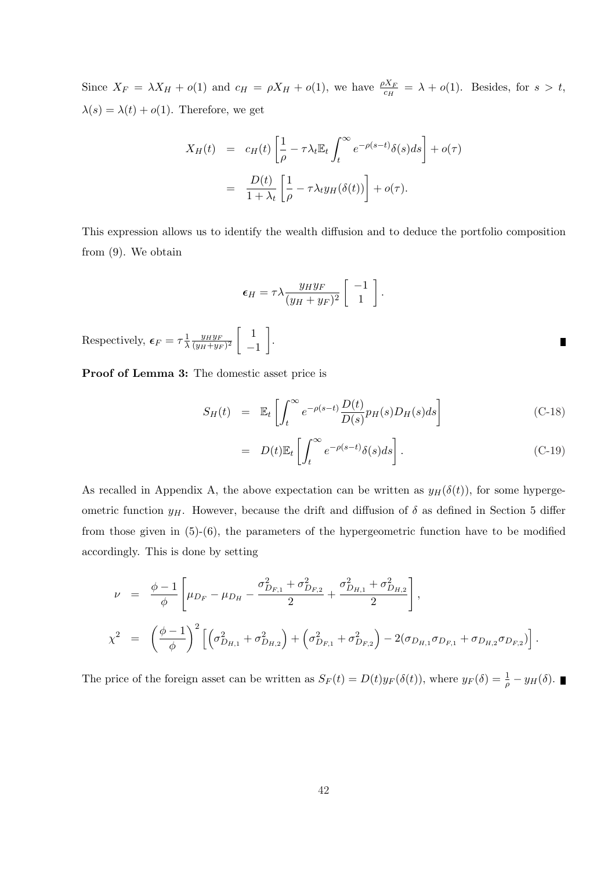Since  $X_F = \lambda X_H + o(1)$  and  $c_H = \rho X_H + o(1)$ , we have  $\frac{\rho X_F}{c_H} = \lambda + o(1)$ . Besides, for  $s > t$ ,  $\lambda(s) = \lambda(t) + o(1)$ . Therefore, we get

$$
X_H(t) = c_H(t) \left[ \frac{1}{\rho} - \tau \lambda_t \mathbb{E}_t \int_t^{\infty} e^{-\rho(s-t)} \delta(s) ds \right] + o(\tau)
$$
  
= 
$$
\frac{D(t)}{1 + \lambda_t} \left[ \frac{1}{\rho} - \tau \lambda_t y_H(\delta(t)) \right] + o(\tau).
$$

This expression allows us to identify the wealth diffusion and to deduce the portfolio composition from (9). We obtain

$$
\epsilon_H = \tau \lambda \frac{y_H y_F}{(y_H + y_F)^2} \begin{bmatrix} -1 \\ 1 \end{bmatrix}.
$$

.

Respectively,  $\epsilon_F = \tau \frac{1}{\lambda}$  $rac{1}{\lambda} \frac{y_H y_F}{(y_H + y_F)}$  $\frac{1}{(y_H+y_F)^2}$ · 1 −1  $\overline{a}$ 

Proof of Lemma 3: The domestic asset price is

$$
S_H(t) = \mathbb{E}_t \left[ \int_t^{\infty} e^{-\rho(s-t)} \frac{D(t)}{D(s)} p_H(s) D_H(s) ds \right]
$$
 (C-18)

$$
= D(t)\mathbb{E}_t \left[ \int_t^\infty e^{-\rho(s-t)} \delta(s) ds \right]. \tag{C-19}
$$

 $\blacksquare$ 

As recalled in Appendix A, the above expectation can be written as  $y_H(\delta(t))$ , for some hypergeometric function  $y_H$ . However, because the drift and diffusion of  $\delta$  as defined in Section 5 differ from those given in (5)-(6), the parameters of the hypergeometric function have to be modified accordingly. This is done by setting

$$
\nu = \frac{\phi - 1}{\phi} \left[ \mu_{D_F} - \mu_{D_H} - \frac{\sigma_{D_{F,1}}^2 + \sigma_{D_{F,2}}^2}{2} + \frac{\sigma_{D_{H,1}}^2 + \sigma_{D_{H,2}}^2}{2} \right],
$$
\n
$$
\chi^2 = \left( \frac{\phi - 1}{\phi} \right)^2 \left[ \left( \sigma_{D_{H,1}}^2 + \sigma_{D_{H,2}}^2 \right) + \left( \sigma_{D_{F,1}}^2 + \sigma_{D_{F,2}}^2 \right) - 2(\sigma_{D_{H,1}} \sigma_{D_{F,1}} + \sigma_{D_{H,2}} \sigma_{D_{F,2}}) \right].
$$

The price of the foreign asset can be written as  $S_F(t) = D(t)y_F(\delta(t))$ , where  $y_F(\delta) = \frac{1}{\rho} - y_H(\delta)$ .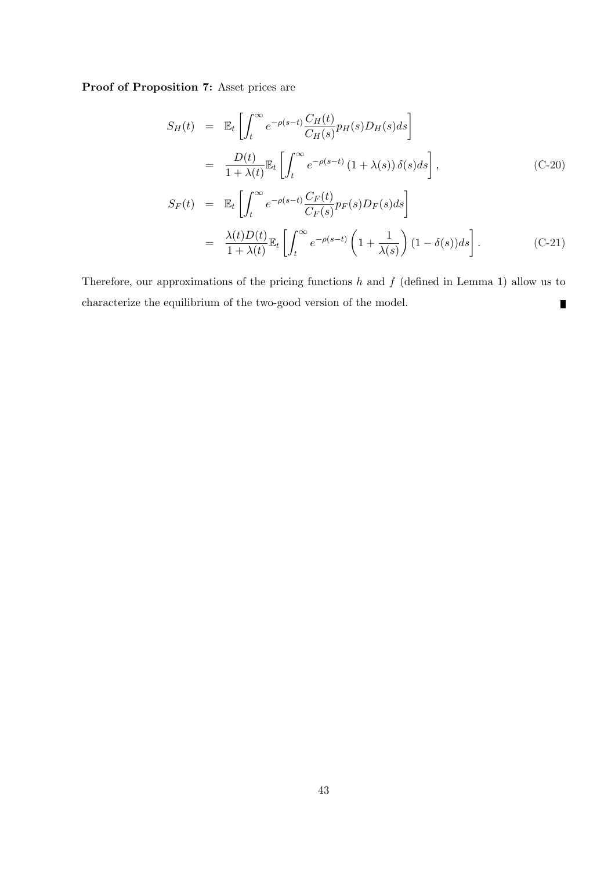Proof of Proposition 7: Asset prices are

$$
S_H(t) = \mathbb{E}_t \left[ \int_t^{\infty} e^{-\rho(s-t)} \frac{C_H(t)}{C_H(s)} p_H(s) D_H(s) ds \right]
$$
  
\n
$$
= \frac{D(t)}{1 + \lambda(t)} \mathbb{E}_t \left[ \int_t^{\infty} e^{-\rho(s-t)} (1 + \lambda(s)) \delta(s) ds \right],
$$
  
\n
$$
S_F(t) = \mathbb{E}_t \left[ \int_t^{\infty} e^{-\rho(s-t)} \frac{C_F(t)}{C_F(s)} p_F(s) D_F(s) ds \right]
$$
  
\n
$$
= \frac{\lambda(t) D(t)}{1 + \lambda(t)} \mathbb{E}_t \left[ \int_t^{\infty} e^{-\rho(s-t)} \left( 1 + \frac{1}{\lambda(s)} \right) (1 - \delta(s)) ds \right].
$$
 (C-21)

Therefore, our approximations of the pricing functions  $h$  and  $f$  (defined in Lemma 1) allow us to characterize the equilibrium of the two-good version of the model.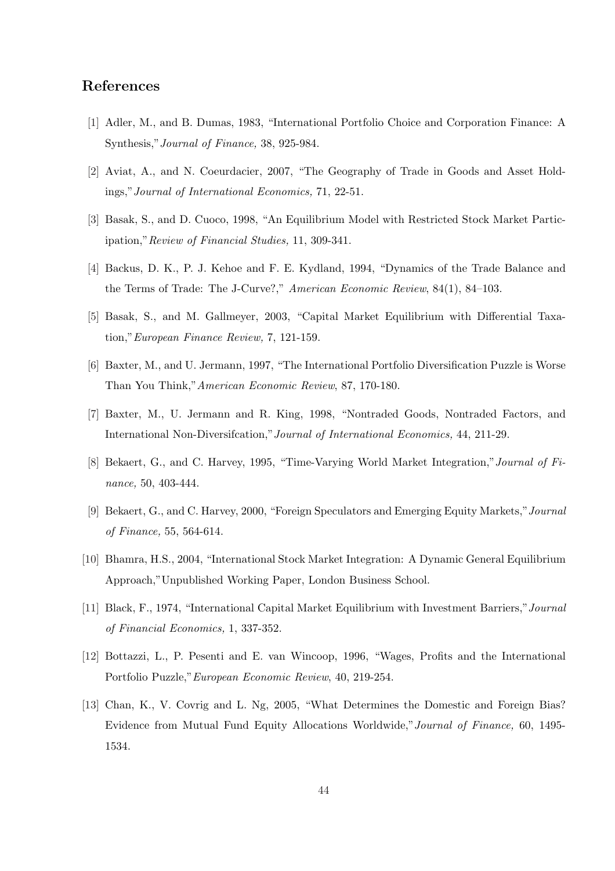# References

- [1] Adler, M., and B. Dumas, 1983, "International Portfolio Choice and Corporation Finance: A Synthesis,"Journal of Finance, 38, 925-984.
- [2] Aviat, A., and N. Coeurdacier, 2007, "The Geography of Trade in Goods and Asset Holdings,"Journal of International Economics, 71, 22-51.
- [3] Basak, S., and D. Cuoco, 1998, "An Equilibrium Model with Restricted Stock Market Participation,"Review of Financial Studies, 11, 309-341.
- [4] Backus, D. K., P. J. Kehoe and F. E. Kydland, 1994, "Dynamics of the Trade Balance and the Terms of Trade: The J-Curve?," American Economic Review, 84(1), 84–103.
- [5] Basak, S., and M. Gallmeyer, 2003, "Capital Market Equilibrium with Differential Taxation,"European Finance Review, 7, 121-159.
- [6] Baxter, M., and U. Jermann, 1997, "The International Portfolio Diversification Puzzle is Worse Than You Think,"American Economic Review, 87, 170-180.
- [7] Baxter, M., U. Jermann and R. King, 1998, "Nontraded Goods, Nontraded Factors, and International Non-Diversifcation,"Journal of International Economics, 44, 211-29.
- [8] Bekaert, G., and C. Harvey, 1995, "Time-Varying World Market Integration,"Journal of Finance, 50, 403-444.
- [9] Bekaert, G., and C. Harvey, 2000, "Foreign Speculators and Emerging Equity Markets,"Journal of Finance, 55, 564-614.
- [10] Bhamra, H.S., 2004, "International Stock Market Integration: A Dynamic General Equilibrium Approach,"Unpublished Working Paper, London Business School.
- [11] Black, F., 1974, "International Capital Market Equilibrium with Investment Barriers," Journal of Financial Economics, 1, 337-352.
- [12] Bottazzi, L., P. Pesenti and E. van Wincoop, 1996, "Wages, Profits and the International Portfolio Puzzle,"European Economic Review, 40, 219-254.
- [13] Chan, K., V. Covrig and L. Ng, 2005, "What Determines the Domestic and Foreign Bias? Evidence from Mutual Fund Equity Allocations Worldwide,"Journal of Finance, 60, 1495- 1534.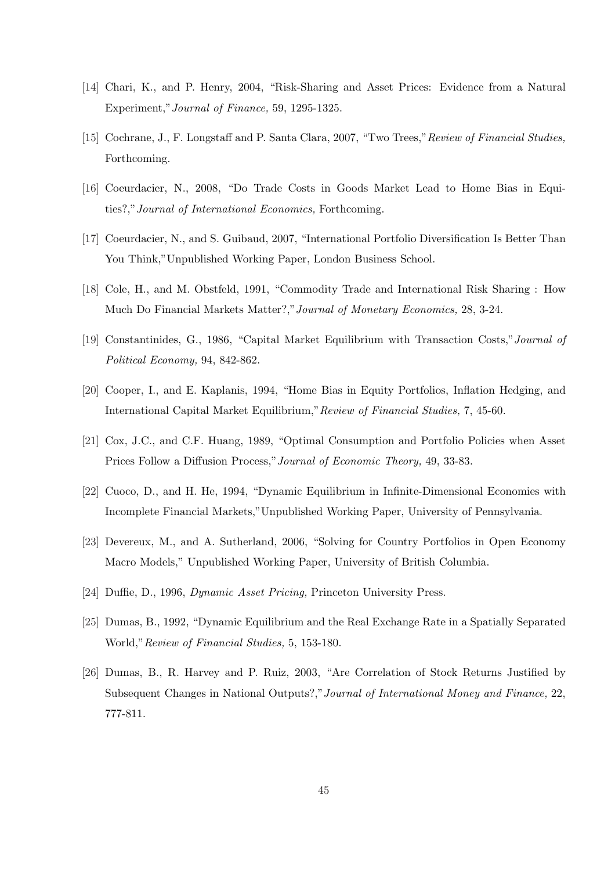- [14] Chari, K., and P. Henry, 2004, "Risk-Sharing and Asset Prices: Evidence from a Natural Experiment,"Journal of Finance, 59, 1295-1325.
- [15] Cochrane, J., F. Longstaff and P. Santa Clara, 2007, "Two Trees,"Review of Financial Studies, Forthcoming.
- [16] Coeurdacier, N., 2008, "Do Trade Costs in Goods Market Lead to Home Bias in Equities?,"Journal of International Economics, Forthcoming.
- [17] Coeurdacier, N., and S. Guibaud, 2007, "International Portfolio Diversification Is Better Than You Think,"Unpublished Working Paper, London Business School.
- [18] Cole, H., and M. Obstfeld, 1991, "Commodity Trade and International Risk Sharing : How Much Do Financial Markets Matter?,"Journal of Monetary Economics, 28, 3-24.
- [19] Constantinides, G., 1986, "Capital Market Equilibrium with Transaction Costs,"Journal of Political Economy, 94, 842-862.
- [20] Cooper, I., and E. Kaplanis, 1994, "Home Bias in Equity Portfolios, Inflation Hedging, and International Capital Market Equilibrium,"Review of Financial Studies, 7, 45-60.
- [21] Cox, J.C., and C.F. Huang, 1989, "Optimal Consumption and Portfolio Policies when Asset Prices Follow a Diffusion Process,"Journal of Economic Theory, 49, 33-83.
- [22] Cuoco, D., and H. He, 1994, "Dynamic Equilibrium in Infinite-Dimensional Economies with Incomplete Financial Markets,"Unpublished Working Paper, University of Pennsylvania.
- [23] Devereux, M., and A. Sutherland, 2006, "Solving for Country Portfolios in Open Economy Macro Models," Unpublished Working Paper, University of British Columbia.
- [24] Duffie, D., 1996, Dynamic Asset Pricing, Princeton University Press.
- [25] Dumas, B., 1992, "Dynamic Equilibrium and the Real Exchange Rate in a Spatially Separated World,"Review of Financial Studies, 5, 153-180.
- [26] Dumas, B., R. Harvey and P. Ruiz, 2003, "Are Correlation of Stock Returns Justified by Subsequent Changes in National Outputs?,"Journal of International Money and Finance, 22, 777-811.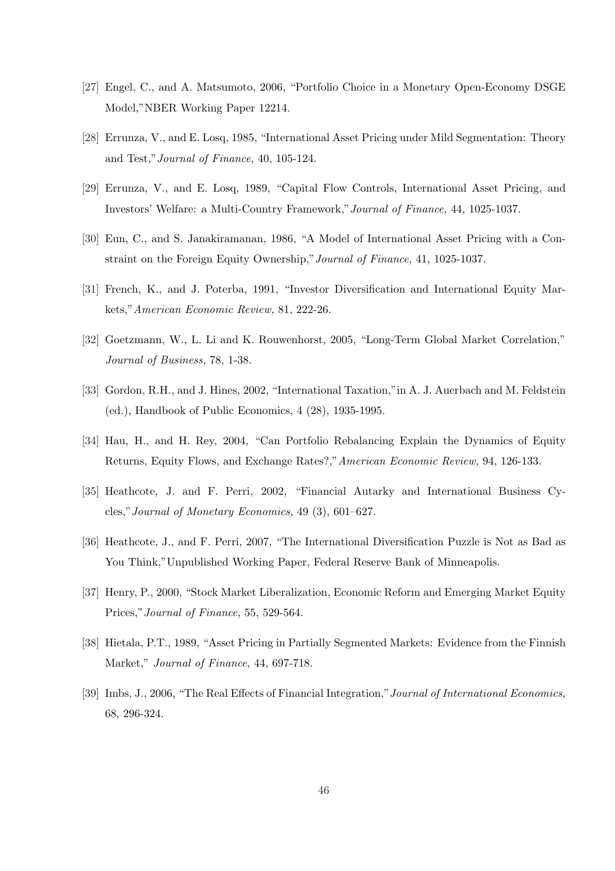- [27] Engel, C., and A. Matsumoto, 2006, "Portfolio Choice in a Monetary Open-Economy DSGE Model,"NBER Working Paper 12214.
- [28] Errunza, V., and E. Losq, 1985, "International Asset Pricing under Mild Segmentation: Theory and Test,"Journal of Finance, 40, 105-124.
- [29] Errunza, V., and E. Losq, 1989, "Capital Flow Controls, International Asset Pricing, and Investors' Welfare: a Multi-Country Framework,"Journal of Finance, 44, 1025-1037.
- [30] Eun, C., and S. Janakiramanan, 1986, "A Model of International Asset Pricing with a Constraint on the Foreign Equity Ownership,"Journal of Finance, 41, 1025-1037.
- [31] French, K., and J. Poterba, 1991, "Investor Diversification and International Equity Markets,"American Economic Review, 81, 222-26.
- [32] Goetzmann, W., L. Li and K. Rouwenhorst, 2005, "Long-Term Global Market Correlation," Journal of Business, 78, 1-38.
- [33] Gordon, R.H., and J. Hines, 2002, "International Taxation," in A. J. Auerbach and M. Feldstein (ed.), Handbook of Public Economics, 4 (28), 1935-1995.
- [34] Hau, H., and H. Rey, 2004, "Can Portfolio Rebalancing Explain the Dynamics of Equity Returns, Equity Flows, and Exchange Rates?,"American Economic Review, 94, 126-133.
- [35] Heathcote, J. and F. Perri, 2002, "Financial Autarky and International Business Cycles,"Journal of Monetary Economics, 49 (3), 601–627.
- [36] Heathcote, J., and F. Perri, 2007, "The International Diversification Puzzle is Not as Bad as You Think,"Unpublished Working Paper, Federal Reserve Bank of Minneapolis.
- [37] Henry, P., 2000, "Stock Market Liberalization, Economic Reform and Emerging Market Equity Prices,"Journal of Finance, 55, 529-564.
- [38] Hietala, P.T., 1989, "Asset Pricing in Partially Segmented Markets: Evidence from the Finnish Market," Journal of Finance, 44, 697-718.
- [39] Imbs, J., 2006, "The Real Effects of Financial Integration,"Journal of International Economics, 68, 296-324.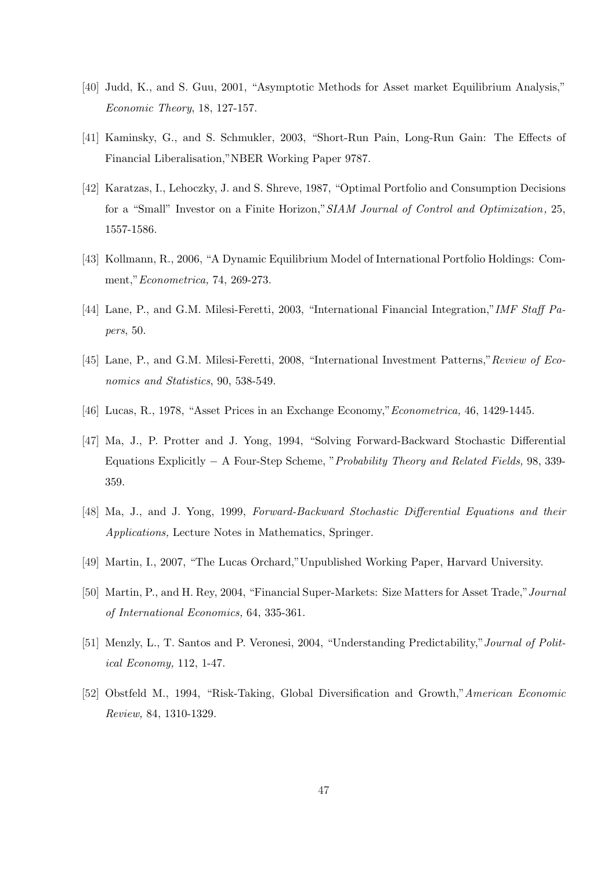- [40] Judd, K., and S. Guu, 2001, "Asymptotic Methods for Asset market Equilibrium Analysis," Economic Theory, 18, 127-157.
- [41] Kaminsky, G., and S. Schmukler, 2003, "Short-Run Pain, Long-Run Gain: The Effects of Financial Liberalisation,"NBER Working Paper 9787.
- [42] Karatzas, I., Lehoczky, J. and S. Shreve, 1987, "Optimal Portfolio and Consumption Decisions for a "Small" Investor on a Finite Horizon,"SIAM Journal of Control and Optimization, 25, 1557-1586.
- [43] Kollmann, R., 2006, "A Dynamic Equilibrium Model of International Portfolio Holdings: Comment,"Econometrica, 74, 269-273.
- [44] Lane, P., and G.M. Milesi-Feretti, 2003, "International Financial Integration,"IMF Staff Papers, 50.
- [45] Lane, P., and G.M. Milesi-Feretti, 2008, "International Investment Patterns,"Review of Economics and Statistics, 90, 538-549.
- [46] Lucas, R., 1978, "Asset Prices in an Exchange Economy,"Econometrica, 46, 1429-1445.
- [47] Ma, J., P. Protter and J. Yong, 1994, "Solving Forward-Backward Stochastic Differential Equations Explicitly − A Four-Step Scheme, "Probability Theory and Related Fields, 98, 339- 359.
- [48] Ma, J., and J. Yong, 1999, Forward-Backward Stochastic Differential Equations and their Applications, Lecture Notes in Mathematics, Springer.
- [49] Martin, I., 2007, "The Lucas Orchard,"Unpublished Working Paper, Harvard University.
- [50] Martin, P., and H. Rey, 2004, "Financial Super-Markets: Size Matters for Asset Trade,"Journal of International Economics, 64, 335-361.
- [51] Menzly, L., T. Santos and P. Veronesi, 2004, "Understanding Predictability,"Journal of Political Economy, 112, 1-47.
- [52] Obstfeld M., 1994, "Risk-Taking, Global Diversification and Growth,"American Economic Review, 84, 1310-1329.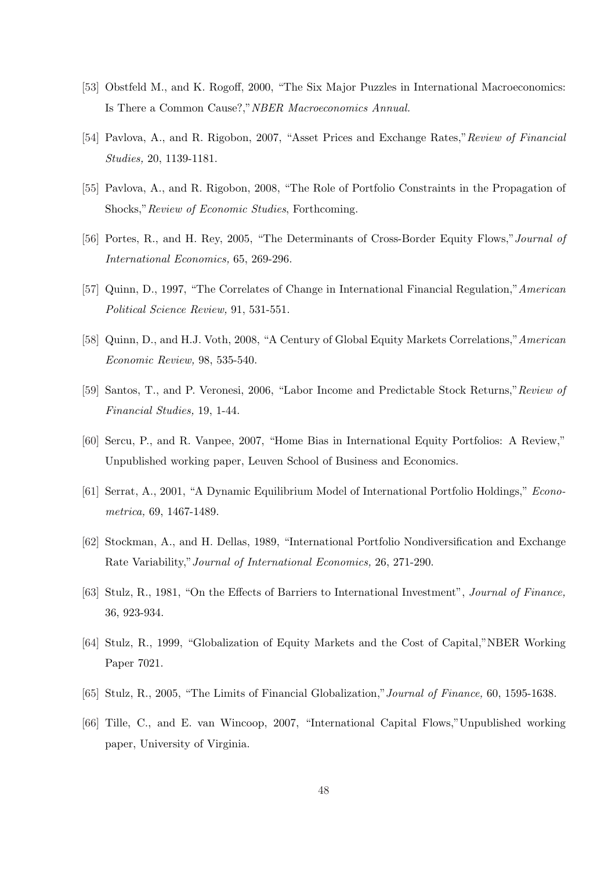- [53] Obstfeld M., and K. Rogoff, 2000, "The Six Major Puzzles in International Macroeconomics: Is There a Common Cause?,"NBER Macroeconomics Annual.
- [54] Pavlova, A., and R. Rigobon, 2007, "Asset Prices and Exchange Rates," Review of Financial Studies, 20, 1139-1181.
- [55] Pavlova, A., and R. Rigobon, 2008, "The Role of Portfolio Constraints in the Propagation of Shocks,"Review of Economic Studies, Forthcoming.
- [56] Portes, R., and H. Rey, 2005, "The Determinants of Cross-Border Equity Flows,"Journal of International Economics, 65, 269-296.
- [57] Quinn, D., 1997, "The Correlates of Change in International Financial Regulation,"American Political Science Review, 91, 531-551.
- [58] Quinn, D., and H.J. Voth, 2008, "A Century of Global Equity Markets Correlations,"American Economic Review, 98, 535-540.
- [59] Santos, T., and P. Veronesi, 2006, "Labor Income and Predictable Stock Returns,"Review of Financial Studies, 19, 1-44.
- [60] Sercu, P., and R. Vanpee, 2007, "Home Bias in International Equity Portfolios: A Review," Unpublished working paper, Leuven School of Business and Economics.
- [61] Serrat, A., 2001, "A Dynamic Equilibrium Model of International Portfolio Holdings," Econometrica, 69, 1467-1489.
- [62] Stockman, A., and H. Dellas, 1989, "International Portfolio Nondiversification and Exchange Rate Variability,"Journal of International Economics, 26, 271-290.
- [63] Stulz, R., 1981, "On the Effects of Barriers to International Investment", Journal of Finance, 36, 923-934.
- [64] Stulz, R., 1999, "Globalization of Equity Markets and the Cost of Capital,"NBER Working Paper 7021.
- [65] Stulz, R., 2005, "The Limits of Financial Globalization,"Journal of Finance, 60, 1595-1638.
- [66] Tille, C., and E. van Wincoop, 2007, "International Capital Flows,"Unpublished working paper, University of Virginia.